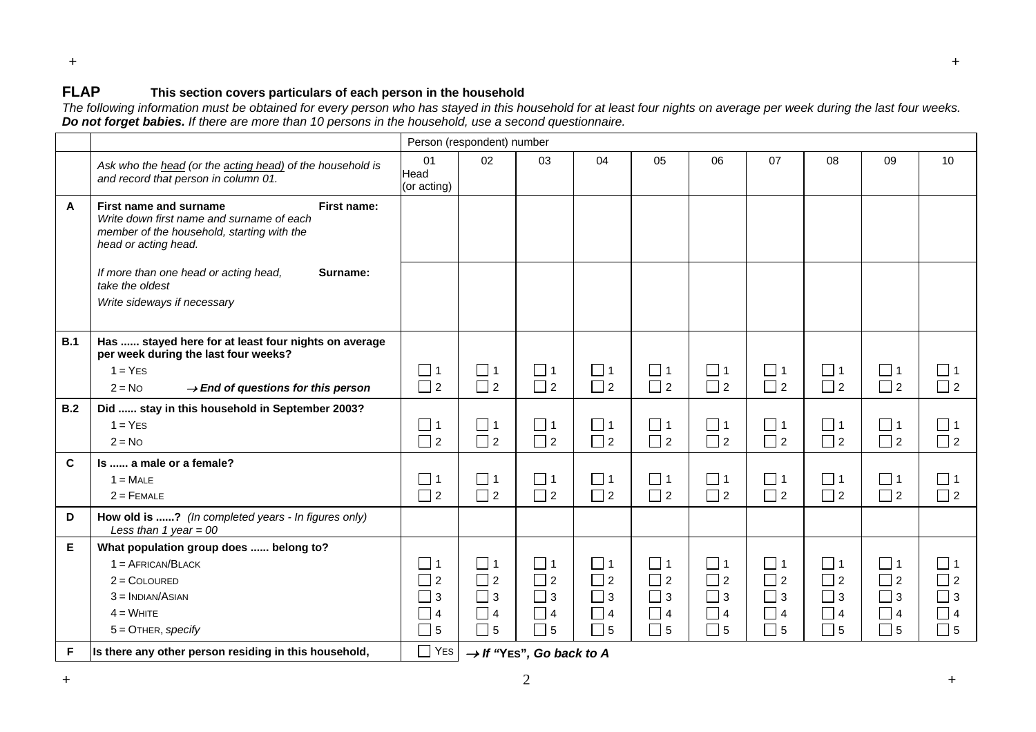### **FLAPThis section covers particulars of each person in the household**

*The following information must be obtained for every person who has stayed in this household for at least four nights on average per week during the last four weeks. Do not forget babies. If there are more than 10 persons in the household, use a second questionnaire.*

|     |                                                                                                                                                                         |                           | Person (respondent) number   |                                      |                      |                      |                      |                      |                      |                      |                      |
|-----|-------------------------------------------------------------------------------------------------------------------------------------------------------------------------|---------------------------|------------------------------|--------------------------------------|----------------------|----------------------|----------------------|----------------------|----------------------|----------------------|----------------------|
|     | Ask who the head (or the acting head) of the household is<br>and record that person in column 01.                                                                       | 01<br>Head<br>(or acting) | 02                           | 03                                   | 04                   | 05                   | 06                   | 07                   | 08                   | 09                   | 10                   |
| A   | First name and surname<br><b>First name:</b><br>Write down first name and surname of each<br>member of the household, starting with the<br>head or acting head.         |                           |                              |                                      |                      |                      |                      |                      |                      |                      |                      |
|     | If more than one head or acting head,<br>Surname:<br>take the oldest<br>Write sideways if necessary                                                                     |                           |                              |                                      |                      |                      |                      |                      |                      |                      |                      |
| B.1 | Has  stayed here for at least four nights on average<br>per week during the last four weeks?<br>$1 = YES$<br>$2 = No$<br>$\rightarrow$ End of questions for this person | $\Box$ 1<br>$\Box$ 2      | $\Box$ 1<br>$\Box$ 2         | $\Box$ 1<br>$\Box$ 2                 | $\Box$ 1<br>$\Box$ 2 | $\Box$ 1<br>$\Box$ 2 | $\Box$ 1<br>$\Box$ 2 | $\Box$ 1<br>$\Box$ 2 | $\Box$ 1<br>$\Box$ 2 | $\Box$ 1<br>$\Box$ 2 | □ 1<br>$\Box$ 2      |
| B.2 | Did  stay in this household in September 2003?<br>$1 = YES$<br>$2 = No$                                                                                                 | $\Box$ 1<br>$\Box$ 2      | $\Box$ 1<br>$\Box$ 2         | $\Box$ 1<br>$\Box$ 2                 | $\Box$ 1<br>$\Box$ 2 | $\Box$ 1<br>$\Box$ 2 | $\Box$ 1<br>$\Box$ 2 | $\Box$ 1<br>$\Box$ 2 | $\Box$ 1<br>$\Box$ 2 | $\Box$ 1<br>$\Box$ 2 | $\Box$ 1<br>$\Box$ 2 |
| C   | Is  a male or a female?<br>$1 = MALE$<br>$2 =$ FEMALE                                                                                                                   | $\Box$ 1<br>$\Box$ 2      | $\overline{111}$<br>$\Box$ 2 | $\Box$ 1<br>$\Box$ 2                 | $\Box$ 1<br>$\Box$ 2 | $\Box$ 1<br>$\Box$ 2 | $\Box$ 1<br>$\Box$ 2 | $\Box$ 1<br>$\Box$ 2 | $\Box$ 1<br>$\Box$ 2 | $\Box$ 1<br>$\Box$ 2 | $\Box$ 1<br>$\Box$ 2 |
| D   | How old is ? (In completed years - In figures only)<br>Less than 1 year = $00$                                                                                          |                           |                              |                                      |                      |                      |                      |                      |                      |                      |                      |
| E   | What population group does  belong to?                                                                                                                                  |                           |                              |                                      |                      |                      |                      |                      |                      |                      |                      |
|     | $1 = AFRICAN/BLACK$                                                                                                                                                     | $\square$ 1               | $\Box$ 1                     | $\Box$ 1                             | □ 1                  | $\Box$ 1             | $\Box$ 1             | $\square$ 1          | $\Box$ 1             | $\Box$ 1             | $\Box$ 1             |
|     | $2 =$ COLOURED                                                                                                                                                          | $\Box$ 2                  | $\Box$ 2                     | $\Box$ 2                             | $\Box$ 2             | $\Box$ 2             | $\Box$ 2             | $\Box$ 2             | $\Box$ 2             | $\Box$ 2             | $\Box$ 2             |
|     | $3 = \text{INDIAN/ASIAN}$                                                                                                                                               | $\square$ 3               | $\Box$ 3                     | $\Box$ 3                             | $\Box$ 3             | $\Box$ 3             | $\Box$ 3             | $\Box$ 3             | $\Box$ 3             | $\Box$ 3             | $\Box$ 3             |
|     | $4 =$ WHITE<br>$5 =$ OTHER, specify                                                                                                                                     | $\Box$ 4<br>$\square$ 5   | $\Box$ 4<br>$\Box$ 5         | $\Box$ 4<br>$\Box$ 5                 | $\Box$ 4<br>$\Box$ 5 | $\Box$ 4<br>$\Box$ 5 | $\Box$ 4<br>$\Box$ 5 | $\Box$ 4<br>$\Box$ 5 | $\Box$ 4<br>$\Box$ 5 | $\Box$ 4<br>$\Box$ 5 | $\Box$ 4<br>$\Box$ 5 |
| F   | Is there any other person residing in this household,                                                                                                                   | $\Box$ Yes                |                              | $\rightarrow$ If "YES", Go back to A |                      |                      |                      |                      |                      |                      |                      |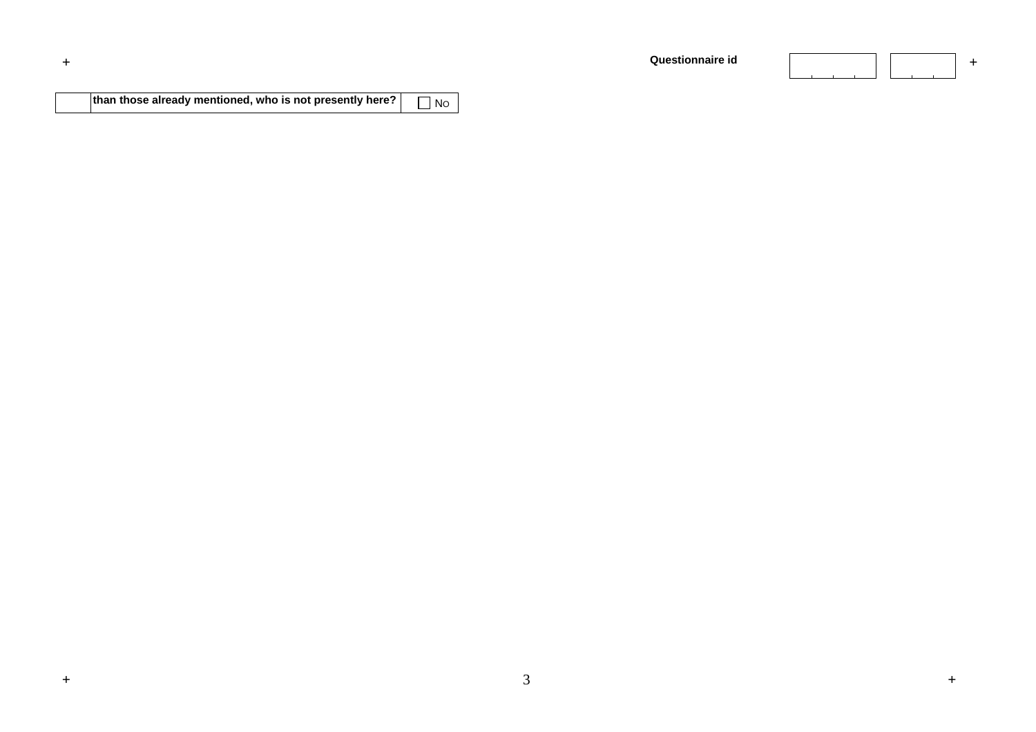| Questionnaire id |  |  |
|------------------|--|--|
|                  |  |  |

| than those already mentioned, who is not presently here? | $\vert$ $\vert$ No |
|----------------------------------------------------------|--------------------|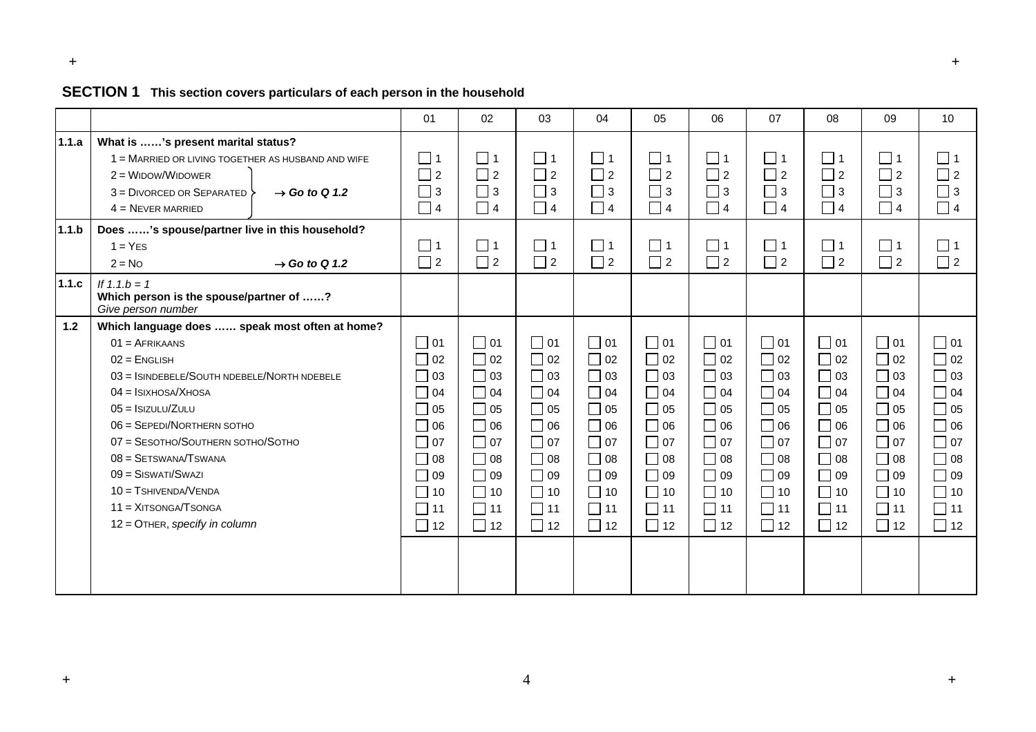### **SECTION 1 This section covers particulars of each person in the household**

|       |                                                                                                                                                                                                                                                                                                                                                                                                        | 01                                                                                                                                                       | 02                                                                                                                                                       | 03                                                                                                                                                       | 04                                                                                                                                                       | 05                                                                                                                                                                                                                                                 | 06                                                                                                                                                       | 07                                                                                                                                                       | 08                                                                                                                                                                                                        | 09                                                                                                                                                       | 10                                                                                                                                              |
|-------|--------------------------------------------------------------------------------------------------------------------------------------------------------------------------------------------------------------------------------------------------------------------------------------------------------------------------------------------------------------------------------------------------------|----------------------------------------------------------------------------------------------------------------------------------------------------------|----------------------------------------------------------------------------------------------------------------------------------------------------------|----------------------------------------------------------------------------------------------------------------------------------------------------------|----------------------------------------------------------------------------------------------------------------------------------------------------------|----------------------------------------------------------------------------------------------------------------------------------------------------------------------------------------------------------------------------------------------------|----------------------------------------------------------------------------------------------------------------------------------------------------------|----------------------------------------------------------------------------------------------------------------------------------------------------------|-----------------------------------------------------------------------------------------------------------------------------------------------------------------------------------------------------------|----------------------------------------------------------------------------------------------------------------------------------------------------------|-------------------------------------------------------------------------------------------------------------------------------------------------|
| 1.1.a | What is 's present marital status?<br>1 = MARRIED OR LIVING TOGETHER AS HUSBAND AND WIFE<br>$2 =$ WIDOW/WIDOWER<br>$3 = DivORCED OR SEPARATED$<br>$\rightarrow$ Go to Q 1.2<br>$4 =$ NEVER MARRIED                                                                                                                                                                                                     | $\vert$ 1<br>$\Box$ 2<br>$\Box$ 3<br>$\Box$ 4                                                                                                            | $\vert$ 1<br>$\Box$ 2<br>$\Box$ 3<br>$\Box$ 4                                                                                                            | $\Box$ 1<br>$\Box$ 2<br>$\Box$ 3<br>$\Box$ 4                                                                                                             | $\Box$ 1<br>$\Box$ 2<br>$\Box$ 3<br>$\Box$ 4                                                                                                             | $\Box$ 1<br>$\Box$ 2<br>$\Box$ 3<br>$\Box$ 4                                                                                                                                                                                                       | $\Box$ 1<br>$\Box$ 2<br>$\Box$ 3<br>$\Box$ 4                                                                                                             | $\vert$   1<br>$\Box$ 2<br>$\Box$ 3<br>$\Box$ 4                                                                                                          | $\vert$   1<br>$\Box$ 2<br>$\Box$ 3<br>$\Box$ 4                                                                                                                                                           | $\Box$ 1<br>$\Box$ 2<br>$\Box$ 3<br>$\Box$ 4                                                                                                             | $\sqsupset$ 2<br>$\sqsupset$ 3<br>$\begin{array}{ccc} \hline \end{array}$                                                                       |
| 1.1.b | Does 's spouse/partner live in this household?<br>$1 = YES$<br>$2 = No$<br>$\rightarrow$ Go to Q 1.2                                                                                                                                                                                                                                                                                                   | $\Box$ 1<br>$\Box$ 2                                                                                                                                     | $\Box$ 1<br>$\Box$ 2                                                                                                                                     | $\Box$ 1<br>$\Box$ 2                                                                                                                                     | □ 1<br>$\Box$ 2                                                                                                                                          | l 11<br>$\Box$ 2                                                                                                                                                                                                                                   | $\Box$ 1<br>$\Box$ 2                                                                                                                                     | $\Box$ 1<br>$\Box$ 2                                                                                                                                     | $\Box$ 1<br>$\Box$ 2                                                                                                                                                                                      | $\Box$ 1<br>$\Box$ 2                                                                                                                                     | $\Box$ 1<br>$\Box$ 2                                                                                                                            |
| 1.1.c | If $1.1.b = 1$<br>Which person is the spouse/partner of ?<br>Give person number                                                                                                                                                                                                                                                                                                                        |                                                                                                                                                          |                                                                                                                                                          |                                                                                                                                                          |                                                                                                                                                          |                                                                                                                                                                                                                                                    |                                                                                                                                                          |                                                                                                                                                          |                                                                                                                                                                                                           |                                                                                                                                                          |                                                                                                                                                 |
| 1.2   | Which language does  speak most often at home?<br>$01 = AFRIKAANS$<br>$02$ = ENGLISH<br>$03 =$ ISINDEBELE/SOUTH NDEBELE/NORTH NDEBELE<br>$04 =$ ISIXHOSA/ $X$ HOSA<br>$05 =$ Isizulu/Zulu<br>06 = SEPEDI/NORTHERN SOTHO<br>07 = SESOTHO/SOUTHERN SOTHO/SOTHO<br>$08 =$ SETSWANA/TSWANA<br>$09 =$ SISWATI/SWAZI<br>$10 = T$ SHIVENDA/VENDA<br>$11 = XITSONGA/TSONGA$<br>$12 =$ OTHER, specify in column | $\Box$ 01<br>$\Box$ 02<br>$\Box$ 03<br>$\Box$ 04<br>$\Box$ 05<br>$\Box$ 06<br>$\Box$ 07<br>$\Box$ 08<br>$\Box$ 09<br>$\Box$ 10<br>$\Box$ 11<br>$\Box$ 12 | $\Box$ 01<br>$\Box$ 02<br>$\Box$ 03<br>$\Box$ 04<br>$\Box$ 05<br>$\Box$ 06<br>$\Box$ 07<br>$\Box$ 08<br>$\Box$ 09<br>$\Box$ 10<br>$\Box$ 11<br>$\Box$ 12 | $\Box$ 01<br>$\Box$ 02<br>$\Box$ 03<br>$\Box$ 04<br>$\Box$ 05<br>$\Box$ 06<br>$\Box$ 07<br>$\Box$ 08<br>$\Box$ 09<br>$\Box$ 10<br>$\Box$ 11<br>$\Box$ 12 | $\Box$ 01<br>$\Box$ 02<br>$\Box$ 03<br>$\Box$ 04<br>$\Box$ 05<br>$\Box$ 06<br>$\Box$ 07<br>$\Box$ 08<br>$\Box$ 09<br>$\Box$ 10<br>$\Box$ 11<br>$\Box$ 12 | $\overline{\phantom{0}}$ 01<br>$\overline{\phantom{0}}$ 02<br>$\Box$ 03<br>$\overline{\phantom{0}}$ 04<br>$\overline{\phantom{0}}$ 05<br>$\overline{\phantom{0}}$ 06<br>$\sqsupset$ 07<br>  08<br>$\Box$ 09<br>$\Box$ 10<br>$\Box$ 11<br>$\Box$ 12 | $\Box$ 01<br>$\Box$ 02<br>$\Box$ 03<br>$\Box$ 04<br>$\Box$ 05<br>$\Box$ 06<br>$\Box$ 07<br>$\Box$ 08<br>$\Box$ 09<br>$\Box$ 10<br>$\Box$ 11<br>$\Box$ 12 | $\Box$ 01<br>$\Box$ 02<br>$\Box$ 03<br>$\Box$ 04<br>$\Box$ 05<br>$\Box$ 06<br>$\Box$ 07<br>$\Box$ 08<br>$\Box$ 09<br>$\Box$ 10<br>$\Box$ 11<br>$\Box$ 12 | $\sqsupset$ 01<br>$\sqsupset$ 02<br>$\sqsupset$ 03<br>$\bigcap$ 04<br>$\sqsupset$ 05<br>$\overline{\phantom{0}}$ 06<br>$\sqsupset$ 07<br>$\bigcap$ 08<br>$\Box$ 09<br>$\Box$ 10<br>$\Box$ 11<br>$\Box$ 12 | $\Box$ 01<br>$\Box$ 02<br>$\Box$ 03<br>$\Box$ 04<br>$\Box$ 05<br>$\Box$ 06<br>$\Box$ 07<br>$\Box$ 08<br>$\Box$ 09<br>$\Box$ 10<br>$\Box$ 11<br>$\Box$ 12 | $\Box$ 01<br>$\Box$ 02<br>$\Box$ 03<br>$\Box$ 04<br>$\sqsupset$ 05<br>$\Box$ 06<br>$\Box$ 07<br>$\Box$ 08<br>$\Box$ 09<br>10<br>11<br>$\Box$ 12 |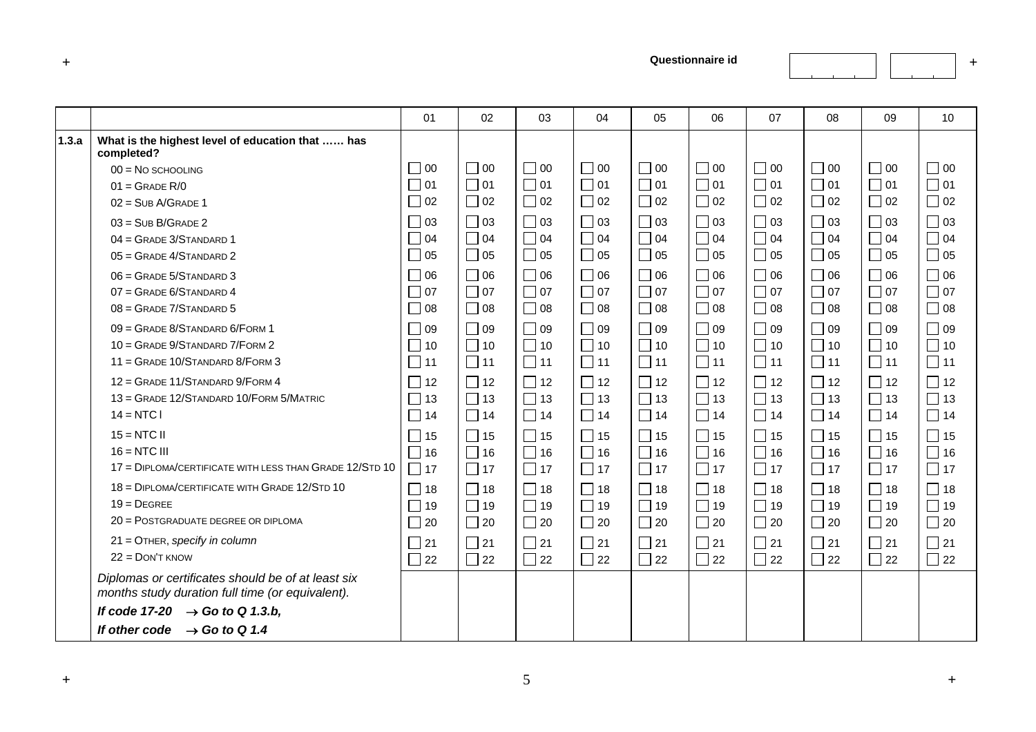|       |                                                                                                        | 01        | 02        | 03        | 04        | 05           | 06        | 07           | 08        | 09        | 10        |
|-------|--------------------------------------------------------------------------------------------------------|-----------|-----------|-----------|-----------|--------------|-----------|--------------|-----------|-----------|-----------|
| 1.3.a | What is the highest level of education that  has<br>completed?                                         |           |           |           |           |              |           |              |           |           |           |
|       | $00 = No$ SCHOOLING                                                                                    | $\Box$ 00 | $\Box$ 00 | $\Box$ 00 | $\Box$ 00 | $\Box$ 00    | $\Box$ 00 | $\Box$ 00    | $\Box$ 00 | $\Box$ 00 | $\Box$ 00 |
|       | $01 =$ GRADE R/0                                                                                       | $\Box$ 01 | $\Box$ 01 | $\Box$ 01 | $\Box$ 01 | $\Box$ 01    | $\Box$ 01 | $\Box$ 01    | $\Box$ 01 | $\Box$ 01 | $\Box$ 01 |
|       | $02 = SUB A/GRADE 1$                                                                                   | $\Box$ 02 | $\Box$ 02 | $\Box$ 02 | $\Box$ 02 | $\Box$ 02    | $\Box$ 02 | $\Box$ 02    | $\Box$ 02 | $\Box$ 02 | $\Box$ 02 |
|       | $03 = SUB B/GRADE 2$                                                                                   | $\Box$ 03 | $\Box$ 03 | $\Box$ 03 | $\Box$ 03 | $\Box$ 03    | $\Box$ 03 | $\Box$ 03    | $\Box$ 03 | $\Box$ 03 | $\Box$ 03 |
|       | 04 = GRADE 3/STANDARD 1                                                                                | $\Box$ 04 | $\Box$ 04 | $\Box$ 04 | $\Box$ 04 | $\Box$ 04    | $\Box$ 04 | $\Box$ 04    | $\Box$ 04 | $\Box$ 04 | $\Box$ 04 |
|       | 05 = GRADE 4/STANDARD 2                                                                                | $\Box$ 05 | $\Box$ 05 | $\Box$ 05 | $\Box$ 05 | $\Box$ 05    | $\Box$ 05 | $\Box$ 05    | $\Box$ 05 | $\Box$ 05 | $\Box$ 05 |
|       | 06 = GRADE 5/STANDARD 3                                                                                | $\Box$ 06 | $\Box$ 06 | $\Box$ 06 | $\Box$ 06 | $\Box$ 06    | $\Box$ 06 | $\Box$ 06    | $\Box$ 06 | $\Box$ 06 | $\Box$ 06 |
|       | 07 = GRADE 6/STANDARD 4                                                                                | $\Box$ 07 | $\Box$ 07 | $\Box$ 07 | $\Box$ 07 | $\Box$ 07    | $\Box$ 07 | $\Box$ 07    | $\Box$ 07 | $\Box$ 07 | $\Box$ 07 |
|       | $08 =$ GRADE $7/$ STANDARD 5                                                                           | $\Box$ 08 | $\Box$ 08 | $\Box$ 08 | $\Box$ 08 | $\Box$ 08    | $\Box$ 08 | $\Box$ 08    | $\Box$ 08 | $\Box$ 08 | $\Box$ 08 |
|       | 09 = GRADE 8/STANDARD 6/FORM 1                                                                         | $\Box$ 09 | $\Box$ 09 | $\Box$ 09 | $\Box$ 09 | $\Box$ 09    | $\Box$ 09 | $\Box$ 09    | $\Box$ 09 | $\Box$ 09 | $\Box$ 09 |
|       | 10 = GRADE 9/STANDARD 7/FORM 2                                                                         | $\Box$ 10 | $\Box$ 10 | $\Box$ 10 | $\Box$ 10 | $\Box$ 10    | $\Box$ 10 | $\Box$ 10    | $\Box$ 10 | $\Box$ 10 | $\Box$ 10 |
|       | $11 =$ GRADE $10/$ STANDARD 8/FORM 3                                                                   | $\Box$ 11 | $\Box$ 11 | $\Box$ 11 | $\Box$ 11 | $\Box$ 11    | $\Box$ 11 | $\square$ 11 | $\Box$ 11 | $\Box$ 11 | $\Box$ 11 |
|       | 12 = GRADE 11/STANDARD 9/FORM 4                                                                        | $\Box$ 12 | $\Box$ 12 | $\Box$ 12 | $\Box$ 12 | $\Box$ 12    | $\Box$ 12 | $\Box$ 12    | $\Box$ 12 | $\Box$ 12 | $\Box$ 12 |
|       | 13 = GRADE 12/STANDARD 10/FORM 5/MATRIC                                                                | $\Box$ 13 | $\Box$ 13 | $\Box$ 13 | $\Box$ 13 | $\Box$ 13    | $\Box$ 13 | $\Box$ 13    | $\Box$ 13 | $\Box$ 13 | $\Box$ 13 |
|       | $14 = NTC$                                                                                             | $\Box$ 14 | $\Box$ 14 | $\Box$ 14 | $\Box$ 14 | $\Box$ 14    | $\Box$ 14 | $\Box$ 14    | $\Box$ 14 | $\Box$ 14 | $\Box$ 14 |
|       | $15 = NTC$ II                                                                                          | $\Box$ 15 | $\Box$ 15 | $\Box$ 15 | $\Box$ 15 | $\Box$<br>15 | $\Box$ 15 | $\Box$ 15    | $\Box$ 15 | $\Box$ 15 | $\Box$ 15 |
|       | $16 = NTC$ III                                                                                         | $\Box$ 16 | $\Box$ 16 | $\Box$ 16 | $\Box$ 16 | $\Box$<br>16 | $\Box$ 16 | $\Box$ 16    | $\Box$ 16 | $\Box$ 16 | $\Box$ 16 |
|       | 17 = DIPLOMA/CERTIFICATE WITH LESS THAN GRADE 12/STD 10                                                | $\Box$ 17 | $\Box$ 17 | $\Box$ 17 | $\Box$ 17 | $\Box$ 17    | $\Box$ 17 | $\Box$ 17    | $\Box$ 17 | $\Box$ 17 | $\Box$ 17 |
|       | 18 = DIPLOMA/CERTIFICATE WITH GRADE 12/STD 10                                                          | $\Box$ 18 | $\Box$ 18 | $\Box$ 18 | $\Box$ 18 | $\Box$ 18    | $\Box$ 18 | $\Box$ 18    | $\Box$ 18 | $\Box$ 18 | $\Box$ 18 |
|       | $19 =$ DEGREE                                                                                          | $\Box$ 19 | $\Box$ 19 | $\Box$ 19 | $\Box$ 19 | $\Box$ 19    | $\Box$ 19 | $\Box$ 19    | $\Box$ 19 | $\Box$ 19 | $\Box$ 19 |
|       | 20 = POSTGRADUATE DEGREE OR DIPLOMA                                                                    | $\Box$ 20 | $\Box$ 20 | $\Box$ 20 | $\Box$ 20 | $\Box$ 20    | $\Box$ 20 | $\Box$ 20    | $\Box$ 20 | $\Box$ 20 | $\Box$ 20 |
|       | 21 = OTHER, specify in column                                                                          | $\Box$ 21 | $\Box$ 21 | $\Box$ 21 | $\Box$ 21 | $\Box$ 21    | $\Box$ 21 | $\Box$ 21    | $\Box$ 21 | $\Box$ 21 | $\Box$ 21 |
|       | $22 =$ DON'T KNOW                                                                                      | $\Box$ 22 | $\Box$ 22 | $\Box$ 22 | $\Box$ 22 | $\Box$ 22    | $\Box$ 22 | $\Box$ 22    | $\Box$ 22 | $\Box$ 22 | $\Box$ 22 |
|       | Diplomas or certificates should be of at least six<br>months study duration full time (or equivalent). |           |           |           |           |              |           |              |           |           |           |
|       | If code 17-20 $\rightarrow$ Go to Q 1.3.b,                                                             |           |           |           |           |              |           |              |           |           |           |
|       | If other code $\rightarrow$ Go to Q 1.4                                                                |           |           |           |           |              |           |              |           |           |           |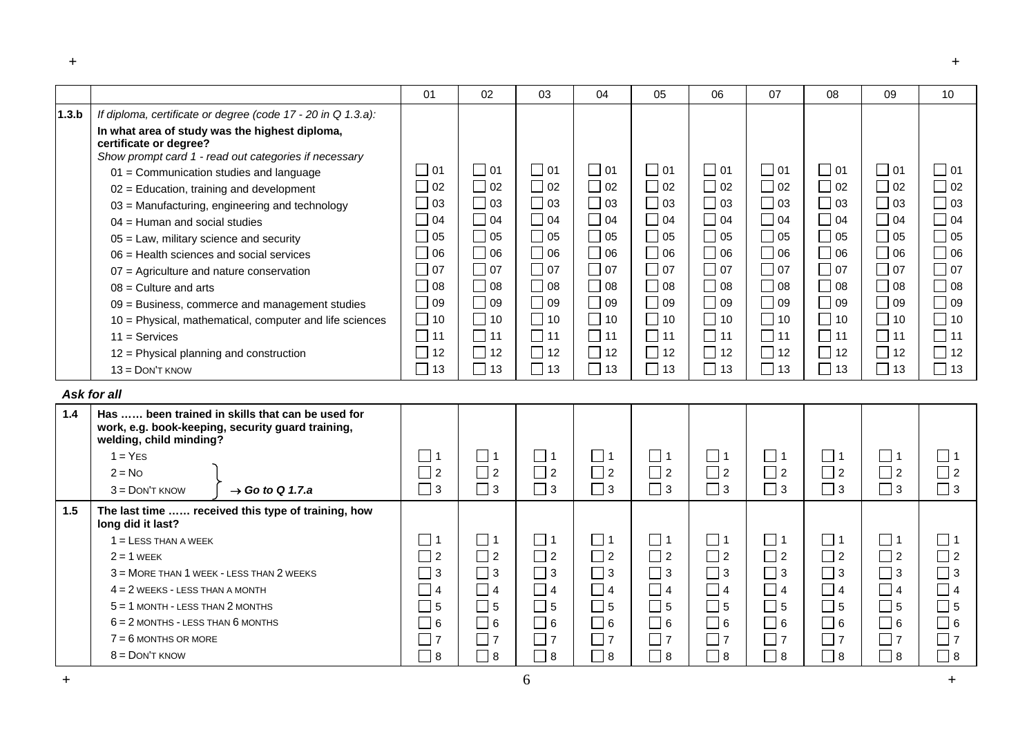**+ +** 

|       |                                                                                                                                  | 01                          | 02        | 03        | 04        | 05        | 06        | 07        | 08           | 09                          | 10         |
|-------|----------------------------------------------------------------------------------------------------------------------------------|-----------------------------|-----------|-----------|-----------|-----------|-----------|-----------|--------------|-----------------------------|------------|
| 1.3.b | If diploma, certificate or degree (code 17 - 20 in Q 1.3.a):                                                                     |                             |           |           |           |           |           |           |              |                             |            |
|       | In what area of study was the highest diploma,<br>certificate or degree?                                                         |                             |           |           |           |           |           |           |              |                             |            |
|       | Show prompt card 1 - read out categories if necessary                                                                            |                             |           |           |           |           |           |           |              |                             |            |
|       | 01 = Communication studies and language                                                                                          | $\Box$ 01                   | $\Box$ 01 | $\Box$ 01 | $\Box$ 01 | $\Box$ 01 | $\Box$ 01 | $\Box$ 01 | $\Box$ 01    | $\Box$ 01                   | $\Box$ 01  |
|       | $02$ = Education, training and development                                                                                       | $\Box$ 02                   | $\Box$ 02 | $\Box$ 02 | $\Box$ 02 | $\Box$ 02 | $\Box$ 02 | $\Box$ 02 | $\vert$ 02   | $\Box$ 02                   | $\Box$ 02  |
|       | 03 = Manufacturing, engineering and technology                                                                                   | $\Box$ 03                   | $\Box$ 03 | $\Box$ 03 | 03 [      | $\Box$ 03 | $\Box$ 03 | $\Box$ 03 |              | $\Box$ 03                   | $\Box$ 03  |
|       | $04$ = Human and social studies                                                                                                  | $\Box$ 04                   | $\Box$ 04 | $\Box$ 04 | $\Box$ 04 | $\Box$ 04 | $\Box$ 04 | $\Box$ 04 | $\Box$ 04    | $\Box$ 04                   | $\Box$ 04  |
|       | $05 =$ Law, military science and security                                                                                        | $\Box$ 05                   | $\Box$ 05 | $\Box$ 05 | $\Box$ 05 | $\Box$ 05 | $\Box$ 05 | $\Box$ 05 | 105          | $\Box$ 05                   | $\Box$ 05  |
|       | $06$ = Health sciences and social services                                                                                       | $\Box$ 06                   | $\Box$ 06 | $\Box$ 06 | $\Box$ 06 | $\Box$ 06 | $\Box$ 06 | $\Box$ 06 | $\Box$ 06    | $\Box$ 06                   | $\Box$ 06  |
|       | 07 = Agriculture and nature conservation                                                                                         | $\Box$ 07                   | $\Box$ 07 | $\Box$ 07 | $\Box$ 07 | $\Box$ 07 | $\Box$ 07 | $\Box$ 07 | $\Box$ 07    | $\Box$ 07                   | $\Box$ 07  |
|       | $08$ = Culture and arts                                                                                                          | $\bigcap$ 08                | $\Box$ 08 | $\Box$ 08 | $\Box$ 08 | $\Box$ 08 | $\Box$ 08 | $\Box$ 08 | 08 ٦         | $\Box$ 08                   | $\Box$ 08  |
|       | 09 = Business, commerce and management studies                                                                                   | $\Box$ 09                   | $\Box$ 09 | $\Box$ 09 | $\Box$ 09 | $\Box$ 09 | $\Box$ 09 | $\Box$ 09 | l 09         | $\Box$ 09                   | $\Box$ 09  |
|       | 10 = Physical, mathematical, computer and life sciences                                                                          | $\Box$ 10                   | $\Box$ 10 | $\Box$ 10 | Π 10      | $\Box$ 10 | $\Box$ 10 | $\Box$ 10 | $\Box$ 10    | $\Box$ 10                   | $\vert$ 10 |
|       | $11 =$ Services                                                                                                                  | $\Box$ 11                   | $\Box$ 11 | $\Box$ 11 | $\Box$ 11 | $\Box$ 11 | $\Box$ 11 | $\Box$ 11 | $\Box$ 11    | $\Box$ 11                   | $\Box$ 11  |
|       | 12 = Physical planning and construction                                                                                          | $\overline{\phantom{0}}$ 12 | $\Box$ 12 | $\Box$ 12 | □ 12      | $\Box$ 12 | $\Box$ 12 | $\Box$ 12 | $\Box$ 12    | $\Box$ 12                   | $\Box$ 12  |
|       | $13 =$ DON'T KNOW                                                                                                                | $\Box$ 13                   | $\Box$ 13 | $\Box$ 13 | $\Box$ 13 | $\Box$ 13 | $\Box$ 13 | $\Box$ 13 | $\vert$   13 | $\Box$ 13                   | 13         |
|       | Ask for all                                                                                                                      |                             |           |           |           |           |           |           |              |                             |            |
| $1.4$ | Has  been trained in skills that can be used for<br>work, e.g. book-keeping, security guard training,<br>welding, child minding? |                             |           |           |           |           |           |           |              |                             |            |
|       | $1 = YES$                                                                                                                        |                             |           |           | ∐ 1       | コ 1       | 囗 1       | ∐↑        |              | $\mathcal{L}_{\mathcal{A}}$ |            |

| 1.4 | welding, child minding?                  | Has  been trained in skills that can be used for<br>work, e.g. book-keeping, security guard training, |                |           |          |                                           |                 |                 |             |                |                            |                            |
|-----|------------------------------------------|-------------------------------------------------------------------------------------------------------|----------------|-----------|----------|-------------------------------------------|-----------------|-----------------|-------------|----------------|----------------------------|----------------------------|
|     | $1 = YES$                                |                                                                                                       | $\Box$ 1       | 1         | $\Box$ 1 | _  1                                      | $\overline{11}$ | コ1              | $\Box$ 1    | $\vert$ 1      | 1                          |                            |
|     | $2 = No$                                 |                                                                                                       | $\frac{12}{2}$ | 2         | $\Box$ 2 | $\Box$ 2                                  | $\vert$ 2       | $\Box$ 2        | $\Box$ 2    | l 2            | $\Box$ 2                   | $\vert$ 2                  |
|     | $3 =$ DON'T KNOW                         | $\rightarrow$ Go to Q 1.7.a                                                                           | _  3           | $\Box$ 3  | $\Box$ 3 | $\Box$ 3                                  | l 3             | $\Box$ 3        | $\square$ 3 | 3              | $\Box$ 3                   | □ 3                        |
| 1.5 | long did it last?                        | The last time  received this type of training, how                                                    |                |           |          |                                           |                 |                 |             |                |                            |                            |
|     | $1 =$ LESS THAN A WEEK                   |                                                                                                       | コ 1            | l 11      | $\Box$ 1 | $\overline{\phantom{0}}$ 1                | $\overline{11}$ | $\Box$ $\prime$ | $\Box$ 1    | $\vert$ 1      | $\sqsupset$ 1              |                            |
|     | $2 = 1$ WEEK                             |                                                                                                       | $\Box$ 2       | $\Box$ 2  | $\Box$ 2 | $\Box$ 2                                  | $\overline{2}$  | $\Box$ 2        | $\square$ 2 | l 2            | $\overline{\phantom{a}}$ 2 | ヿ2                         |
|     | 3 = MORE THAN 1 WEEK - LESS THAN 2 WEEKS |                                                                                                       | -13            | $\vert$ 3 | $\Box$ 3 | $\Box$ 3                                  | l 3             | $\Box$ 3        | $\square$ 3 | 3              | $\Box$ 3                   | $\overline{\phantom{a}}$ 3 |
|     | $4 = 2$ WEEKS - LESS THAN A MONTH        |                                                                                                       | $\Box$ 4       | $\Box$ 4  | $\Box$ 4 | $\overline{\phantom{0}}$ 4                | $\vert$ 4       | $\Box$ 4        | $\Box$ 4    | $\overline{4}$ | $\Box$ 4                   | $\vert$ 4                  |
|     | $5 = 1$ MONTH - LESS THAN 2 MONTHS       |                                                                                                       | <b>15</b>      | $\vert$ 5 | $\Box$ 5 | $\begin{array}{c} \boxed{15} \end{array}$ | l 5             | $\Box$ 5        | $\square$ 5 | l 5            | $\overline{\phantom{a}}$ 5 | $\overline{\phantom{a}}$ 5 |
|     | $6 = 2$ MONTHS - LESS THAN $6$ MONTHS    |                                                                                                       | $\Box$ 6       | 6         | $\Box$ 6 | $\overline{\phantom{0}}$ 6                | l 6             | $\Box$ 6        | $\Box$ 6    | 6              | $\overline{\phantom{0}}$ 6 | 6                          |
|     | $7 = 6$ MONTHS OR MORE                   |                                                                                                       | 7 ר            | $\Box$ 7  | $\Box$ 7 | $\overline{\phantom{a}}$ 7                | l 7             | $\sqsupset$ 7   | $\square$ 7 | l 7            | $\overline{\phantom{a}}$ 7 |                            |
|     | $8 =$ DON'T KNOW                         |                                                                                                       | 8              | 8         | $\Box$ 8 | $\Box$ 8                                  | 8               | $\Box$ 8        | $\square$ 8 | 8              | $\sqsupset$ 8              | 8                          |
|     |                                          |                                                                                                       |                |           | 6        |                                           |                 |                 |             |                |                            |                            |

 $\pm$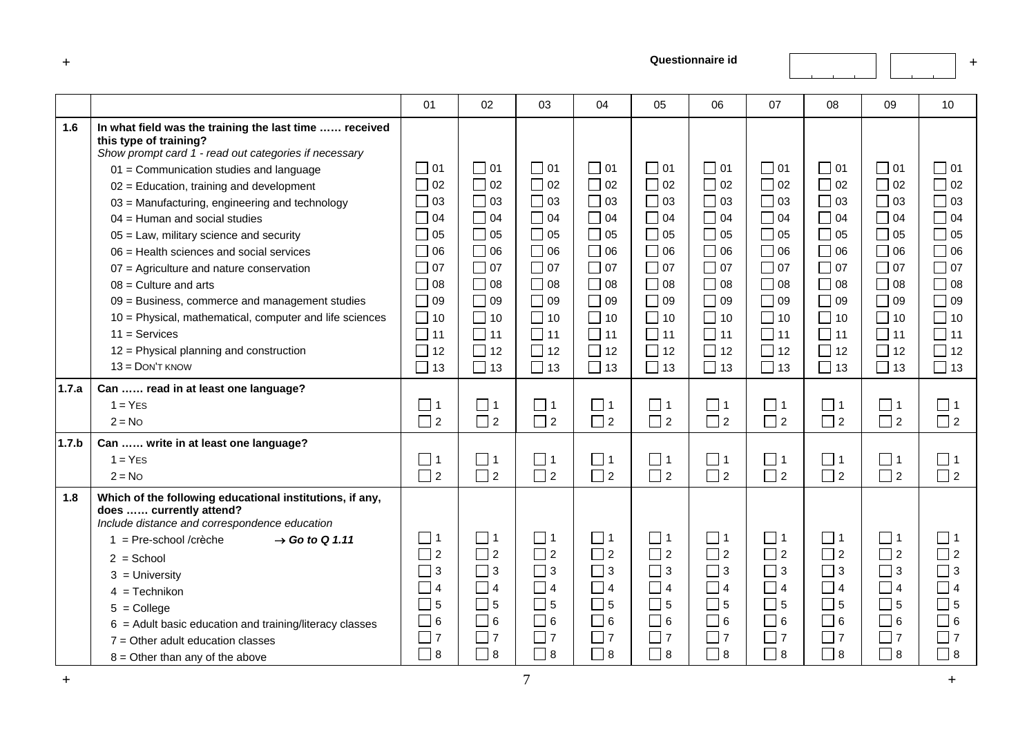|       |                                                                                                                                                                                                                                                                                                                                                                                                                   | 01                                                                                                                         | 02                                                                                                                | 03                                                                                                                                  | 04                                                                                                                           | 05                                                                                                              | 06                                                                                                                | 07                                                                                                                            | 08                                                                                                             | 09                                                                                                                | 10                                                                                                                                                 |
|-------|-------------------------------------------------------------------------------------------------------------------------------------------------------------------------------------------------------------------------------------------------------------------------------------------------------------------------------------------------------------------------------------------------------------------|----------------------------------------------------------------------------------------------------------------------------|-------------------------------------------------------------------------------------------------------------------|-------------------------------------------------------------------------------------------------------------------------------------|------------------------------------------------------------------------------------------------------------------------------|-----------------------------------------------------------------------------------------------------------------|-------------------------------------------------------------------------------------------------------------------|-------------------------------------------------------------------------------------------------------------------------------|----------------------------------------------------------------------------------------------------------------|-------------------------------------------------------------------------------------------------------------------|----------------------------------------------------------------------------------------------------------------------------------------------------|
| 1.6   | In what field was the training the last time  received<br>this type of training?<br>Show prompt card 1 - read out categories if necessary<br>01 = Communication studies and language<br>$02$ = Education, training and development<br>03 = Manufacturing, engineering and technology<br>$04$ = Human and social studies                                                                                           | $\Box$ 01<br>П<br>02<br>$\Box$ 03<br>$\Box$ 04                                                                             | $\Box$ 01<br>$\Box$ 02<br>$\Box$ 03<br>$\Box$ 04                                                                  | $\Box$ 01<br>$\Box$ 02<br>$\Box$ 03<br>$\Box$ 04                                                                                    | $\Box$ 01<br>$\Box$<br> 02<br>$\Box$ 03<br>$\Box$ 04                                                                         | $\Box$ 01<br>$\Box$ 02<br>$\Box$ 03<br>$\Box$ 04                                                                | $\Box$ 01<br>$\Box$ 02<br>$\Box$ 03<br>$\Box$ 04                                                                  | $\Box$ 01<br>$\Box$<br>02<br>$\Box$ 03<br>$\Box$ 04                                                                           | $\Box$ 01<br>$\Box$ 02<br>$\Box$ 03<br>$\Box$ 04                                                               | $\Box$ 01<br>$\Box$ 02<br>$\Box$ 03<br>$\Box$ 04                                                                  | $\Box$ 01<br>П<br>02<br>$\Box$ 03<br>$\Box$ 04                                                                                                     |
|       | $05$ = Law, military science and security<br>06 = Health sciences and social services<br>07 = Agriculture and nature conservation<br>$08$ = Culture and arts<br>09 = Business, commerce and management studies<br>10 = Physical, mathematical, computer and life sciences<br>$11 =$ Services<br>12 = Physical planning and construction<br>$13 =$ DON'T KNOW                                                      | $\Box$ 05<br>$\Box$ 06<br>$\Box$<br>07<br>$\Box$<br>08<br>$\Box$<br>09<br>$\Box$ 10<br>$\Box$ 11<br>$\Box$ 12<br>$\Box$ 13 | $\Box$ 05<br>$\Box$ 06<br>$\Box$ 07<br>$\Box$ 08<br>$\Box$ 09<br>$\Box$ 10<br>$\Box$ 11<br>$\Box$ 12<br>$\Box$ 13 | $\overline{\phantom{a}}$ 05<br>$\Box$ 06<br>$\Box$ 07<br>$\Box$ 08<br>$\Box$ 09<br>$\Box$ 10<br>$\Box$ 11<br>$\Box$ 12<br>$\Box$ 13 | $\Box$ 05<br>$\Box$<br> 06<br>$\Box$<br>07<br>$\Box$<br>08<br>Г<br>09<br>$\Box$ 10<br>$\Box$ 11<br>$\Box$<br>12<br>$\Box$ 13 | $\Box$ 05<br>$\Box$ 06<br>$\Box$ 07<br>$\Box$ 08<br>09<br>$\Box$ 10<br>$\Box$ 11<br>П<br>12<br>$\Box$ 13        | $\Box$ 05<br>$\Box$ 06<br>$\Box$ 07<br>$\Box$ 08<br>$\Box$ 09<br>$\Box$ 10<br>$\Box$ 11<br>$\Box$ 12<br>$\Box$ 13 | $\Box$ 05<br>$\Box$ 06<br>$\Box$<br>07<br>$\Box$<br>08<br>$\Box$<br>09<br>$\Box$ 10<br>$\Box$ 11<br>$\Box$<br>12<br>$\Box$ 13 | $\Box$ 05<br>$\Box$ 06<br>$\Box$ 07<br>$\Box$ 08<br> 09<br>$\Box$ 10<br>$\Box$ 11<br>$\Box$<br>12<br>$\Box$ 13 | $\Box$ 05<br>$\Box$ 06<br>$\Box$ 07<br>$\Box$ 08<br>$\Box$ 09<br>$\Box$ 10<br>$\Box$ 11<br>$\Box$ 12<br>$\Box$ 13 | $\Box$<br>  05<br>$\Box$<br>06<br>$\Box$<br>07<br>$\Box$<br>08<br>Г<br>09<br>$\Box$<br>10<br>$\Box$ 11<br>$\Box$<br>12<br>$\Box$ 13                |
| 1.7.a | Can  read in at least one language?<br>$1 = YES$<br>$2 = No$                                                                                                                                                                                                                                                                                                                                                      | $\Box$ 1<br>$\Box$ 2                                                                                                       | $\Box$ 1<br>$\Box$ 2                                                                                              | $\Box$ 1<br>$\Box$ 2                                                                                                                | $\Box$ 1<br>$\Box$ 2                                                                                                         | $\Box$ 1<br>$\Box$ 2                                                                                            | $\Box$ 1<br>$\Box$ 2                                                                                              | $\Box$ 1<br>$\Box$ 2                                                                                                          | $\Box$ 1<br>$\Box$ 2                                                                                           | $\Box$ 1<br>$\Box$ 2                                                                                              | $\Box$ 1<br>$\Box$ 2                                                                                                                               |
| 1.7.b | Can  write in at least one language?<br>$1 = YES$<br>$2 = No$                                                                                                                                                                                                                                                                                                                                                     | $\Box$ 1<br>$\Box$ 2                                                                                                       | $\Box$ 1<br>$\Box$ 2                                                                                              | $\Box$ 1<br>$\Box$ 2                                                                                                                | $\Box$ 1<br>$\Box$ 2                                                                                                         | $\Box$ 1<br>$\Box$ 2                                                                                            | $\square$ 1<br>$\Box$ 2                                                                                           | $\square$ 1<br>$\Box$ 2                                                                                                       | $\Box$ 1<br>$\Box$ 2                                                                                           | $\Box$ 1<br>$\Box$ 2                                                                                              | $\Box$ 1<br>$\Box$ 2                                                                                                                               |
| 1.8   | Which of the following educational institutions, if any,<br>does  currently attend?<br>Include distance and correspondence education<br>$1 = Pre-school/crèche$<br>$\rightarrow$ Go to Q 1.11<br>$2 =$ School<br>$3 =$ University<br>$4 = Technikon$<br>$=$ College<br>5<br>$6$ = Adult basic education and training/literacy classes<br>$7$ = Other adult education classes<br>$8 =$ Other than any of the above | $\Box$ 1<br>$\Box$ 2<br>$\Box$<br>3<br>4<br>$\Box$<br>5<br>$\Box$ 6<br>$\Box$ 7<br>$\Box$ 8                                | $\Box$ 1<br>$\Box$ 2<br>$\Box$ 3<br>$\Box$ 4<br>$\Box$ 5<br>$\Box$ 6<br>$\Box$ 7<br>$\Box$ 8                      | $\Box$ 1<br>$\Box$ 2<br>$\Box$ 3<br>$\Box$ 4<br>$\Box$ 5<br>$\Box$ 6<br>$\Box$ 7<br>$\Box$ 8                                        | $\Box$ 1<br>$\Box$ 2<br>$\Box$ 3<br>$\Box$ 4<br>$\Box$ 5<br>$\Box$ 6<br>$\Box$ 7<br>$\Box$ 8                                 | $\Box$ 1<br>$\Box$ 2<br>$\Box$<br>3<br>$\Box$<br>$\overline{4}$<br>$\Box$ 5<br>$\Box$ 6<br>$\Box$ 7<br>$\Box$ 8 | $\Box$ 1<br>$\Box$ 2<br>$\Box$ 3<br>$\Box$ 4<br>$\Box$ 5<br>$\Box$ 6<br>$\Box$ 7<br>$\Box$ 8                      | $\square$ 1<br>$\Box$ 2<br>$\Box$<br>3<br>$\Box$<br>$\overline{4}$<br>$\square$ 5<br>$\Box$ 6<br>$\Box$ 7<br>$\Box$ 8         | $\Box$ 1<br>$\Box$ 2<br>$\Box$ 3<br>$\Box$ 4<br>$\Box$ 5<br>$\Box$ 6<br>$\Box$ 7<br>$\Box$ 8                   | $\Box$ 1<br>$\Box$ 2<br>$\Box$ 3<br>$\Box$ 4<br>$\Box$ 5<br>$\Box$ 6<br>$\Box$ 7<br>$\Box$ 8                      | $\Box$ 1<br>$\Box$<br>$\overline{2}$<br>3<br>$\overline{4}$<br>$\overline{\phantom{a}}$<br>5<br>$\Box$ 6<br>$\Box$ 7<br>$\overline{\phantom{a}}$ 8 |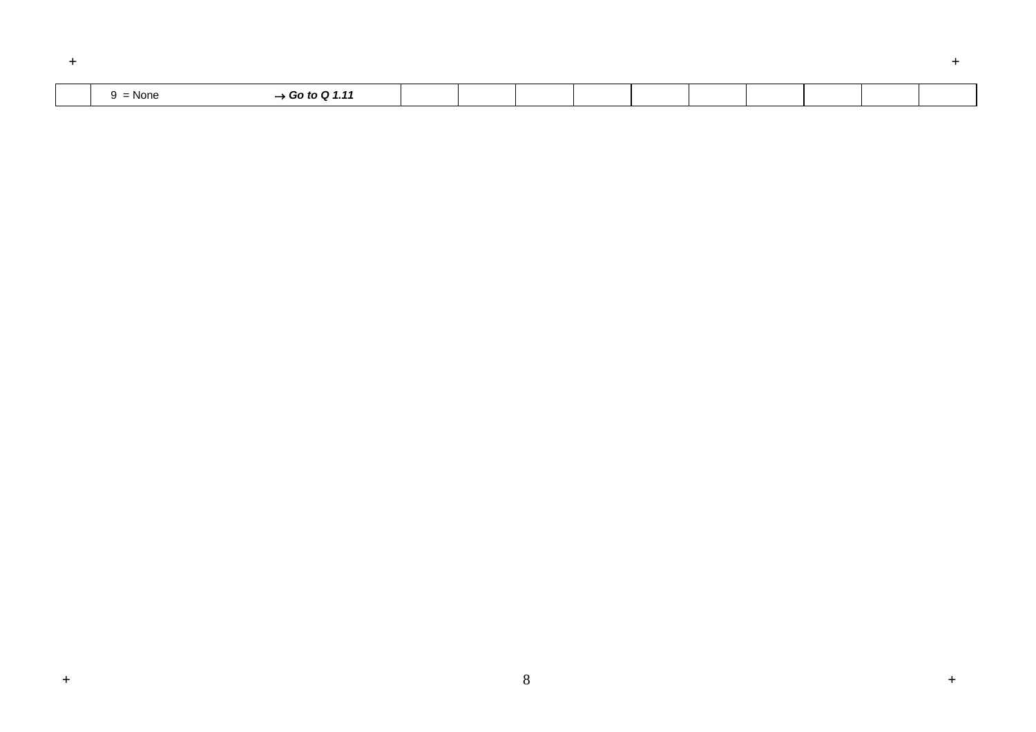**+ +** 

| <b>Nono</b><br>. |  |
|------------------|--|

 $\pm$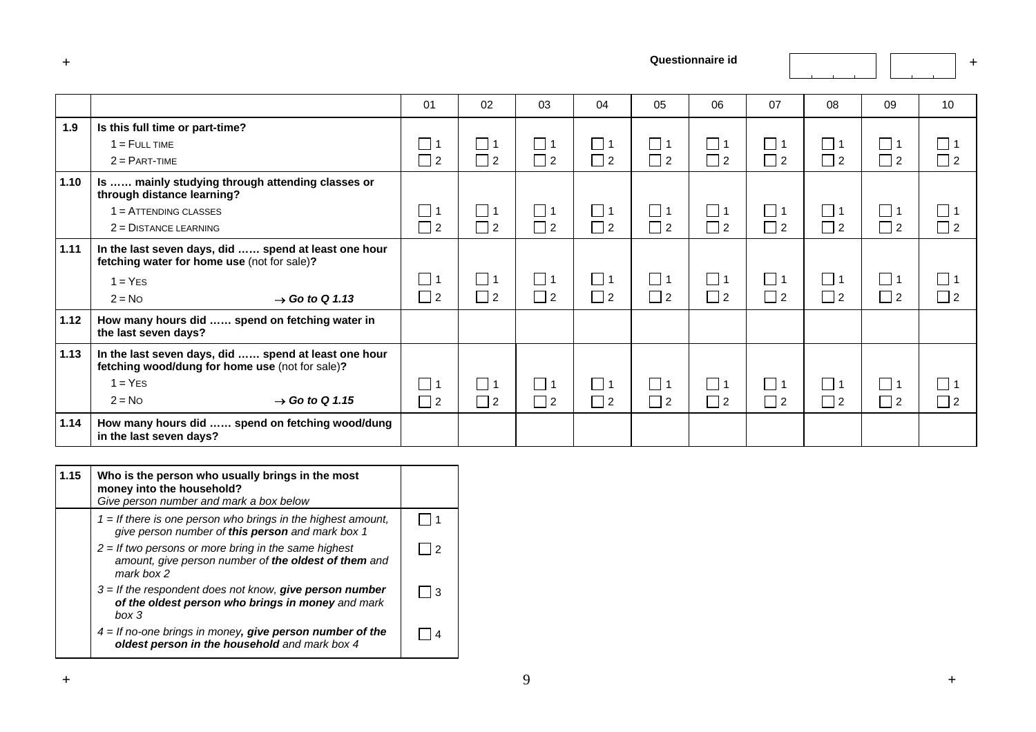|      |                                                                                                                                                                | 01                      | 02                   | 03                   | 04                   | 05                          | 06                      | 07                      | 08                   | 09                   | 10                        |
|------|----------------------------------------------------------------------------------------------------------------------------------------------------------------|-------------------------|----------------------|----------------------|----------------------|-----------------------------|-------------------------|-------------------------|----------------------|----------------------|---------------------------|
| 1.9  | Is this full time or part-time?<br>$1 =$ FULL TIME<br>$2 = PART-TIME$                                                                                          | $\Box$ 1<br>$\Box$ 2    | $\Box$ 1<br>$\Box$ 2 | $\Box$ 1<br>$\Box$ 2 | $\Box$ 1<br>$\Box$ 2 | $\overline{11}$<br>$\Box$ 2 | $\Box$ 1<br>$\Box$ 2    | $\Box$ 1<br>$\Box$ 2    | $\Box$ 1<br>$\Box$ 2 | $\Box$ 1<br>$\Box$ 2 | ▔▎<br>$\Box$ 2            |
| 1.10 | Is  mainly studying through attending classes or<br>through distance learning?<br>$1 =$ ATTENDING CLASSES<br>$2 =$ DISTANCE LEARNING                           | $\Box$ 1<br>$\Box$ 2    | $\Box$ 1<br>$\Box$ 2 | $\Box$ 1<br>$\Box$ 2 | $\Box$ 1<br>$\Box$ 2 | $\Box$ 1<br>$\Box$ 2        | $\Box$ 1<br>$\Box$ 2    | $\Box$ 1<br>$\Box$ 2    | $\Box$ 1<br>$\Box$ 2 | $\Box$ 1<br>$\Box$ 2 | ▔▎<br>$\Box$ 2            |
| 1.11 | In the last seven days, did  spend at least one hour<br>fetching water for home use (not for sale)?<br>$1 = YES$<br>$2 = No$<br>$\rightarrow$ Go to Q 1.13     | $\Box$ 1<br>$\Box$ 2    | $\Box$ 1<br>$\Box$ 2 | $\Box$ 1<br>$\Box$ 2 | $\Box$ 1<br>$\Box$ 2 | $\vert$   1<br>$\Box$ 2     | $\square$ 1<br>$\Box$ 2 | $\Box$ 1<br>$\Box$ 2    | $\Box$ 1<br>$\Box$ 2 | $\Box$ 1<br>$\Box$ 2 | $\Box$ 1<br>$\sqsupset$ 2 |
| 1.12 | How many hours did  spend on fetching water in<br>the last seven days?                                                                                         |                         |                      |                      |                      |                             |                         |                         |                      |                      |                           |
| 1.13 | In the last seven days, did  spend at least one hour<br>fetching wood/dung for home use (not for sale)?<br>$1 = YES$<br>$2 = No$<br>$\rightarrow$ Go to Q 1.15 | $\square$ 1<br>$\Box$ 2 | $\Box$ 1<br>$\Box$ 2 | $\Box$ 1<br>$\Box$ 2 | $\Box$ 1<br>$\Box$ 2 | l 11<br>$\Box$ 2            | $\Box$ 1<br>$\Box$ 2    | $\square$ 1<br>$\Box$ 2 | $\Box$ 1<br>$\Box$ 2 | $\Box$ 1<br>$\Box$ 2 | □ 1<br>$\sqsupset$ 2      |
| 1.14 | How many hours did  spend on fetching wood/dung<br>in the last seven days?                                                                                     |                         |                      |                      |                      |                             |                         |                         |                      |                      |                           |

| 1.15 | Who is the person who usually brings in the most<br>money into the household?<br>Give person number and mark a box below     |  |
|------|------------------------------------------------------------------------------------------------------------------------------|--|
|      | $1 =$ If there is one person who brings in the highest amount,<br>give person number of this person and mark box 1           |  |
|      | $2 =$ If two persons or more bring in the same highest<br>amount, give person number of the oldest of them and<br>mark hox 2 |  |
|      | $3 =$ If the respondent does not know, give person number<br>of the oldest person who brings in money and mark<br>box 3      |  |
|      | $4 =$ If no-one brings in money, give person number of the<br>oldest person in the household and mark box 4                  |  |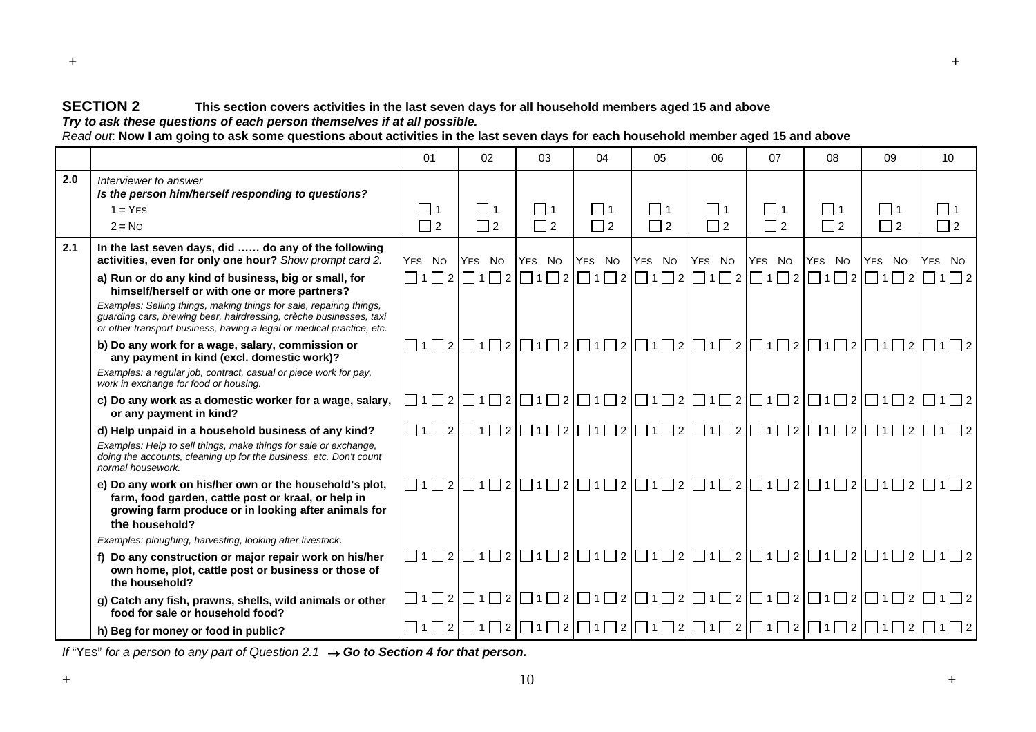### **SECTION 2This section covers activities in the last seven days for all household members aged 15 and above**

*Try to ask these questions of each person themselves if at all possible.* 

*Read out*: **Now I am going to ask some questions about activities in the last seven days for each household member aged 15 and above**

|     |                                                                                                                                                                                                                                                                                                                             | 01                   | 02 <sub>o</sub>      | 0 <sub>3</sub>       | 04                   | 0 <sub>5</sub>       | 06                   | 07                   | 08                                                                                                                                                          | 0.9 <sub>o</sub>     | 10                   |
|-----|-----------------------------------------------------------------------------------------------------------------------------------------------------------------------------------------------------------------------------------------------------------------------------------------------------------------------------|----------------------|----------------------|----------------------|----------------------|----------------------|----------------------|----------------------|-------------------------------------------------------------------------------------------------------------------------------------------------------------|----------------------|----------------------|
| 2.0 | Interviewer to answer<br>Is the person him/herself responding to questions?<br>$1 = YES$<br>$2 = No$                                                                                                                                                                                                                        | $\Box$ 1<br>$\Box$ 2 | $\Box$ 1<br>$\Box$ 2 | $\Box$ 1<br>$\Box$ 2 | $\Box$ 1<br>$\Box$ 2 | $\Box$ 1<br>$\Box$ 2 | $\Box$ 1<br>$\Box$ 2 | $\Box$ 1<br>$\Box$ 2 | $\Box$ 1<br>$\Box$ 2                                                                                                                                        | $\Box$ 1<br>$\Box$ 2 | $\Box$ 1<br>$\Box$ 2 |
| 2.1 | In the last seven days, did  do any of the following<br>activities, even for only one hour? Show prompt card 2.                                                                                                                                                                                                             | YES NO               | YES NO               | YES NO               | YES NO YES NO YES NO |                      |                      |                      | YES NO YES NO YES NO                                                                                                                                        |                      | YES NO               |
|     | a) Run or do any kind of business, big or small, for<br>himself/herself or with one or more partners?<br>Examples: Selling things, making things for sale, repairing things,<br>guarding cars, brewing beer, hairdressing, crèche businesses, taxi<br>or other transport business, having a legal or medical practice, etc. |                      |                      |                      |                      |                      |                      |                      | $\Box$ 1 \Box 2 \Box 1 \Box 2 \Box 1 \Box 2 \Box 1 \Box 2 \Box 1 \Box 2 \Box 1 \Box 2 \Box 1 \Box 2 \Box 1 \Box 2 \Box 1 \Box 2 \Box 1 \Box 2 \Box 1 \Box 2 |                      |                      |
|     | b) Do any work for a wage, salary, commission or<br>any payment in kind (excl. domestic work)?<br>Examples: a regular job, contract, casual or piece work for pay,<br>work in exchange for food or housing.                                                                                                                 |                      |                      |                      |                      |                      |                      |                      |                                                                                                                                                             |                      |                      |
|     | c) Do any work as a domestic worker for a wage, salary,<br>or any payment in kind?                                                                                                                                                                                                                                          |                      |                      |                      |                      |                      |                      |                      | $\Box$ 1 \Box 2 \Box 1 \Box 2 \Box 1 \Box 2 \Box 1 \Box 2 \Box 1 \Box 2 \Box 1 \Box 2 \Box 1 \Box 2 \Box 1 \Box 2 \Box 1 \Box 2 \Box 1 \Box 2 \Box 1 \Box 2 |                      |                      |
|     | d) Help unpaid in a household business of any kind?<br>Examples: Help to sell things, make things for sale or exchange,<br>doing the accounts, cleaning up for the business, etc. Don't count<br>normal housework.                                                                                                          |                      |                      |                      |                      |                      |                      |                      |                                                                                                                                                             |                      |                      |
|     | e) Do any work on his/her own or the household's plot,<br>farm, food garden, cattle post or kraal, or help in<br>growing farm produce or in looking after animals for<br>the household?                                                                                                                                     |                      |                      |                      |                      |                      |                      |                      | $\Box$ 1 \Box 2 \Box 1 \Box 2 \Box 1 \Box 2 \Box 1 \Box 2 \Box 1 \Box 2 \Box 1 \Box 2 \Box 1 \Box 2 \Box 1 \Box 2 \Box 1 \Box 2 \Box 1 \Box 2 \Box 1 \Box 2 |                      |                      |
|     | Examples: ploughing, harvesting, looking after livestock.                                                                                                                                                                                                                                                                   |                      |                      |                      |                      |                      |                      |                      |                                                                                                                                                             |                      |                      |
|     | f) Do any construction or major repair work on his/her<br>own home, plot, cattle post or business or those of<br>the household?                                                                                                                                                                                             |                      |                      |                      |                      |                      |                      |                      | $\Box$ 1 \Box 2 \Box 1 \Box 2 \Box 1 \Box 2 \Box 1 \Box 2 \Box 1 \Box 2 \Box 1 \Box 2 \Box 1 \Box 2 \Box 1 \Box 2 \Box 1 \Box 2 \Box 1 \Box 2 \Box 1 \Box 2 |                      |                      |
|     | g) Catch any fish, prawns, shells, wild animals or other<br>food for sale or household food?                                                                                                                                                                                                                                |                      |                      |                      |                      |                      |                      |                      | $\Box$ 1 \Box 2 \Box 1 \Box 2 \Box 1 \Box 2 \Box 1 \Box 2 \Box 1 \Box 2 \Box 1 \Box 2 \Box 1 \Box 2 \Box 1 \Box 2 \Box 1 \Box 2 \Box 1 \Box 2 \Box 1 \Box 2 |                      |                      |
|     | h) Beg for money or food in public?                                                                                                                                                                                                                                                                                         |                      |                      |                      |                      |                      |                      |                      | $\Box$ 1 \Box 2 \Box 1 \Box 2 \Box 1 \Box 2 \Box 1 \Box 2 \Box 1 \Box 2 \Box 1 \Box 2 \Box 1 \Box 2 \Box 1 \Box 2 \Box 1 \Box 2 \Box 1 \Box 2 \Box 1 \Box 2 |                      |                      |

*If* "YES" for a person to any part of Question 2.1 → **Go to Section 4 for that person.**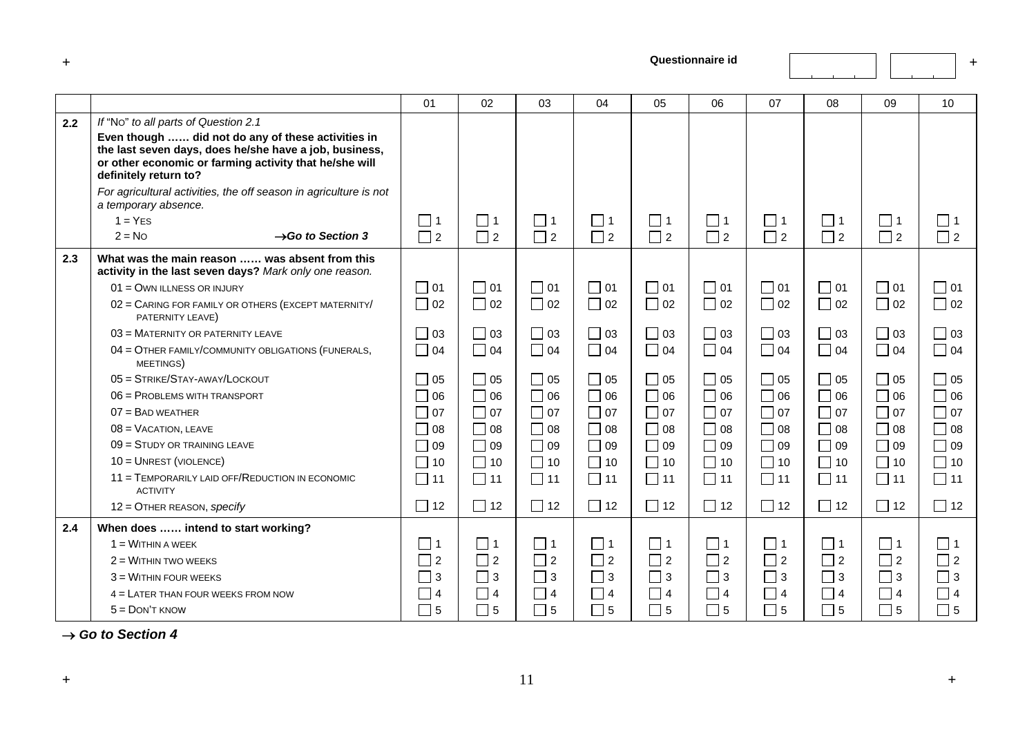|     |                                                                                                                                                                                                                                                                                                                                                                                                                                                                                                                                                                                  | 01                                                                                                                                      | 02                                                                                                                                          | 03                                                                                                                                               | 04                                                                                                                                          | 05                                                                                                                                          | 06                                                                                                                                          | 07                                                                                                                                   | 08                                                                                                                                          | 09                                                                                                                                          | 10                                                                                                                                          |
|-----|----------------------------------------------------------------------------------------------------------------------------------------------------------------------------------------------------------------------------------------------------------------------------------------------------------------------------------------------------------------------------------------------------------------------------------------------------------------------------------------------------------------------------------------------------------------------------------|-----------------------------------------------------------------------------------------------------------------------------------------|---------------------------------------------------------------------------------------------------------------------------------------------|--------------------------------------------------------------------------------------------------------------------------------------------------|---------------------------------------------------------------------------------------------------------------------------------------------|---------------------------------------------------------------------------------------------------------------------------------------------|---------------------------------------------------------------------------------------------------------------------------------------------|--------------------------------------------------------------------------------------------------------------------------------------|---------------------------------------------------------------------------------------------------------------------------------------------|---------------------------------------------------------------------------------------------------------------------------------------------|---------------------------------------------------------------------------------------------------------------------------------------------|
| 2.2 | If "No" to all parts of Question 2.1<br>Even though  did not do any of these activities in<br>the last seven days, does he/she have a job, business,<br>or other economic or farming activity that he/she will<br>definitely return to?<br>For agricultural activities, the off season in agriculture is not<br>a temporary absence.<br>$1 = YES$<br>$2 = No$<br>$\rightarrow$ Go to Section 3                                                                                                                                                                                   | $\Box$ 1<br>$\Box$ 2                                                                                                                    | $\Box$ 1<br>$\Box$ 2                                                                                                                        | $\Box$ 1<br>$\Box$ 2                                                                                                                             | $\Box$ 1<br>$\Box$ 2                                                                                                                        | $\Box$ 1<br>$\prod$ <sub>2</sub>                                                                                                            | $\Box$ 1<br>$\Box$ 2                                                                                                                        | $\Box$ 1<br>$\Box$ 2                                                                                                                 | $\Box$ 1<br>$\Box$ 2                                                                                                                        | $\Box$ 1<br>$\Box$ 2                                                                                                                        | $\Box$ 1<br>$\Box$ 2                                                                                                                        |
| 2.3 | What was the main reason  was absent from this<br>activity in the last seven days? Mark only one reason.<br>$01 =$ OWN ILLNESS OR INJURY<br>02 = CARING FOR FAMILY OR OTHERS (EXCEPT MATERNITY/<br>PATERNITY LEAVE)<br>03 = MATERNITY OR PATERNITY LEAVE<br>04 = OTHER FAMILY/COMMUNITY OBLIGATIONS (FUNERALS,<br>MEETINGS)<br>05 = STRIKE/STAY-AWAY/LOCKOUT<br>$06 =$ PROBLEMS WITH TRANSPORT<br>$07 =$ BAD WEATHER<br>$08 =$ VACATION, LEAVE<br>$09 =$ STUDY OR TRAINING LEAVE<br>10 = UNREST (VIOLENCE)<br>11 = TEMPORARILY LAID OFF/REDUCTION IN ECONOMIC<br><b>ACTIVITY</b> | $\Box$ 01<br>$\Box$ 02<br>$\Box$ 03<br>$\Box$ 04<br>$\Box$ 05<br>$\bigcap$ 06<br>$\Box$ 07<br>$\Box$ 08<br>09<br>$\Box$ 10<br>$\Box$ 11 | $\Box$ 01<br>$\Box$ 02<br>$\Box$ 03<br>$\Box$ 04<br>$\Box$ 05<br>$\Box$ 06<br>$\Box$ 07<br>$\Box$ 08<br>$\Box$ 09<br>$\Box$ 10<br>$\Box$ 11 | $\Box$ 01<br>$\Box$ 02<br>$\Box$ 03<br>$\Box$ 04<br>$\sqsupset$ 05<br>$\Box$ 06<br>$\Box$ 07<br>$\Box$ 08<br>$\Box$ 09<br>$\Box$ 10<br>$\Box$ 11 | $\Box$ 01<br>$\Box$ 02<br>$\Box$ 03<br>$\Box$ 04<br>$\Box$ 05<br>$\Box$ 06<br>$\Box$ 07<br>$\Box$ 08<br>$\Box$ 09<br>$\Box$ 10<br>$\Box$ 11 | $\Box$ 01<br>$\Box$ 02<br>$\Box$ 03<br>$\Box$ 04<br>$\Box$ 05<br>$\Box$ 06<br>$\Box$ 07<br>$\Box$ 08<br>$\Box$ 09<br>$\Box$ 10<br>$\Box$ 11 | $\Box$ 01<br>$\Box$ 02<br>$\Box$ 03<br>$\Box$ 04<br>$\Box$ 05<br>$\Box$ 06<br>$\Box$ 07<br>$\Box$ 08<br>$\Box$ 09<br>$\Box$ 10<br>$\Box$ 11 | $\Box$ 01<br>$\Box$ 02<br>$\Box$ 03<br>$\Box$ 04<br>$\Box$ 05<br>$\Box$ 06<br>$\Box$ 07<br>$\Box$ 08<br>$\Box$ 09<br>10<br>$\Box$ 11 | $\Box$ 01<br>$\Box$ 02<br>$\Box$ 03<br>$\Box$ 04<br>$\Box$ 05<br>$\Box$ 06<br>$\Box$ 07<br>$\Box$ 08<br>$\Box$ 09<br>$\Box$ 10<br>$\Box$ 11 | $\Box$ 01<br>$\Box$ 02<br>$\Box$ 03<br>$\Box$ 04<br>$\Box$ 05<br>$\Box$ 06<br>$\Box$ 07<br>$\Box$ 08<br>$\Box$ 09<br>$\Box$ 10<br>$\Box$ 11 | $\Box$ 01<br>$\Box$ 02<br>$\Box$ 03<br>$\Box$ 04<br>$\Box$ 05<br>$\Box$ 06<br>$\Box$ 07<br>$\Box$ 08<br>$\Box$ 09<br>$\Box$ 10<br>$\Box$ 11 |
| 2.4 | 12 = OTHER REASON, specify<br>When does  intend to start working?<br>$1 =$ WITHIN A WEEK                                                                                                                                                                                                                                                                                                                                                                                                                                                                                         | $\Box$ 12<br>$\Box$ 1                                                                                                                   | $\Box$ 12<br>$\Box$ 1                                                                                                                       | $\Box$ 12<br>$\Box$ 1                                                                                                                            | $\Box$ 12<br>$\Box$ 1                                                                                                                       | $\Box$ 12<br>$\Box$ 1                                                                                                                       | $\Box$ 12<br>$\Box$ 1                                                                                                                       | $\Box$ 12<br>$\Box$ 1                                                                                                                | $\Box$ 12<br>$\Box$ 1                                                                                                                       | $\Box$ 12<br>$\Box$ 1                                                                                                                       | $\Box$ 12<br>$\Box$ 1                                                                                                                       |
|     | $2 = W$ ITHIN TWO WEEKS<br>$3 =$ WITHIN FOUR WEEKS<br>$4 =$ LATER THAN FOUR WEEKS FROM NOW<br>$5 =$ DON'T KNOW                                                                                                                                                                                                                                                                                                                                                                                                                                                                   | $\Box$ 2<br>$\Box$ 3<br>$\Box$ 4<br>$\Box$ 5                                                                                            | $\Box$ 2<br>$\Box$ 3<br>$\Box$ 4<br>$\Box$ 5                                                                                                | $\Box$ 2<br>$\Box$ 3<br>$\Box$ 4<br>$\Box$ 5                                                                                                     | $\Box$ 2<br>$\Box$ 3<br>$\Box$ 4<br>$\Box$ 5                                                                                                | $\Box$ 2<br>$\Box$ 3<br>$\Box$ 4<br>$\Box$ 5                                                                                                | $\Box$ 2<br>$\Box$ 3<br>$\Box$ 4<br>$\Box$ 5                                                                                                | $\Box$ 2<br>$\Box$ 3<br>$\Box$ 4<br>$\Box$ 5                                                                                         | $\Box$ 2<br>$\Box$ 3<br>$\Box$ 4<br>$\Box$ 5                                                                                                | $\Box$ 2<br>$\Box$ 3<br>$\Box$ 4<br>$\Box$ 5                                                                                                | $\Box$ 2<br>$\Box$ 3<br>$\Box$ 4<br>$\Box$ 5                                                                                                |

→ *Go to Section 4*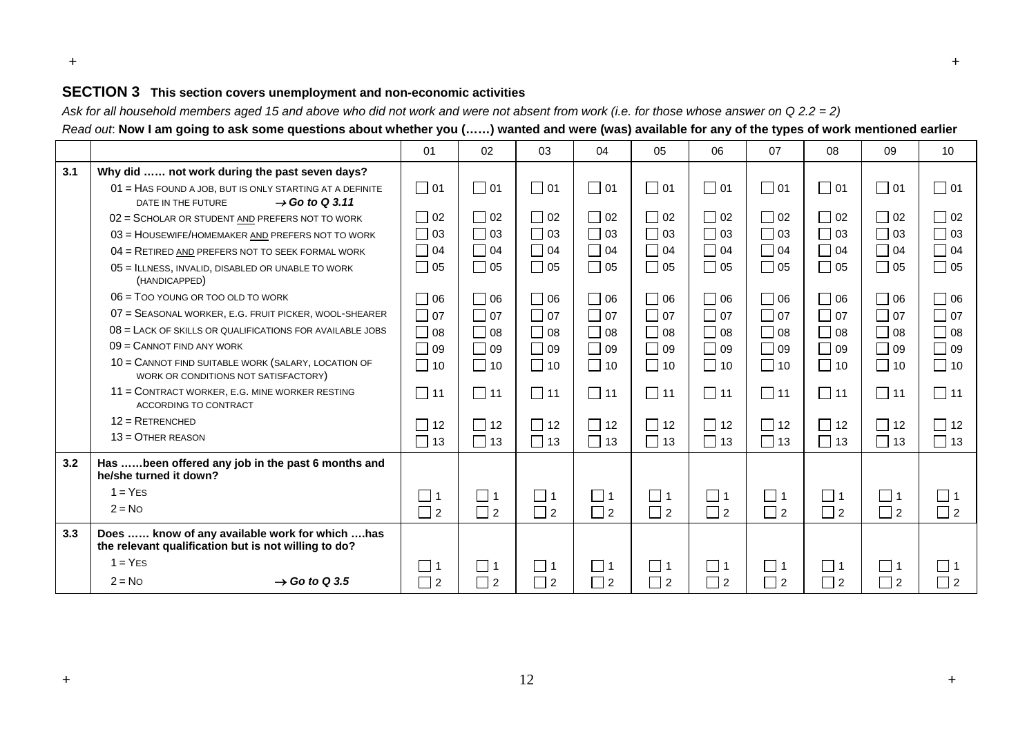## **SECTION 3 This section covers unemployment and non-economic activities**

*Ask for all household members aged 15 and above who did not work and were not absent from work (i.e. for those whose answer on Q 2.2 = 2) Read out*: **Now I am going to ask some questions about whether you (……) wanted and were (was) available for any of the types of work mentioned earlier**

|     |                                                                                                        | 01        | 02        | 03        | 04        | 05        | 06        | 07        | 08          | 09        | 10        |
|-----|--------------------------------------------------------------------------------------------------------|-----------|-----------|-----------|-----------|-----------|-----------|-----------|-------------|-----------|-----------|
| 3.1 | Why did  not work during the past seven days?                                                          |           |           |           |           |           |           |           |             |           |           |
|     | 01 = HAS FOUND A JOB, BUT IS ONLY STARTING AT A DEFINITE                                               | $\Box$ 01 | $\Box$ 01 | $\Box$ 01 | $\Box$ 01 | $\Box$ 01 | $\Box$ 01 | $\Box$ 01 | $\Box$ 01   | $\Box$ 01 | $\Box$ 01 |
|     | $\rightarrow$ Go to Q 3.11<br>DATE IN THE FUTURE                                                       |           |           |           |           |           |           |           |             |           |           |
|     | 02 = SCHOLAR OR STUDENT AND PREFERS NOT TO WORK                                                        | $\Box$ 02 | $\Box$ 02 | $\Box$ 02 | $\Box$ 02 | $\Box$ 02 | $\Box$ 02 | $\Box$ 02 | $\Box$ 02   | $\Box$ 02 | $\Box$ 02 |
|     | 03 = HOUSEWIFE/HOMEMAKER AND PREFERS NOT TO WORK                                                       | $\Box$ 03 | $\Box$ 03 | $\Box$ 03 | $\Box$ 03 | $\Box$ 03 | $\Box$ 03 | $\Box$ 03 | $\Box$ 03   | $\Box$ 03 | $\Box$ 03 |
|     | 04 = RETIRED AND PREFERS NOT TO SEEK FORMAL WORK                                                       | $\Box$ 04 | $\Box$ 04 | $\Box$ 04 | $\Box$ 04 | $\Box$ 04 | $\Box$ 04 | $\Box$ 04 | $\Box$ 04   | $\Box$ 04 | $\Box$ 04 |
|     | 05 = ILLNESS, INVALID, DISABLED OR UNABLE TO WORK<br>(HANDICAPPED)                                     | $\Box$ 05 | $\Box$ 05 | $\Box$ 05 | $\Box$ 05 | $\Box$ 05 | $\Box$ 05 | $\Box$ 05 | $\Box$ 05   | $\Box$ 05 | $\Box$ 05 |
|     | $06 =$ Too Young OR TOO OLD TO WORK                                                                    | $\Box$ 06 | $\Box$ 06 | $\Box$ 06 | $\Box$ 06 | $\Box$ 06 | $\Box$ 06 | $\Box$ 06 | $\Box$ 06   | $\Box$ 06 | $\Box$ 06 |
|     | 07 = SEASONAL WORKER, E.G. FRUIT PICKER, WOOL-SHEARER                                                  | $\Box$ 07 | $\Box$ 07 | $\Box$ 07 | $\Box$ 07 | $\Box$ 07 | $\Box$ 07 | $\Box$ 07 | $\Box$ 07   | $\Box$ 07 | $\Box$ 07 |
|     | 08 = LACK OF SKILLS OR QUALIFICATIONS FOR AVAILABLE JOBS                                               | $\Box$ 08 | $\Box$ 08 | $\Box$ 08 | $\Box$ 08 | $\Box$ 08 | $\Box$ 08 | $\Box$ 08 | $\Box$ 08   | $\Box$ 08 | $\Box$ 08 |
|     | $09 =$ CANNOT FIND ANY WORK                                                                            | $\Box$ 09 | $\Box$ 09 | $\Box$ 09 | $\Box$ 09 | $\Box$ 09 | $\Box$ 09 | $\Box$ 09 | $\Box$ 09   | $\Box$ 09 | $\Box$ 09 |
|     | 10 = CANNOT FIND SUITABLE WORK (SALARY, LOCATION OF<br>WORK OR CONDITIONS NOT SATISFACTORY)            | $\Box$ 10 | $\Box$ 10 | $\Box$ 10 | $\Box$ 10 | $\Box$ 10 | $\Box$ 10 | $\Box$ 10 | $\Box$ 10   | $\Box$ 10 | $\Box$ 10 |
|     | 11 = CONTRACT WORKER, E.G. MINE WORKER RESTING<br>ACCORDING TO CONTRACT                                | $\Box$ 11 | $\Box$ 11 | $\Box$ 11 | $\Box$ 11 | $\Box$ 11 | $\Box$ 11 | $\Box$ 11 | $\Box$ 11   | $\Box$ 11 | $\Box$ 11 |
|     | $12 =$ RETRENCHED                                                                                      | $\Box$ 12 | $\Box$ 12 | $\Box$ 12 | $\Box$ 12 | $\Box$ 12 | $\Box$ 12 | $\Box$ 12 | $\Box$ 12   | $\Box$ 12 | $\Box$ 12 |
|     | $13 =$ OTHER REASON                                                                                    | $\Box$ 13 | $\Box$ 13 | $\Box$ 13 | $\Box$ 13 | $\Box$ 13 | $\Box$ 13 | $\Box$ 13 | $\Box$ 13   | $\Box$ 13 | $\Box$ 13 |
| 3.2 | Has been offered any job in the past 6 months and<br>he/she turned it down?                            |           |           |           |           |           |           |           |             |           |           |
|     | $1 = YES$                                                                                              | $\Box$ 1  | $\Box$ 1  | $\Box$ 1  | $\Box$ 1  | $\Box$ 1  | $\Box$ 1  | $\Box$ 1  | $\square$ 1 | $\Box$ 1  | $\Box$ 1  |
|     | $2 = No$                                                                                               | $\Box$ 2  | $\Box$ 2  | $\Box$ 2  | $\Box$ 2  | $\Box$ 2  | $\Box$ 2  | $\Box$ 2  | $\Box$ 2    | $\Box$ 2  | $\Box$ 2  |
| 3.3 | Does  know of any available work for which has<br>the relevant qualification but is not willing to do? |           |           |           |           |           |           |           |             |           |           |
|     | $1 = YES$                                                                                              | $\Box$ 1  | $\Box$ 1  | $\Box$ 1  | □ 1       | $\Box$ 1  | $\Box$ 1  | $\Box$ 1  | $\Box$ 1    | $\Box$ 1  | $\Box$ 1  |
|     | $2 = No$<br>$\rightarrow$ Go to Q 3.5                                                                  | $\Box$ 2  | $\Box$ 2  | $\Box$ 2  | $\Box$ 2  | $\Box$ 2  | $\Box$ 2  | $\Box$ 2  | $\Box$ 2    | $\Box$ 2  | $\Box$ 2  |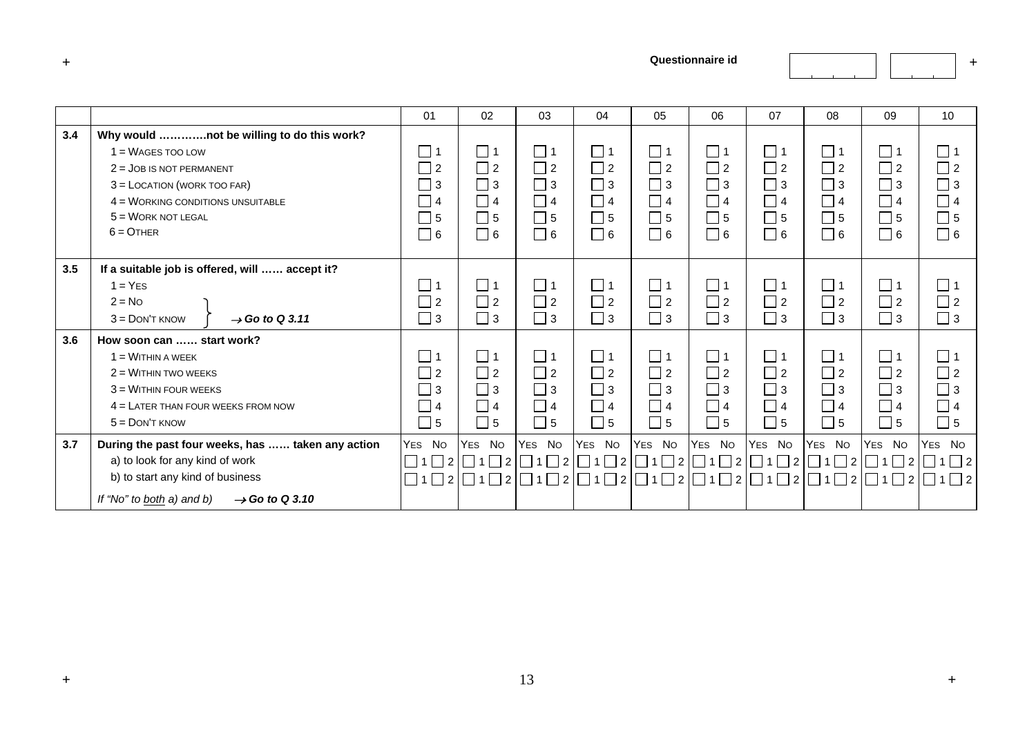|     |                                                                                                                                                                                                                                 | 01                                                             | 02                                                                   | 03                                                                                     | 04                                                                   | 05                                                                   | 06                                                                                                                                                                                                                                                                                                                                   | 07                                                                   | 08                                                                   | 09                                                                                                                         | 10                                                                   |
|-----|---------------------------------------------------------------------------------------------------------------------------------------------------------------------------------------------------------------------------------|----------------------------------------------------------------|----------------------------------------------------------------------|----------------------------------------------------------------------------------------|----------------------------------------------------------------------|----------------------------------------------------------------------|--------------------------------------------------------------------------------------------------------------------------------------------------------------------------------------------------------------------------------------------------------------------------------------------------------------------------------------|----------------------------------------------------------------------|----------------------------------------------------------------------|----------------------------------------------------------------------------------------------------------------------------|----------------------------------------------------------------------|
| 3.4 | Why would not be willing to do this work?<br>$1 = W \triangle AGES$ TOO LOW<br>$2 =$ JOB IS NOT PERMANENT<br>$3 =$ LOCATION (WORK TOO FAR)<br>$4 = \text{WORKING CONDITIONS UNSUITABLE}$<br>$5 =$ WORK NOT LEGAL<br>$6 =$ OTHER | $\Box$ 1<br>$\Box$ 2<br>$\perp$ 3<br>│ │ 4<br>   5<br>$\Box$ 6 | $\Box$ 1<br>$\Box$ 2<br>$\Box$ 3<br>$\Box$ 4<br>$\Box$ 5<br>$\Box$ 6 | $\Box$ 1<br>$\Box$ 2<br>$\Box$ 3<br>$\overline{\phantom{0}}$ 4<br>$\Box$ 5<br>$\Box$ 6 | $\Box$ 1<br>$\Box$ 2<br>$\Box$ 3<br>$\Box$ 4<br>$\Box$ 5<br>$\Box$ 6 | $\Box$ 1<br>$\Box$ 2<br>$\Box$ 3<br>$\Box$ 4<br>$\Box$ 5<br>$\Box$ 6 | $\Box$ 1<br>$\sqsupset$ 2<br>ヿз<br>$\Box$ 4<br>$\Box$ 5<br>$\Box$ 6                                                                                                                                                                                                                                                                  | $\Box$ 1<br>$\Box$ 2<br>$\Box$ 3<br>$\Box$ 4<br>$\Box$ 5<br>$\Box$ 6 | $\Box$ 1<br>$\Box$ 2<br>$\Box$ 3<br>$\Box$ 4<br>$\Box$ 5<br>$\Box$ 6 | $\Box$ 1<br>$\overline{\phantom{a}}$ 2<br>$\Box$ 3<br>$\overline{\phantom{a}}$ 4<br>$\Box$ 5<br>$\overline{\phantom{0}}$ 6 | $\Box$ 1<br>$\Box$ 2<br>$\Box$ 3<br>$\Box$ 4<br>$\Box$ 5<br>$\Box$ 6 |
| 3.5 | If a suitable job is offered, will  accept it?<br>$1 = YES$<br>$2 = No$<br>$3 =$ DON'T KNOW<br>$\rightarrow$ Go to Q 3.11                                                                                                       | -1<br>72<br>$\Box$ 3                                           | $\Box$ 1<br>$\Box$ 2<br>$\Box$ 3                                     | $\Box$ 1<br>$\Box$ 2<br>$\Box$ 3                                                       | $\Box$ 1<br>$\Box$ 2<br>$\Box$ 3                                     | $\Box$ 1<br>$\Box$ 2<br>$\Box$ 3                                     | $\vert$ 1<br>$\Box$ 2<br>$\sqsupset$ 3                                                                                                                                                                                                                                                                                               | $\Box$ 1<br>$\Box$ 2<br>$\Box$ 3                                     | $\Box$ 1<br>$\Box$ 2<br>$\Box$ 3                                     | $\blacksquare$ 1<br>$\Box$ 2<br>$\Box$ 3                                                                                   | $\Box$ 1<br>$\Box$ 2<br>$\Box$ 3                                     |
| 3.6 | How soon can  start work?<br>$1 = W$ ITHIN A WEEK<br>$2 =$ WITHIN TWO WEEKS<br>$3 =$ WITHIN FOUR WEEKS<br>$4 =$ LATER THAN FOUR WEEKS FROM NOW<br>$5 =$ DON'T KNOW                                                              | $\Box$ 2<br>l 3<br>$\Box$ 4<br>$\Box$ 5                        | $\Box$ 1<br>$\Box$ 2<br>$\Box$ 3<br>$\Box$ 4<br>$\Box$ 5             | $\Box$ 1<br>$\Box$ 2<br>$\Box$ 3<br>$\Box$ 4<br>$\overline{\phantom{0}}$ 5             | $\Box$ 1<br>$\Box$ 2<br>$\Box$ 3<br>$\Box$ 4<br>$\Box$ 5             | $\Box$ 1<br>$\Box$ 2<br>$\Box$ 3<br>$\Box$ 4<br>$\Box$ 5             | $\Box$ 1<br>$\sqsupset$ 2<br>$\sqsupset$ 3<br>$\Box$ 4<br>$\sqsupset$ 5                                                                                                                                                                                                                                                              | $\Box$ 1<br>$\Box$ 2<br>$\Box$ 3<br>$\Box$ 4<br>$\Box$ 5             | $\Box$ 1<br>$\Box$ 2<br>$\Box$ 3<br>$\Box$ 4<br>$\Box$ 5             | $\Box$ 1<br>$\overline{\phantom{1}}$ 2<br>$\sqsupset$ 3<br>$\overline{4}$<br>$\Box$ 5                                      | $\Box$ 1<br>$\Box$ 2<br>$\Box$ 3<br>$\Box$ 4<br>$\Box$ 5             |
| 3.7 | During the past four weeks, has  taken any action<br>a) to look for any kind of work<br>b) to start any kind of business<br>$\rightarrow$ Go to Q 3.10<br>If "No" to both a) and b)                                             | YES NO                                                         | <b>No</b><br><b>YES</b>                                              | YES NO                                                                                 | <b>No</b><br>YES                                                     | YES NO                                                               | YES NO<br>$\Box$ 1 \Box 2 \vert \Box1 \Box 2 \vert \Box1 $\Box$ 2 $\Box$ 1 $\Box$ 2 $\Box$ 1 $\Box$ 2 $\Box$ 1 $\Box$ 2 $\Box$ 1 $\Box$ 2 $\Box$ 1 $\Box$ 2 $\Box$ 1 $\Box$ 2 $\Box$ 1 $\Box$ 2<br>$1\Box 2\Box 1\Box 2\Box 1\Box 2\Box 1\Box 2\Box 1\Box 2\Box 1\Box 2\Box 1\Box 2\Box 1\Box 2\Box 1\Box 2\Box 1\Box 2\Box 1\Box 2$ | YES NO                                                               | YES NO                                                               | YES NO                                                                                                                     | YES NO                                                               |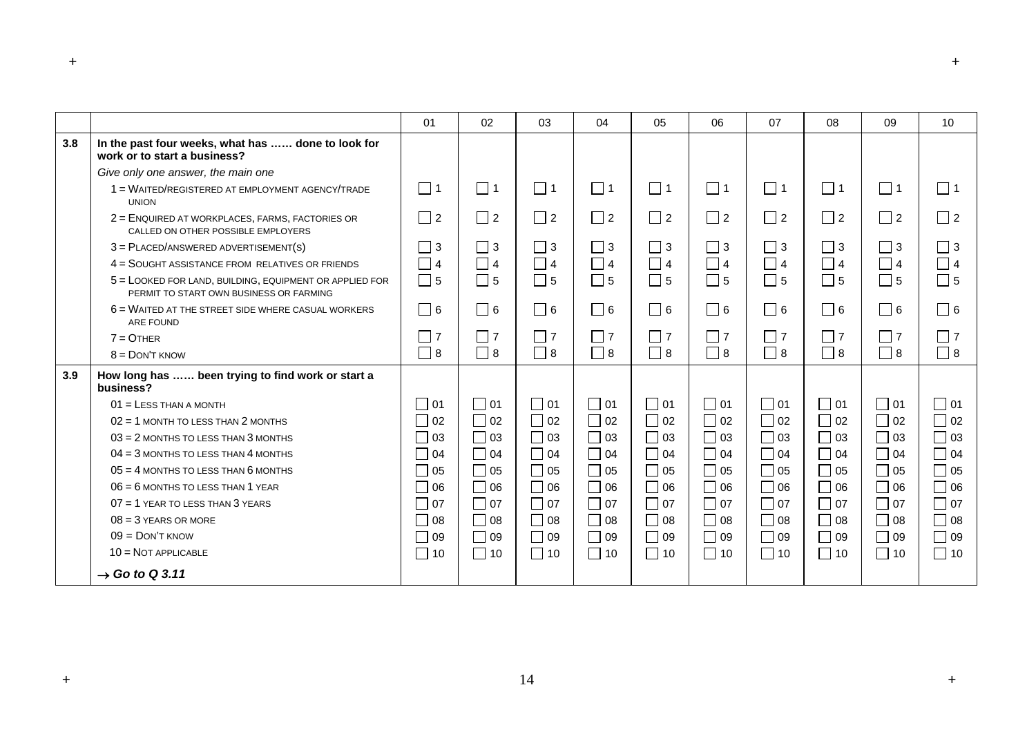|     |                                                                                                    | 01        | 02        | 03        | 04        | 05        | 06                          | 07           | 08        | 09        | 10                         |
|-----|----------------------------------------------------------------------------------------------------|-----------|-----------|-----------|-----------|-----------|-----------------------------|--------------|-----------|-----------|----------------------------|
| 3.8 | In the past four weeks, what has  done to look for<br>work or to start a business?                 |           |           |           |           |           |                             |              |           |           |                            |
|     | Give only one answer, the main one                                                                 |           |           |           |           |           |                             |              |           |           |                            |
|     | 1 = WAITED/REGISTERED AT EMPLOYMENT AGENCY/TRADE<br><b>UNION</b>                                   | $\Box$ 1  | $\Box$ 1  | $\Box$ 1  | $\Box$ 1  | $\Box$ 1  | $\Box$ 1                    | $\Box$ 1     | $\Box$ 1  | $\Box$ 1  | $\Box$ 1                   |
|     | 2 = ENQUIRED AT WORKPLACES, FARMS, FACTORIES OR<br>CALLED ON OTHER POSSIBLE EMPLOYERS              | $\Box$ 2  | $\Box$ 2  | $\Box$ 2  | $\Box$ 2  | $\Box$ 2  | $\Box$ 2                    | $\Box$ 2     | $\Box$ 2  | $\Box$ 2  | $\overline{1}$ 2           |
|     | $3 =$ PLACED/ANSWERED ADVERTISEMENT(S)                                                             | $\Box$ 3  | $\Box$ 3  | $\Box$ 3  | $\Box$ 3  | $\Box$ 3  | $\Box$ 3                    | $\Box$ 3     | $\Box$ 3  | $\Box$ 3  | ヿ 3                        |
|     | 4 = SOUGHT ASSISTANCE FROM RELATIVES OR FRIENDS                                                    | $\Box$ 4  | $\Box$ 4  | $\Box$ 4  | $\Box$ 4  | $\Box$ 4  | $\Box$ 4                    | $\Box$ 4     | $\Box$ 4  | $\Box$ 4  | $\Box$ 4                   |
|     | 5 = LOOKED FOR LAND, BUILDING, EQUIPMENT OR APPLIED FOR<br>PERMIT TO START OWN BUSINESS OR FARMING | $\Box$ 5  | $\Box$ 5  | $\Box$ 5  | $\Box$ 5  | $\Box$ 5  | $\Box$ 5                    | $\square$ 5  | $\Box$ 5  | $\Box$ 5  | $\overline{\phantom{a}}$ 5 |
|     | $6$ = WAITED AT THE STREET SIDE WHERE CASUAL WORKERS<br>ARE FOUND                                  | $\Box$ 6  | $\Box$ 6  | $\Box$ 6  | $\Box$ 6  | $\Box$ 6  | $\Box$ 6                    | $\Box$ 6     | $\Box$ 6  | $\Box$ 6  | $\overline{\phantom{0}}$ 6 |
|     | $7 =$ OTHER                                                                                        | $\Box$ 7  | $\Box$ 7  | $\Box$ 7  | $\Box$ 7  | $\Box$ 7  | $\Box$ 7                    | $\Box$ 7     | $\Box$ 7  | $\Box$ 7  | $\vert$ 7                  |
|     | $8 =$ DON'T KNOW                                                                                   | $\Box$ 8  | $\Box$ 8  | $\Box$ 8  | $\Box$ 8  | $\Box$ 8  | $\Box$ 8                    | $\Box$ 8     | $\Box$ 8  | $\Box$ 8  | $\Box$ 8                   |
| 3.9 | How long has  been trying to find work or start a<br>business?                                     |           |           |           |           |           |                             |              |           |           |                            |
|     | $01 =$ LESS THAN A MONTH                                                                           | $\Box$ 01 | $\Box$ 01 | $\Box$ 01 | $\Box$ 01 | $\Box$ 01 | $\Box$ 01                   | $\Box$ 01    | $\Box$ 01 | $\Box$ 01 | $\Box$ 01                  |
|     | $02 = 1$ MONTH TO LESS THAN 2 MONTHS                                                               | $\Box$ 02 | $\Box$ 02 | $\Box$ 02 | $\Box$ 02 | $\Box$ 02 | $\Box$ 02                   | $\Box$ 02    | $\Box$ 02 | $\Box$ 02 | П<br>  02                  |
|     | $03 = 2$ MONTHS TO LESS THAN 3 MONTHS                                                              | $\Box$ 03 | $\Box$ 03 | $\Box$ 03 | $\Box$ 03 | $\Box$ 03 | $\Box$ 03                   | $\Box$ 03    | $\Box$ 03 | $\Box$ 03 | $\Box$<br>  03             |
|     | $04 = 3$ MONTHS TO LESS THAN 4 MONTHS                                                              | $\Box$ 04 | $\Box$ 04 | $\Box$ 04 | $\Box$ 04 | $\Box$ 04 | $\overline{\phantom{0}}$ 04 | $\Box$ 04    | $\Box$ 04 | $\Box$ 04 | $\Box$<br>l 04             |
|     | $05 = 4$ MONTHS TO LESS THAN 6 MONTHS                                                              | $\Box$ 05 | $\Box$ 05 | $\Box$ 05 | $\Box$ 05 | $\Box$ 05 | $\overline{\phantom{0}}$ 05 | $\Box$<br>05 | $\Box$ 05 | $\Box$ 05 | Г<br>05                    |
|     | $06 = 6$ MONTHS TO LESS THAN 1 YEAR                                                                | $\Box$ 06 | $\Box$ 06 | $\Box$ 06 | $\Box$ 06 | $\Box$ 06 | $\overline{\phantom{0}}$ 06 | $\Box$ 06    | $\Box$ 06 | $\Box$ 06 | l 06                       |
|     | $07 = 1$ YEAR TO LESS THAN 3 YEARS                                                                 | $\Box$ 07 | $\Box$ 07 | $\Box$ 07 | $\Box$ 07 | $\Box$ 07 | $\Box$ 07                   | $\Box$ 07    | $\Box$ 07 | $\Box$ 07 | 07                         |
|     | $08 = 3$ YEARS OR MORE                                                                             | $\Box$ 08 | $\Box$ 08 | $\Box$ 08 | $\Box$ 08 | $\Box$ 08 | $\Box$ 08                   | $\Box$ 08    | $\Box$ 08 | $\Box$ 08 | 08                         |
|     | $09 =$ DON'T KNOW                                                                                  | $\Box$ 09 | $\Box$ 09 | $\Box$ 09 | $\Box$ 09 | $\Box$ 09 | $\Box$ 09                   | $\Box$ 09    | $\Box$ 09 | $\Box$ 09 | $\Box$<br>09               |
|     | $10 = NOT APPLICABLE$                                                                              | $\Box$ 10 | $\Box$ 10 | $\Box$ 10 | $\Box$ 10 | $\Box$ 10 | $\Box$ 10                   | $\Box$ 10    | $\Box$ 10 | $\Box$ 10 | $\Box$ 10                  |
|     | $\rightarrow$ Go to Q 3.11                                                                         |           |           |           |           |           |                             |              |           |           |                            |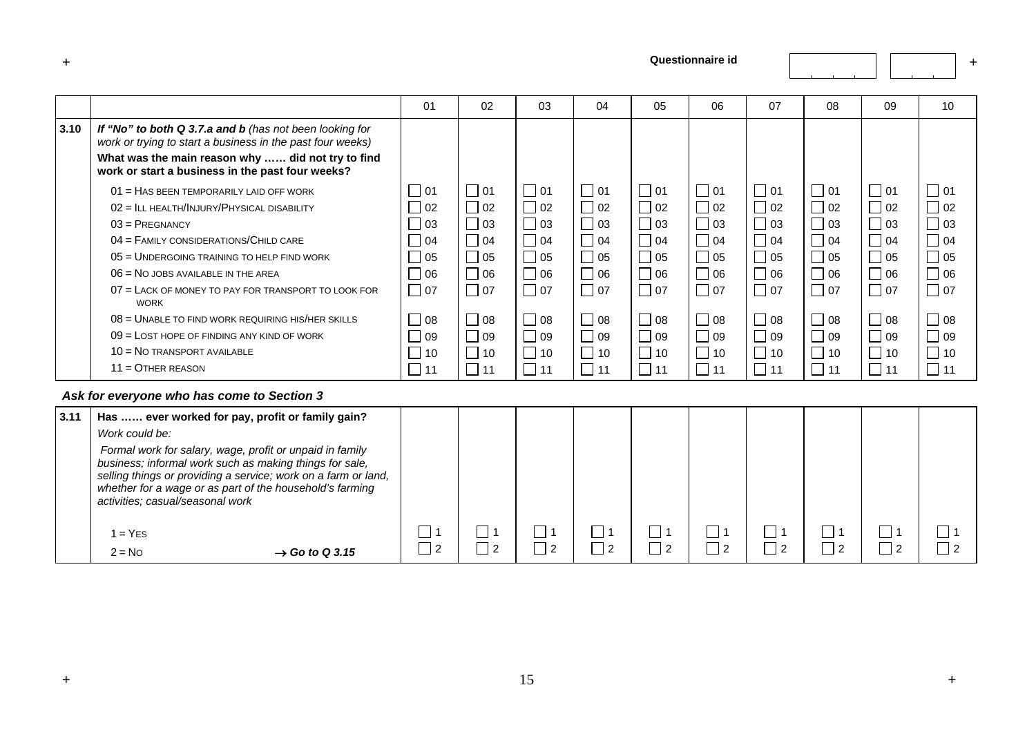|      |                                                                                                                                                                                                                                                                                       | 01               | 02             | 03             | 04        | 05             | 06        | 07        | 08             | 09        | 10 <sup>°</sup> |
|------|---------------------------------------------------------------------------------------------------------------------------------------------------------------------------------------------------------------------------------------------------------------------------------------|------------------|----------------|----------------|-----------|----------------|-----------|-----------|----------------|-----------|-----------------|
|      |                                                                                                                                                                                                                                                                                       |                  |                |                |           |                |           |           |                |           |                 |
| 3.10 | If "No" to both Q 3.7.a and b (has not been looking for<br>work or trying to start a business in the past four weeks)                                                                                                                                                                 |                  |                |                |           |                |           |           |                |           |                 |
|      | What was the main reason why  did not try to find<br>work or start a business in the past four weeks?                                                                                                                                                                                 |                  |                |                |           |                |           |           |                |           |                 |
|      | $01 =$ HAS BEEN TEMPORARILY LAID OFF WORK                                                                                                                                                                                                                                             | $\Box$ 01        | $\Box$ 01      | $\Box$ 01      | $\Box$ 01 | $\Box$ 01      | $\Box$ 01 | $\Box$ 01 | $\Box$ 01      | $\Box$ 01 | $\Box$ 01       |
|      | 02 = ILL HEALTH/INJURY/PHYSICAL DISABILITY                                                                                                                                                                                                                                            | $\Box$ 02        | $\Box$ 02      | $\Box$ 02      | $\Box$ 02 | $\Box$ 02      | $\Box$ 02 | $\Box$ 02 | $\Box$ 02      | $\Box$ 02 | $\Box$ 02       |
|      | $03 = PREGNAMEY$                                                                                                                                                                                                                                                                      | $\Box$ 03        | $\Box$ 03      | $\Box$ 03      | $\Box$ 03 | $\Box$ 03      | $\Box$ 03 | $\Box$ 03 | $\Box$ 03      | $\Box$ 03 | $\Box$ 03       |
|      | $04 =$ FAMILY CONSIDERATIONS/CHILD CARE                                                                                                                                                                                                                                               | $\Box$ 04        | $\Box$ 04      | $\Box$ 04      | $\Box$ 04 | $\Box$ 04      | $\Box$ 04 | $\Box$ 04 | $\Box$ 04      | $\Box$ 04 | $\Box$ 04       |
|      | 05 = UNDERGOING TRAINING TO HELP FIND WORK                                                                                                                                                                                                                                            | $\Box$ 05        | $\Box$ 05      | $\Box$ 05      | $\Box$ 05 | $\Box$ 05      | $\Box$ 05 | $\Box$ 05 | $\Box$ 05      | $\Box$ 05 | $\Box$ 05       |
|      | $06 = No$ JOBS AVAILABLE IN THE AREA                                                                                                                                                                                                                                                  | $\Box$ 06        | $\Box$ 06      | $\Box$ 06      | $\Box$ 06 | $\Box$ 06      | $\Box$ 06 | $\Box$ 06 | $\Box$ 06      | $\Box$ 06 | $\Box$ 06       |
|      | 07 = LACK OF MONEY TO PAY FOR TRANSPORT TO LOOK FOR<br><b>WORK</b>                                                                                                                                                                                                                    | $\Box$ 07        | $\Box$ 07      | $\Box$ 07      | $\Box$ 07 | $\Box$ 07      | $\Box$ 07 | $\Box$ 07 | $\Box$ 07      | $\Box$ 07 | $\Box$ 07       |
|      | $08 =$ UNABLE TO FIND WORK REQUIRING HIS/HER SKILLS                                                                                                                                                                                                                                   | $\Box$ 08        | $\Box$ 08      | $\Box$ 08      | $\Box$ 08 | $\Box$ 08      | $\Box$ 08 | $\Box$ 08 | $\Box$ 08      | $\Box$ 08 | $\Box$ 08       |
|      | $09 =$ LOST HOPE OF FINDING ANY KIND OF WORK                                                                                                                                                                                                                                          | $\Box$ 09        | $\Box$ 09      | $\Box$ 09      | $\Box$ 09 | $\Box$ 09      | $\Box$ 09 | $\Box$ 09 | $\Box$ 09      | $\Box$ 09 | $\Box$ 09       |
|      | 10 = NO TRANSPORT AVAILABLE                                                                                                                                                                                                                                                           | $\Box$ 10        | $\Box$ 10      | $\Box$ 10      | $\Box$ 10 | $\Box$ 10      | $\Box$ 10 | $\Box$ 10 | $\Box$ 10      | $\Box$ 10 | $\Box$ 10       |
|      | $11 =$ OTHER REASON                                                                                                                                                                                                                                                                   | $\Box$ 11        | $\Box$ 11      | $\Box$ 11      | $\Box$ 11 | $\Box$ 11      | $\Box$ 11 | $\Box$ 11 | $\Box$ 11      | $\Box$ 11 | $\Box$ 11       |
|      | Ask for everyone who has come to Section 3                                                                                                                                                                                                                                            |                  |                |                |           |                |           |           |                |           |                 |
| 3.11 | Has  ever worked for pay, profit or family gain?                                                                                                                                                                                                                                      |                  |                |                |           |                |           |           |                |           |                 |
|      | Work could be:                                                                                                                                                                                                                                                                        |                  |                |                |           |                |           |           |                |           |                 |
|      | Formal work for salary, wage, profit or unpaid in family<br>business; informal work such as making things for sale,<br>selling things or providing a service; work on a farm or land,<br>whether for a wage or as part of the household's farming<br>activities; casual/seasonal work |                  |                |                |           |                |           |           |                |           |                 |
|      | $1 = YES$                                                                                                                                                                                                                                                                             | $\Box$ 1         | $\blacksquare$ | $\Box$ 1       | $\Box$ 1  | $\Box$         | $\Box$ 1  | $\Box$ 1  | l 11           | $\Box$ 1  | l 11            |
|      | $\rightarrow$ Go to Q 3.15<br>$2 = N \cap$                                                                                                                                                                                                                                            | $\mathbb{r}_{2}$ | $\overline{2}$ | $\overline{2}$ | $\Box$ 2  | $\overline{2}$ | $\Box$ 2  | $\Box$ 2  | $\overline{2}$ | $\Box$ 2  | $\sqsupset$ 2   |

<sup>=</sup> NO

→ *Go to Q 3.15*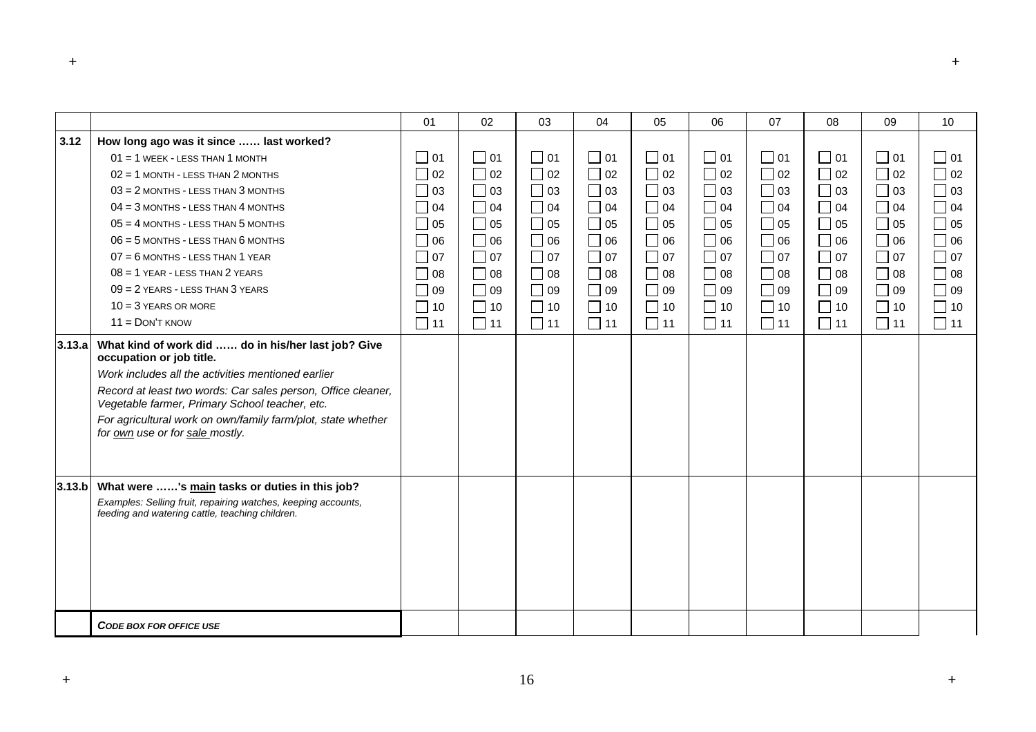| 3.12   | How long ago was it since  last worked?                                                                          |           |              |           |           |           |           |           |           |           |              |
|--------|------------------------------------------------------------------------------------------------------------------|-----------|--------------|-----------|-----------|-----------|-----------|-----------|-----------|-----------|--------------|
|        | $01 = 1$ WEEK - LESS THAN 1 MONTH                                                                                | $\Box$ 01 | 01           | $\Box$ 01 | $\Box$ 01 | $\Box$ 01 | $\Box$ 01 | $\Box$ 01 | $\Box$ 01 | $\Box$ 01 | $\Box$ 01    |
|        | $02 = 1$ MONTH - LESS THAN 2 MONTHS                                                                              | $\Box$ 02 | $\Box$ 02    | $\Box$ 02 | $\Box$ 02 | $\Box$ 02 | $\Box$ 02 | $\Box$ 02 | $\Box$ 02 | $\Box$ 02 | $\Box$ 02    |
|        | $03 = 2$ MONTHS - LESS THAN 3 MONTHS                                                                             | $\Box$ 03 | $\Box$ 03    | $\Box$ 03 | $\Box$ 03 | $\Box$ 03 | $\Box$ 03 | $\Box$ 03 | $\Box$ 03 | $\Box$ 03 | $\square$ 03 |
|        | $04 = 3$ MONTHS - LESS THAN 4 MONTHS                                                                             | $\Box$ 04 | $\Box$ 04    | $\Box$ 04 | $\Box$ 04 | $\Box$ 04 | $\Box$ 04 | $\Box$ 04 | $\Box$ 04 | $\Box$ 04 | $\Box$ 04    |
|        | $05 = 4$ MONTHS - LESS THAN 5 MONTHS                                                                             | $\Box$ 05 | $\Box$ 05    | $\Box$ 05 | $\Box$ 05 | $\Box$ 05 | $\Box$ 05 | $\Box$ 05 | $\Box$ 05 | $\Box$ 05 | $\Box$ 05    |
|        | $06 = 5$ MONTHS - LESS THAN 6 MONTHS                                                                             | $\Box$ 06 | $\Box$ 06    | $\Box$ 06 | $\Box$ 06 | $\Box$ 06 | $\Box$ 06 | $\Box$ 06 | $\Box$ 06 | $\Box$ 06 | $\Box$ 06    |
|        | $07 = 6$ MONTHS - LESS THAN 1 YEAR                                                                               | $\Box$ 07 | $\Box$ 07    | $\Box$ 07 | $\Box$ 07 | $\Box$ 07 | $\Box$ 07 | $\Box$ 07 | $\Box$ 07 | $\Box$ 07 | $\Box$ 07    |
|        | $08 = 1$ YEAR - LESS THAN $2$ YEARS                                                                              | $\Box$ 08 | $\Box$ 08    | $\Box$ 08 | $\Box$ 08 | $\Box$ 08 | $\Box$ 08 | $\Box$ 08 | $\Box$ 08 | $\Box$ 08 | $\Box$ 08    |
|        | 09 = 2 YEARS - LESS THAN 3 YEARS                                                                                 | $\Box$ 09 | $\Box$ 09    | $\Box$ 09 | $\Box$ 09 | $\Box$ 09 | $\Box$ 09 | $\Box$ 09 | $\Box$ 09 | $\Box$ 09 | $\Box$ 09    |
|        | $10 = 3$ YEARS OR MORE                                                                                           | $\Box$ 10 | 10           | $\Box$ 10 | $\Box$ 10 | $\Box$ 10 | $\Box$ 10 | $\Box$ 10 | $\Box$ 10 | $\Box$ 10 | $\Box$ 10    |
|        | $11 =$ DON'T KNOW                                                                                                | $\Box$ 11 | $\square$ 11 | $\Box$ 11 | $\Box$ 11 | $\Box$ 11 | $\Box$ 11 | $\Box$ 11 | $\Box$ 11 | $\Box$ 11 | $\Box$ 11    |
| 3.13.a | What kind of work did  do in his/her last job? Give<br>occupation or job title.                                  |           |              |           |           |           |           |           |           |           |              |
|        | Work includes all the activities mentioned earlier                                                               |           |              |           |           |           |           |           |           |           |              |
|        | Record at least two words: Car sales person, Office cleaner,<br>Vegetable farmer, Primary School teacher, etc.   |           |              |           |           |           |           |           |           |           |              |
|        | For agricultural work on own/family farm/plot, state whether<br>for <u>own</u> use or for sale mostly.           |           |              |           |           |           |           |           |           |           |              |
| 3.13.b | What were 's main tasks or duties in this job?                                                                   |           |              |           |           |           |           |           |           |           |              |
|        | Examples: Selling fruit, repairing watches, keeping accounts,<br>feeding and watering cattle, teaching children. |           |              |           |           |           |           |           |           |           |              |
|        |                                                                                                                  |           |              |           |           |           |           |           |           |           |              |
|        | <b>CODE BOX FOR OFFICE USE</b>                                                                                   |           |              |           |           |           |           |           |           |           |              |

01 | 02 | 03 | 04 | 05 | 06 | 07 | 08 | 09 | 10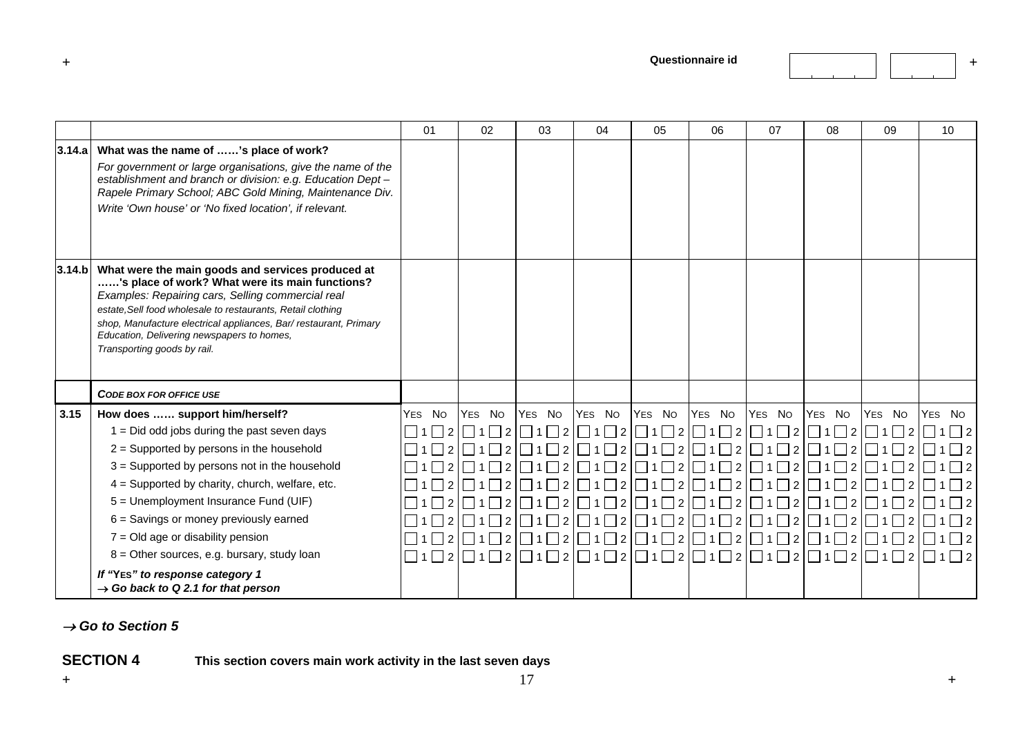|        |                                                                                                                                                                                                                                                                                                                                                                            | 01                       | 02                | 03     | 04 | 05 | 06                                                                                                                                                              | 07 | 08     | 09                       | 10                |
|--------|----------------------------------------------------------------------------------------------------------------------------------------------------------------------------------------------------------------------------------------------------------------------------------------------------------------------------------------------------------------------------|--------------------------|-------------------|--------|----|----|-----------------------------------------------------------------------------------------------------------------------------------------------------------------|----|--------|--------------------------|-------------------|
| 3.14.a | What was the name of 's place of work?<br>For government or large organisations, give the name of the                                                                                                                                                                                                                                                                      |                          |                   |        |    |    |                                                                                                                                                                 |    |        |                          |                   |
|        | establishment and branch or division: e.g. Education Dept -<br>Rapele Primary School; ABC Gold Mining, Maintenance Div.                                                                                                                                                                                                                                                    |                          |                   |        |    |    |                                                                                                                                                                 |    |        |                          |                   |
|        | Write 'Own house' or 'No fixed location', if relevant.                                                                                                                                                                                                                                                                                                                     |                          |                   |        |    |    |                                                                                                                                                                 |    |        |                          |                   |
| 3.14.b | What were the main goods and services produced at<br>'s place of work? What were its main functions?<br>Examples: Repairing cars, Selling commercial real<br>estate. Sell food wholesale to restaurants, Retail clothing<br>shop, Manufacture electrical appliances, Bar/ restaurant, Primary<br>Education, Delivering newspapers to homes,<br>Transporting goods by rail. |                          |                   |        |    |    |                                                                                                                                                                 |    |        |                          |                   |
|        | <b>CODE BOX FOR OFFICE USE</b>                                                                                                                                                                                                                                                                                                                                             |                          |                   |        |    |    |                                                                                                                                                                 |    |        |                          |                   |
| 3.15   | How does  support him/herself?                                                                                                                                                                                                                                                                                                                                             | YES NO                   | YES NO            | YES NO |    |    | YES NO YES NO YES NO YES NO                                                                                                                                     |    | YES NO | YES NO                   | YES NO            |
|        | $1 = Did odd jobs during the past seven days$                                                                                                                                                                                                                                                                                                                              | $\Box$ 1 $\Box$ 2        |                   |        |    |    |                                                                                                                                                                 |    |        | $\Box$ 1 $\Box$ 2        | $\Box$ 1 $\Box$ 2 |
|        | 2 = Supported by persons in the household                                                                                                                                                                                                                                                                                                                                  | $\Box$ 1 $\Box$ 2 $\Box$ |                   |        |    |    |                                                                                                                                                                 |    |        |                          |                   |
|        | $3 =$ Supported by persons not in the household                                                                                                                                                                                                                                                                                                                            | $\Box$ 1 $\Box$ 2        |                   |        |    |    |                                                                                                                                                                 |    |        | $\Box$ 1 $\Box$ 2        |                   |
|        | $4 =$ Supported by charity, church, welfare, etc.                                                                                                                                                                                                                                                                                                                          | $\Box$ 1 $\Box$ 2        | $\Box$ 1 $\Box$ 2 |        |    |    | $\Box$ 1\Box2\Box1 $\Box$ 1 $\Box$ 2 $\Box$ 1 $\Box$ 2 $\Box$ 1 $\Box$ 2 $\Box$ 1 $\Box$ 2 $\Box$ 1 $\Box$ 2 $\Box$                                             |    |        | $\sqsupset$ 2            |                   |
|        | 5 = Unemployment Insurance Fund (UIF)                                                                                                                                                                                                                                                                                                                                      |                          |                   |        |    |    | $\Box$ 1 \Box 2 \Box 1 \Box 2 \Box 1 \Box 2 \Box 1 \Box 2 \Box 1 \Box 2 \Box 1 \Box 2 \Box 1 \Box 2 \Box 1 \Box 2 \Box 1 \Box 2 \Box 1 \Box 2 \Box 1            |    |        |                          | $\Box$ 1 $\Box$ 2 |
|        | 6 = Savings or money previously earned                                                                                                                                                                                                                                                                                                                                     |                          |                   |        |    |    | $\Box$ 1 \Box2 \Box1 \Box2 \Box1 \Box2 \Box1 $\Box$ 2   $\Box$ 1   $\Box$ 2   $\Box$ 1   $\Box$ 2   $\Box$ 1   $\Box$ 2   $\Box$ 1 $\Box$ 2   $\Box$ 1 $\Box$ 2 |    |        |                          |                   |
|        | $7 =$ Old age or disability pension                                                                                                                                                                                                                                                                                                                                        | $\Box$ 1 $\Box$ 2 $\Box$ | $\Box$ 1 $\Box$ 2 |        |    |    | $\Box$ 1 $\Box$ 2 $\Box$ 1 $\Box$ 2 $\Box$ 1 $\Box$ 2 $\Box$ 1 $\Box$ 2 $\Box$ 1 $\Box$ 2 $\Box$ 1 $\Box$ 2 $\Box$                                              |    |        | $\Box$ 1 $\Box$ 2 $\Box$ |                   |
|        | $8 =$ Other sources, e.g. bursary, study loan                                                                                                                                                                                                                                                                                                                              |                          |                   |        |    |    |                                                                                                                                                                 |    |        |                          |                   |
|        | If "YES" to response category 1<br>$\rightarrow$ Go back to Q 2.1 for that person                                                                                                                                                                                                                                                                                          |                          |                   |        |    |    |                                                                                                                                                                 |    |        |                          |                   |

### → *Go to Section 5*

**SECTION 4 This section covers main work activity in the last seven days**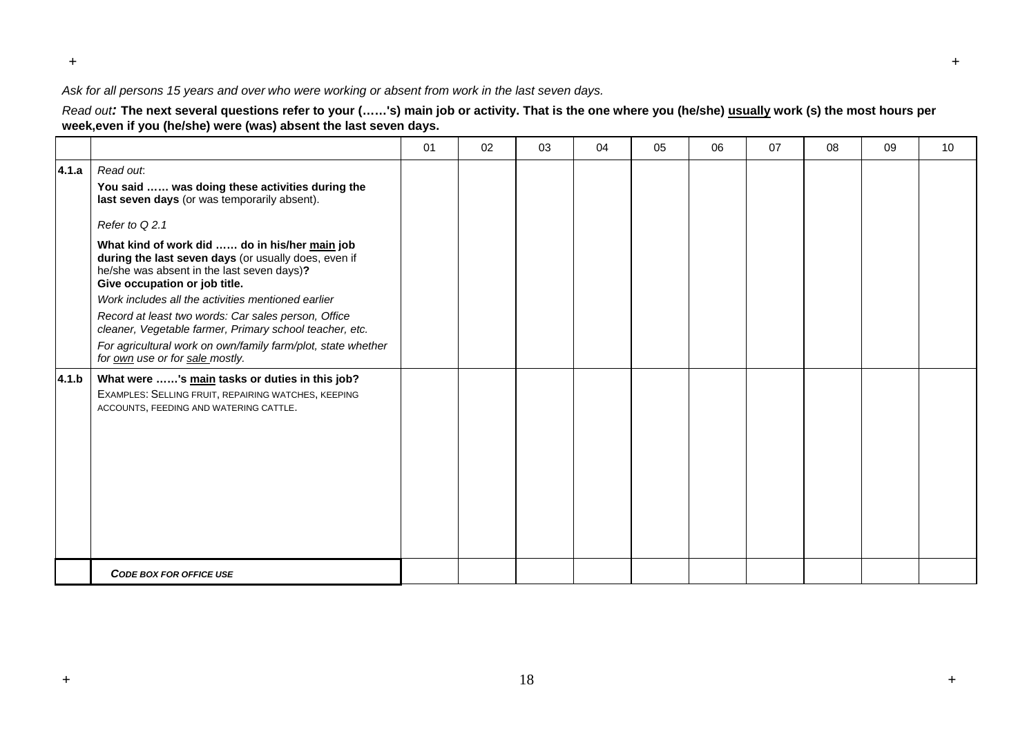### *Ask for all persons 15 years and over who were working or absent from work in the last seven days.*

### *Read out:* **The next several questions refer to your (……'s) main job or activity. That is the one where you (he/she) usually work (s) the most hours per week,even if you (he/she) were (was) absent the last seven days.**

|       |                                                                                                                                                                                                                                                                                                                                                                                                                                                                                                                                                                                                   | 01 | 02 | 03 | 04 | 05 | 06 | 07 | 08 | 09 | 10 |
|-------|---------------------------------------------------------------------------------------------------------------------------------------------------------------------------------------------------------------------------------------------------------------------------------------------------------------------------------------------------------------------------------------------------------------------------------------------------------------------------------------------------------------------------------------------------------------------------------------------------|----|----|----|----|----|----|----|----|----|----|
| 4.1.a | Read out.<br>You said  was doing these activities during the<br>last seven days (or was temporarily absent).<br>Refer to Q 2.1<br>What kind of work did  do in his/her main job<br>during the last seven days (or usually does, even if<br>he/she was absent in the last seven days)?<br>Give occupation or job title.<br>Work includes all the activities mentioned earlier<br>Record at least two words: Car sales person, Office<br>cleaner, Vegetable farmer, Primary school teacher, etc.<br>For agricultural work on own/family farm/plot, state whether<br>for own use or for sale mostly. |    |    |    |    |    |    |    |    |    |    |
| 4.1.b | What were 's main tasks or duties in this job?<br>EXAMPLES: SELLING FRUIT, REPAIRING WATCHES, KEEPING<br>ACCOUNTS, FEEDING AND WATERING CATTLE.                                                                                                                                                                                                                                                                                                                                                                                                                                                   |    |    |    |    |    |    |    |    |    |    |
|       | <b>CODE BOX FOR OFFICE USE</b>                                                                                                                                                                                                                                                                                                                                                                                                                                                                                                                                                                    |    |    |    |    |    |    |    |    |    |    |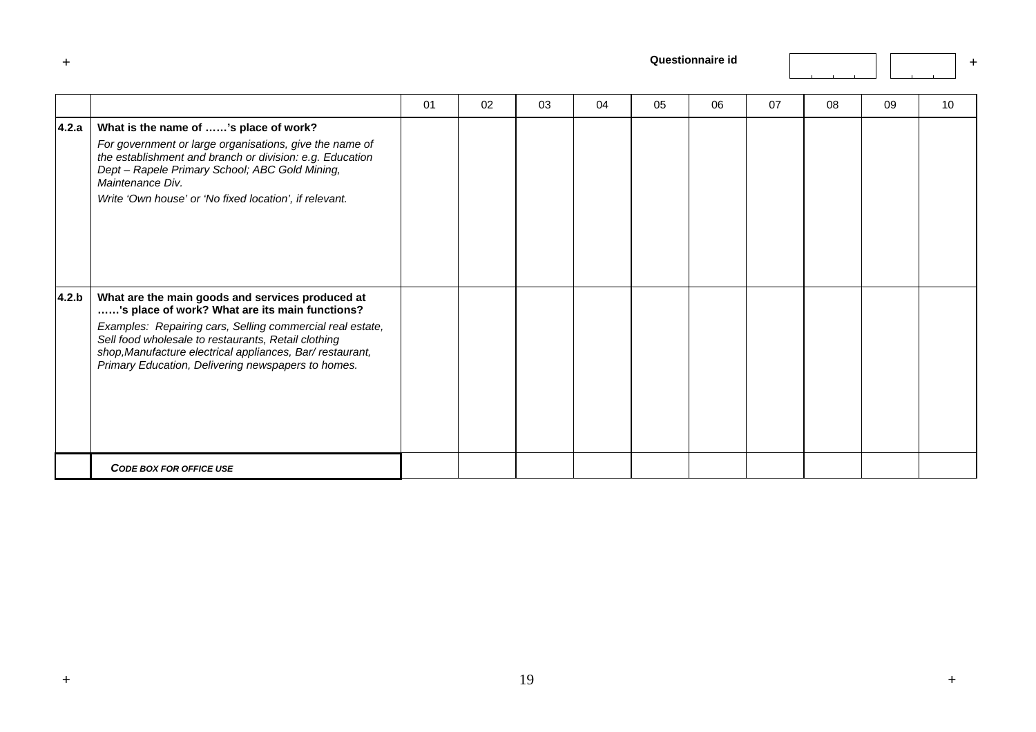|       |                                                                                                                                                                                                                                                                                                                                          | 01 | 02 | 03 | 04 | 05 | 06 | 07 | 08 | 09 | 10 |
|-------|------------------------------------------------------------------------------------------------------------------------------------------------------------------------------------------------------------------------------------------------------------------------------------------------------------------------------------------|----|----|----|----|----|----|----|----|----|----|
| 4.2.a | What is the name of 's place of work?<br>For government or large organisations, give the name of<br>the establishment and branch or division: e.g. Education<br>Dept - Rapele Primary School; ABC Gold Mining,<br>Maintenance Div.<br>Write 'Own house' or 'No fixed location', if relevant.                                             |    |    |    |    |    |    |    |    |    |    |
| 4.2.b | What are the main goods and services produced at<br>'s place of work? What are its main functions?<br>Examples: Repairing cars, Selling commercial real estate,<br>Sell food wholesale to restaurants, Retail clothing<br>shop, Manufacture electrical appliances, Bar/restaurant,<br>Primary Education, Delivering newspapers to homes. |    |    |    |    |    |    |    |    |    |    |
|       | <b>CODE BOX FOR OFFICE USE</b>                                                                                                                                                                                                                                                                                                           |    |    |    |    |    |    |    |    |    |    |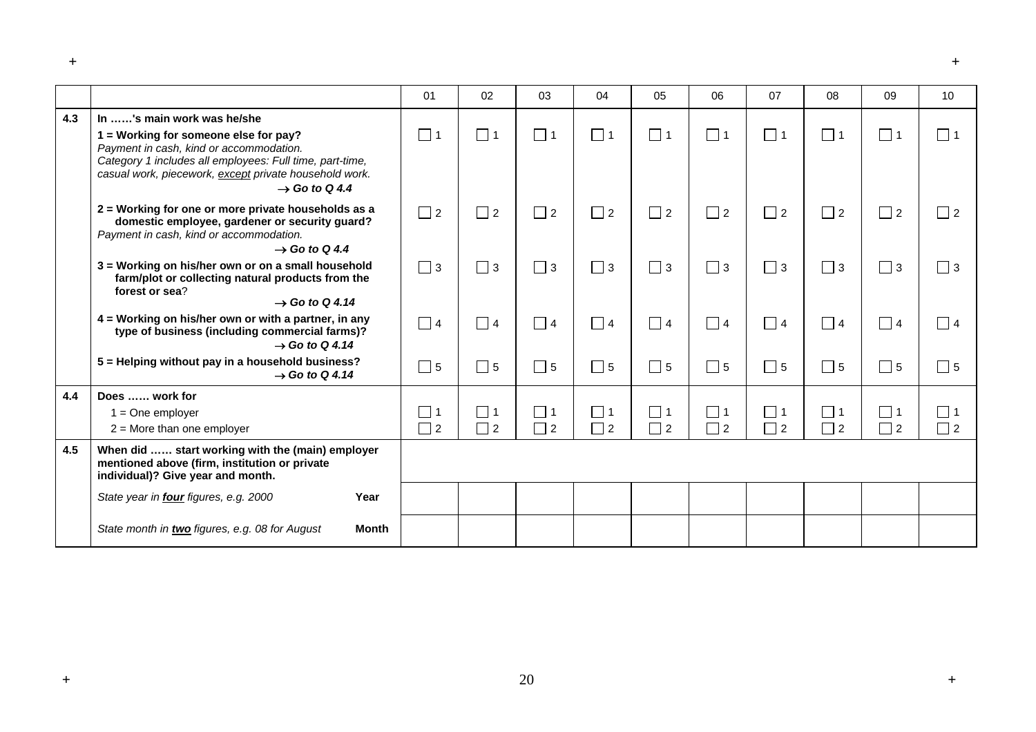2

3

4

5

1 2

|     |                                                                                                                                                                                                                                                                   | 01                   | 02                   | 03                   | 04                   | 05                   | 06                   | 07                   | 08                   | 09                   | 10                   |
|-----|-------------------------------------------------------------------------------------------------------------------------------------------------------------------------------------------------------------------------------------------------------------------|----------------------|----------------------|----------------------|----------------------|----------------------|----------------------|----------------------|----------------------|----------------------|----------------------|
| 4.3 | In 's main work was he/she<br>1 = Working for someone else for pay?<br>Payment in cash, kind or accommodation.<br>Category 1 includes all employees: Full time, part-time,<br>casual work, piecework, except private household work.<br>$\rightarrow$ Go to Q 4.4 | $\Box$ 1             | $\Box$ 1             | $\Box$ 1             | $\Box$ 1             | $\Box$ 1             | $\Box$ 1             | $\Box$ 1             | $\Box$ 1             | $\Box$ 1             | $\Box$ 1             |
|     | 2 = Working for one or more private households as a<br>domestic employee, gardener or security guard?<br>Payment in cash, kind or accommodation.<br>$\rightarrow$ Go to Q 4.4                                                                                     | $\Box$ 2             | $\Box$ 2             | $\Box$ 2             | $\Box$ 2             | $\Box$ 2             | $\Box$ 2             | $\Box$ 2             | $\sqsupset$ 2        | $\Box$ 2             | $\Box$ 2             |
|     | 3 = Working on his/her own or on a small household<br>farm/plot or collecting natural products from the<br>forest or sea?<br>$\rightarrow$ Go to Q 4.14                                                                                                           | $\Box$ 3             | $\Box$ 3             | $\Box$ 3             | $\Box$ 3             | $\Box$ 3             | $\square$ 3          | $\Box$ 3             | $\Box$ 3             | $\Box$ 3             | $\square$ 3          |
|     | 4 = Working on his/her own or with a partner, in any<br>type of business (including commercial farms)?<br>$\rightarrow$ Go to Q 4.14                                                                                                                              | $\Box$ 4             | $\Box$ 4             | $\Box$ 4             | $\Box$ 4             | $\Box$ 4             | $\Box$ 4             | $\Box$ 4             | $\Box$ 4             | $\Box$ 4             | $\Box$ 4             |
|     | 5 = Helping without pay in a household business?<br>$\rightarrow$ Go to Q 4.14                                                                                                                                                                                    | $\square$ 5          | $\Box$ 5             | $\Box$ 5             | $\Box$ 5             | $\Box$ 5             | $\square$ 5          | $\square$ 5          | $\Box$ 5             | $\Box$ 5             | $\Box$               |
| 4.4 | Does  work for<br>$1 = One$ employer<br>$2$ = More than one employer                                                                                                                                                                                              | $\Box$ 1<br>$\Box$ 2 | $\Box$ 1<br>$\Box$ 2 | $\Box$ 1<br>$\Box$ 2 | $\Box$ 1<br>$\Box$ 2 | $\Box$ 1<br>$\Box$ 2 | $\Box$ 1<br>$\Box$ 2 | $\Box$ 1<br>$\Box$ 2 | $\Box$ 1<br>$\Box$ 2 | $\Box$ 1<br>$\Box$ 2 | $\Box$ 1<br>$\Box$ 2 |
| 4.5 | When did  start working with the (main) employer<br>mentioned above (firm, institution or private<br>individual)? Give year and month.                                                                                                                            |                      |                      |                      |                      |                      |                      |                      |                      |                      |                      |
|     | Year<br>State year in four figures, e.g. 2000                                                                                                                                                                                                                     |                      |                      |                      |                      |                      |                      |                      |                      |                      |                      |
|     | State month in two figures, e.g. 08 for August<br>Month                                                                                                                                                                                                           |                      |                      |                      |                      |                      |                      |                      |                      |                      |                      |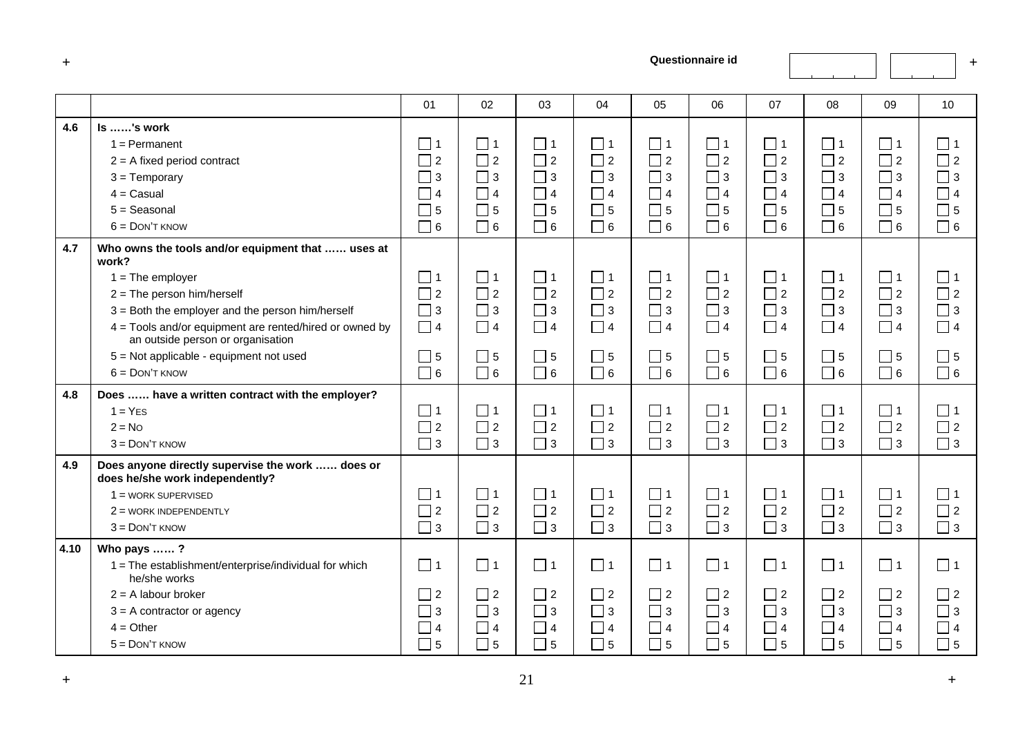|      |                                                                                              | 01          | 02                   | 03          | 04          | 05       | 06       | 07          | 08       | 09       | 10          |
|------|----------------------------------------------------------------------------------------------|-------------|----------------------|-------------|-------------|----------|----------|-------------|----------|----------|-------------|
| 4.6  | Is 's work                                                                                   |             |                      |             |             |          |          |             |          |          |             |
|      | $1 =$ Permanent                                                                              | $\Box$ 1    | $\Box$ 1             | $\Box$ 1    | $\Box$ 1    | $\Box$ 1 | $\Box$ 1 | $\Box$ 1    | $\Box$ 1 | $\Box$ 1 | $\Box$ 1    |
|      | $2 = A$ fixed period contract                                                                | $\Box$ 2    | $\Box$ 2             | $\Box$ 2    | $\Box$ 2    | $\Box$ 2 | $\Box$ 2 | $\Box$ 2    | $\Box$ 2 | $\Box$ 2 | $\Box$ 2    |
|      | $3 = Temporary$                                                                              | $\Box$ 3    | $\Box$ 3             | $\Box$ 3    | $\Box$ 3    | $\Box$ 3 | $\Box$ 3 | $\Box$ 3    | $\Box$ 3 | $\Box$ 3 | $\Box$ 3    |
|      | $4 =$ Casual                                                                                 | $\Box$ 4    | $\Box$ 4             | $\Box$ 4    | $\Box$ 4    | $\Box$ 4 | $\Box$ 4 | $\Box$ 4    | $\Box$ 4 | $\Box$ 4 | $\Box$ 4    |
|      | $5 =$ Seasonal                                                                               | $\Box$ 5    | $\Box$<br>$\sqrt{5}$ | $\Box$ 5    | $\square$ 5 | $\Box$ 5 | $\Box$ 5 | $\Box$ 5    | $\Box$ 5 | $\Box$ 5 | $\Box$ 5    |
|      | $6 =$ DON'T KNOW                                                                             | $\Box$ 6    | $\Box$ 6             | $\Box$ 6    | $\Box$ 6    | $\Box$ 6 | $\Box$ 6 | $\Box$ 6    | $\Box$ 6 | $\Box$ 6 | $\Box$ 6    |
| 4.7  | Who owns the tools and/or equipment that  uses at<br>work?                                   |             |                      |             |             |          |          |             |          |          |             |
|      | $1 =$ The employer                                                                           | $\Box$ 1    | $\Box$ 1             | $\Box$ 1    | $\Box$ 1    | $\Box$ 1 | $\Box$ 1 | $\Box$ 1    | $\Box$ 1 | $\Box$ 1 | $\Box$ 1    |
|      | $2 =$ The person him/herself                                                                 | $\Box$ 2    | $\Box$ 2             | $\Box$ 2    | $\Box$ 2    | $\Box$ 2 | $\Box$ 2 | $\Box$ 2    | $\Box$ 2 | $\Box$ 2 | $\Box$ 2    |
|      | $3 =$ Both the employer and the person him/herself                                           | $\Box$ 3    | $\Box$<br>3          | $\Box$ 3    | $\Box$ 3    | $\Box$ 3 | $\Box$ 3 | $\Box$ 3    | $\Box$ 3 | $\Box$ 3 | $\Box$ 3    |
|      | 4 = Tools and/or equipment are rented/hired or owned by<br>an outside person or organisation | $\Box$ 4    | $\Box$ 4             | $\Box$ 4    | $\Box$ 4    | $\Box$ 4 | $\Box$ 4 | $\Box$ 4    | $\Box$ 4 | $\Box$ 4 | $\Box$ 4    |
|      | 5 = Not applicable - equipment not used                                                      | $\square$ 5 | $\Box$ 5             | $\square$ 5 | $\Box$ 5    | $\Box$ 5 | $\Box$ 5 | $\square$ 5 | $\Box$ 5 | $\Box$ 5 | $\square$ 5 |
|      | $6 =$ DON'T KNOW                                                                             | $\Box$ 6    | $\Box$ 6             | $\Box$ 6    | $\Box$ 6    | $\Box$ 6 | $\Box$ 6 | $\Box$ 6    | $\Box$ 6 | $\Box$ 6 | $\Box$ 6    |
| 4.8  | Does  have a written contract with the employer?                                             |             |                      |             |             |          |          |             |          |          |             |
|      | $1 = YES$                                                                                    | $\Box$ 1    | $\Box$ 1             | $\Box$ 1    | $\Box$ 1    | $\Box$ 1 | $\Box$ 1 | $\Box$ 1    | $\Box$ 1 | $\Box$ 1 | $\square$ 1 |
|      | $2 = No$                                                                                     | $\Box$ 2    | $\Box$ 2             | $\Box$ 2    | $\Box$ 2    | $\Box$ 2 | $\Box$ 2 | $\Box$ 2    | $\Box$ 2 | $\Box$ 2 | $\Box$ 2    |
|      | $3 =$ DON'T KNOW                                                                             | $\Box$ 3    | $\Box$ 3             | $\Box$ 3    | $\Box$ 3    | $\Box$ 3 | $\Box$ 3 | $\Box$ 3    | $\Box$ 3 | $\Box$ 3 | $\Box$ 3    |
| 4.9  | Does anyone directly supervise the work  does or<br>does he/she work independently?          |             |                      |             |             |          |          |             |          |          |             |
|      | $1 = \text{WORK SUPERVISED}$                                                                 | $\Box$ 1    | $\Box$ 1             | $\Box$ 1    | $\Box$ 1    | $\Box$ 1 | $\Box$ 1 | $\Box$ 1    | $\Box$ 1 | $\Box$ 1 | $\Box$ 1    |
|      | $2 = \text{WORK INDEPENDENTLY}$                                                              | $\Box$ 2    | $\Box$ 2             | $\Box$ 2    | $\Box$ 2    | $\Box$ 2 | $\Box$ 2 | $\Box$ 2    | $\Box$ 2 | $\Box$ 2 | $\Box$ 2    |
|      | $3 =$ DON'T KNOW                                                                             | $\Box$ 3    | $\Box$ 3             | $\Box$ 3    | $\Box$ 3    | $\Box$ 3 | $\Box$ 3 | $\Box$ 3    | $\Box$ 3 | $\Box$ 3 | $\Box$ 3    |
| 4.10 | Who pays ?                                                                                   |             |                      |             |             |          |          |             |          |          |             |
|      | 1 = The establishment/enterprise/individual for which<br>he/she works                        | $\Box$ 1    | $\Box$ 1             | $\Box$ 1    | $\Box$ 1    | $\Box$ 1 | $\Box$ 1 | $\Box$ 1    | $\Box$ 1 | $\Box$ 1 | $\Box$ 1    |
|      | $2 = A$ labour broker                                                                        | $\Box$ 2    | $\Box$ 2             | $\Box$ 2    | $\Box$ 2    | $\Box$ 2 | $\Box$ 2 | $\Box$ 2    | $\Box$ 2 | $\Box$ 2 | $\Box$ 2    |
|      | $3 = A$ contractor or agency                                                                 | $\Box$ 3    | $\Box$ 3             | $\Box$ 3    | $\Box$ 3    | $\Box$ 3 | $\Box$ 3 | $\Box$ 3    | $\Box$ 3 | $\Box$ 3 | $\Box$ 3    |
|      | $4 = Other$                                                                                  | $\Box$ 4    | $\Box$ 4             | $\Box$ 4    | $\Box$ 4    | $\Box$ 4 | $\Box$ 4 | $\Box$ 4    | $\Box$ 4 | $\Box$ 4 | $\Box$ 4    |
|      | $5 =$ DON'T KNOW                                                                             | $\Box$ 5    | $\Box$ 5             | $\Box$ 5    | $\Box$ 5    | $\Box$ 5 | $\Box$ 5 | $\Box$ 5    | $\Box$ 5 | $\Box$ 5 | $\Box$ 5    |

**+** 21 **+**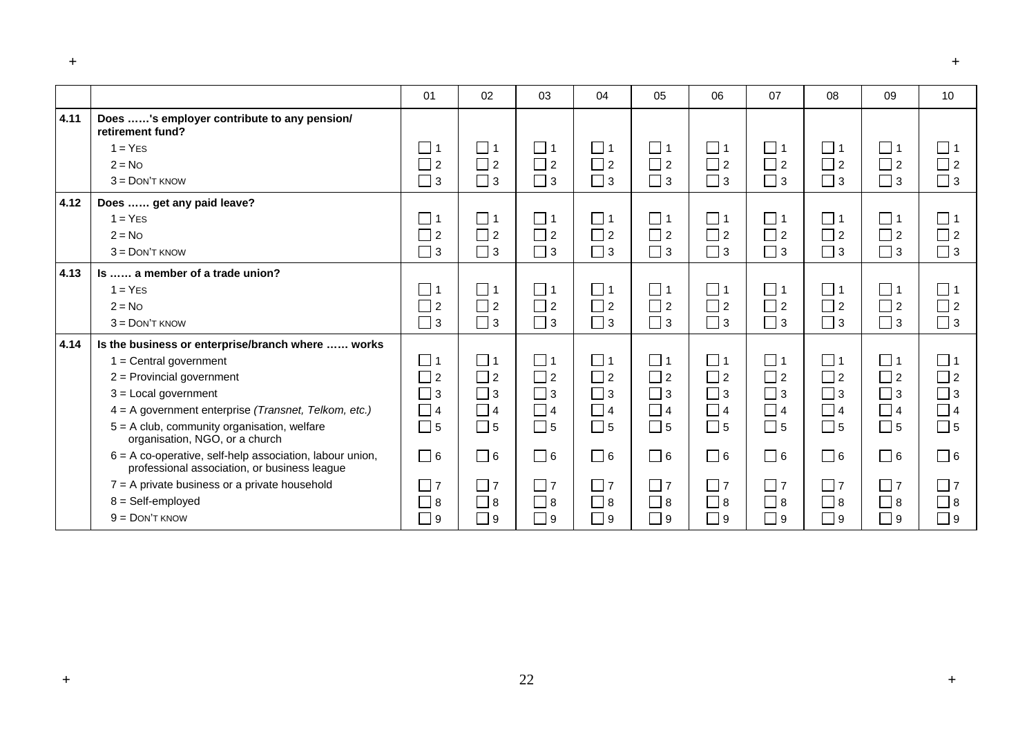|      |                                                                                                            | 01          | 02       | 03          | 04          | 05          | 06          | 07          | 08       | 09       | 10                         |
|------|------------------------------------------------------------------------------------------------------------|-------------|----------|-------------|-------------|-------------|-------------|-------------|----------|----------|----------------------------|
| 4.11 | Does 's employer contribute to any pension/<br>retirement fund?                                            |             |          |             |             |             |             |             |          |          |                            |
|      | $1 = YES$                                                                                                  | $\Box$ 1    | $\Box$ 1 | $\Box$ 1    | $\square$ 1 | $ $   1     | $\square$ 1 | $\Box$ 1    | $\Box$ 1 | $\Box$ 1 | $\Box$ 1                   |
|      | $2 = No$                                                                                                   | $\Box$ 2    | $\Box$ 2 | $\Box$ 2    | $\Box$ 2    | $\Box$ 2    | $\Box$ 2    | $\Box$ 2    | $\Box$ 2 | $\Box$ 2 | $\Box$ 2                   |
|      | $3 =$ DON'T KNOW                                                                                           | $\Box$ 3    | $\Box$ 3 | $\Box$ 3    | $\Box$ 3    | $\Box$ 3    | $\Box$ 3    | $\Box$ 3    | $\Box$ 3 | $\Box$ 3 | $\Box$ 3                   |
| 4.12 | Does  get any paid leave?                                                                                  |             |          |             |             |             |             |             |          |          |                            |
|      | $1 = YES$                                                                                                  | $\Box$ 1    | $\Box$ 1 | $\Box$ 1    | $\Box$ 1    | $\Box$ 1    | $\Box$ 1    | $\Box$ 1    | $\Box$ 1 | $\Box$ 1 | $\Box$ 1                   |
|      | $2 = No$                                                                                                   | $\Box$ 2    | $\Box$ 2 | $\Box$ 2    | $\Box$ 2    | $\Box$ 2    | $\Box$ 2    | $\Box$ 2    | $\Box$ 2 | $\Box$ 2 | $\Box$ 2                   |
|      | $3 =$ DON'T KNOW                                                                                           | $\Box$ 3    | $\Box$ 3 | $\Box$ 3    | $\Box$ 3    | $\vert$ 3   | $\Box$ 3    | $\Box$ 3    | $\Box$ 3 | $\Box$ 3 | $\Box$ 3                   |
| 4.13 | Is  a member of a trade union?                                                                             |             |          |             |             |             |             |             |          |          |                            |
|      | $1 = YES$                                                                                                  | $\Box$ 1    | $\Box$ 1 | $\Box$ 1    | $\Box$ 1    | $\Box$ 1    | $\Box$ 1    | $\Box$ 1    | $\Box$ 1 | $\Box$ 1 | $\Box$ 1                   |
|      | $2 = No$                                                                                                   | $\Box$ 2    | $\Box$ 2 | $\Box$ 2    | $\Box$ 2    | $\vert$   2 | $\Box$ 2    | $\square$ 2 | $\Box$ 2 | $\Box$ 2 | $\Box$ 2                   |
|      | $3 =$ DON'T KNOW                                                                                           | $\Box$ 3    | $\Box$ 3 | $\Box$ 3    | $\Box$ 3    | $\Box$ 3    | $\Box$ 3    | $\Box$ 3    | $\Box$ 3 | $\Box$ 3 | $\Box$ 3                   |
| 4.14 | Is the business or enterprise/branch where  works                                                          |             |          |             |             |             |             |             |          |          |                            |
|      | $1 =$ Central government                                                                                   | $\Box$ 1    | $\Box$ 1 | $\Box$ 1    | $\Box$ 1    | $\Box$ 1    | $\Box$ 1    | $\Box$ 1    | $\Box$ 1 | $\Box$ 1 | $\Box$ 1                   |
|      | $2$ = Provincial government                                                                                | $\Box$ 2    | $\Box$ 2 | $\Box$ 2    | $\Box$ 2    | $\Box$ 2    | $\Box$ 2    | $\Box$ 2    | $\Box$ 2 | $\Box$ 2 | $\Box$ 2                   |
|      | $3 =$ Local government                                                                                     | $\square$ 3 | $\Box$ 3 | $\Box$ 3    | $\Box$ 3    | $\Box$ 3    | $\Box$ 3    | $\Box$ 3    | $\Box$ 3 | $\Box$ 3 | $\Box$ 3                   |
|      | 4 = A government enterprise (Transnet, Telkom, etc.)                                                       | $\Box$ 4    | $\Box$ 4 | $\Box$ 4    | $\Box$ 4    | $\Box$ 4    | $\Box$ 4    | $\Box$ 4    | $\Box$ 4 | $\Box$ 4 | $\Box$ 4                   |
|      | $5 = A$ club, community organisation, welfare<br>organisation, NGO, or a church                            | $\square$ 5 | $\Box$ 5 | $\Box$ 5    | $\Box$ 5    | $\Box$ 5    | $\Box$ 5    | $\square$ 5 | $\Box$ 5 | $\Box$ 5 | $\Box$ 5                   |
|      | $6 = A$ co-operative, self-help association, labour union,<br>professional association, or business league | $\Box$ 6    | $\Box$ 6 | $\Box$ 6    | $\Box$ 6    | $\Box$ 6    | $\Box$ 6    | $\Box$ 6    | $\Box$ 6 | $\Box$ 6 | $\Box$ 6                   |
|      | $7 = A$ private business or a private household                                                            | $\Box$ 7    | $\Box$ 7 | $\Box$ 7    | $\Box$ 7    | $\Box$ 7    | $\Box$ 7    | $\Box$ 7    | $\Box$ 7 | $\Box$ 7 | $\sqsupset$ 7              |
|      | $8 = Self$ -employed                                                                                       | $\Box$ 8    | $\Box$ 8 | $\Box$ 8    | $\Box$ 8    | $\Box$ 8    | $\Box$ 8    | $\Box$ 8    | $\Box$ 8 | $\Box$ 8 | $\overline{\phantom{a}}$ 8 |
|      | $9 =$ DON'T KNOW                                                                                           | $\Box$ 9    | ∏ 9      | $\square$ 9 | $\Box$ 9    | $\Box$ 9    | $\Box$ 9    | $\Box$ 9    | $\Box$ 9 | $\Box$ 9 | $\sqsupset$ 9              |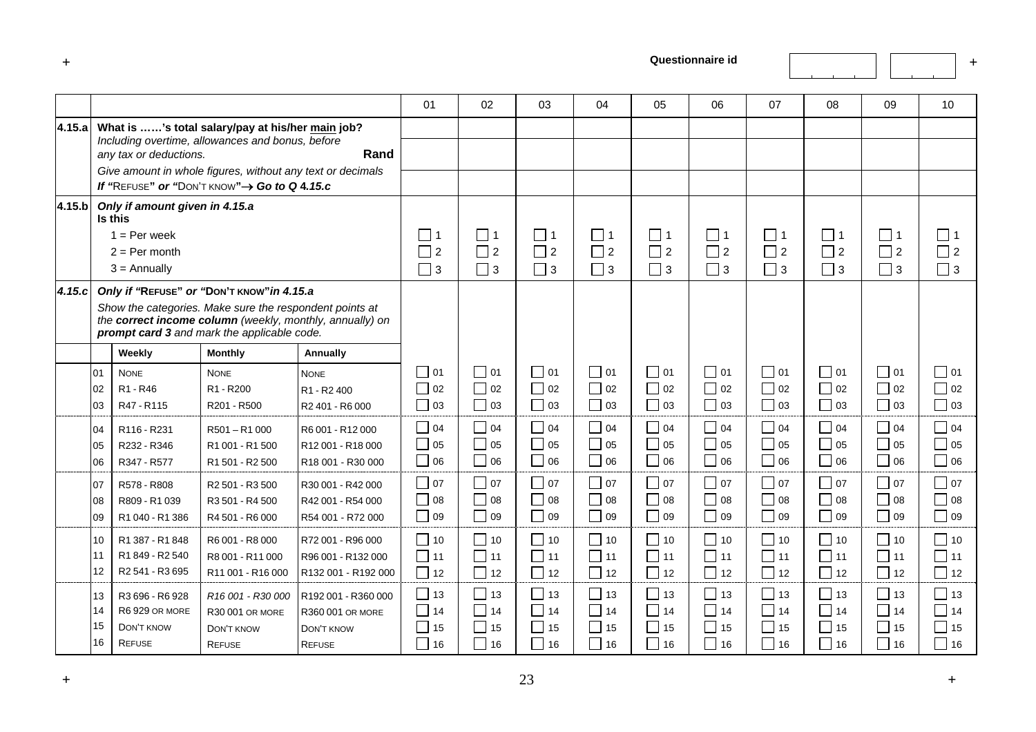|        |          |                                           |                                                                                                                                                                                                                  |                                           | 01                      | 02                     | 03                                       | 04                                                                       | 05                     | 06                     | 07                     | 08                     | 09                                          | 10                     |
|--------|----------|-------------------------------------------|------------------------------------------------------------------------------------------------------------------------------------------------------------------------------------------------------------------|-------------------------------------------|-------------------------|------------------------|------------------------------------------|--------------------------------------------------------------------------|------------------------|------------------------|------------------------|------------------------|---------------------------------------------|------------------------|
| 4.15.a |          | any tax or deductions.                    | What is 's total salary/pay at his/her main job?<br>Including overtime, allowances and bonus, before                                                                                                             | Rand                                      |                         |                        |                                          |                                                                          |                        |                        |                        |                        |                                             |                        |
|        |          |                                           | Give amount in whole figures, without any text or decimals<br>If "REFUSE" or "DON'T KNOW"> Go to Q 4.15.c                                                                                                        |                                           |                         |                        |                                          |                                                                          |                        |                        |                        |                        |                                             |                        |
| 4.15.b |          | Only if amount given in 4.15.a<br>Is this |                                                                                                                                                                                                                  |                                           |                         |                        |                                          |                                                                          |                        |                        |                        |                        |                                             |                        |
|        |          | $1 = Per week$                            |                                                                                                                                                                                                                  |                                           | $\Box$ 1                | $\Box$ 1               | $\Box$ 1                                 | ■ 1                                                                      | $\Box$ 1               | $\Box$ 1               | $\Box$ 1               | $\Box$ 1               | $\Box$ 1                                    | $\Box$ 1               |
|        |          | $2 = Per month$                           |                                                                                                                                                                                                                  |                                           | $\sqsupset$ 2           | $\Box$ 2               | $\Box$ 2                                 | $\Box$ 2                                                                 | $\Box$ 2               | $\Box$ 2               | $\Box$ 2               | $\Box$ 2               | $\Box$ 2                                    | $\Box$ 2               |
|        |          | $3 =$ Annually                            |                                                                                                                                                                                                                  |                                           | $\Box$ 3                | $\Box$ 3               | $\Box$ 3                                 | $\Box$ 3                                                                 | $\Box$ 3               | $\Box$ 3               | $\Box$ 3               | $\Box$ 3               | $\Box$ 3                                    | $\Box$ 3               |
| 4.15.c |          |                                           | Only if "REFUSE" or "DON'T KNOW" in 4.15.a<br>Show the categories. Make sure the respondent points at<br>the correct income column (weekly, monthly, annually) on<br>prompt card 3 and mark the applicable code. |                                           |                         |                        |                                          |                                                                          |                        |                        |                        |                        |                                             |                        |
|        |          | Weekly                                    | <b>Monthly</b>                                                                                                                                                                                                   | <b>Annually</b>                           |                         |                        |                                          |                                                                          |                        |                        |                        |                        |                                             |                        |
|        | 01       | <b>NONE</b>                               | <b>NONE</b>                                                                                                                                                                                                      | <b>NONE</b>                               | l 01                    | $\Box$ 01              | $\Box$ 01                                | $\vert$ 01                                                               | $\Box$ 01              | $\Box$ 01              | $\Box$ 01              | $\Box$ 01              | $\overline{\phantom{0}}$ 01                 | $\Box$ 01              |
|        | 02       | R <sub>1</sub> - R <sub>46</sub>          | R1 - R200                                                                                                                                                                                                        | R1 - R2 400                               | 02                      | $\Box$ 02              | $\Box$ 02                                | 02                                                                       | $\Box$ 02              | $\Box$ 02              | $\Box$ 02              | $\Box$ 02              | $\Box$ 02                                   | $\Box$ 02              |
|        | 03       | R47 - R115                                | R201 - R500                                                                                                                                                                                                      | R2401 - R6000                             | 03                      | $\Box$ 03              | $\Box$ 03                                | $\Box$ 03                                                                | $\Box$ 03              | $\Box$ 03              | $\Box$ 03              | $\Box$ 03              | $\Box$ 03                                   | $\Box$ 03              |
|        | 04       | R116 - R231                               | R501-R1000                                                                                                                                                                                                       | R6 001 - R12 000                          | $\Box$ 04               | $\Box$ 04              | $\Box$ 04                                | $\Box$ 04                                                                | $\Box$ 04              | $\Box$ 04              | $\Box$ 04              | $\Box$ 04              | $\overline{\phantom{0}}$ 04                 | $\Box$ 04              |
|        | 05       | R232 - R346                               | R1 001 - R1 500                                                                                                                                                                                                  | R12 001 - R18 000                         | $\Box$ 05               | $\Box$ 05              | $\Box$ 05                                | $\Box$ 05                                                                | $\Box$ 05              | $\Box$ 05              | $\Box$ 05              | $\Box$ 05              | $\Box$ 05                                   | $\Box$ 05              |
|        | 06       | R347 - R577                               | R1 501 - R2 500                                                                                                                                                                                                  | R18 001 - R30 000                         | $\Box$ 06               | $\Box$ 06              | $\Box$ 06                                | $\Box$ 06                                                                | $\Box$ 06              | $\Box$ 06              | $\Box$ 06              | $\Box$ 06              | $\overline{\phantom{0}}$ 06                 | $\Box$ 06              |
|        | 07       | R578 - R808                               | R2 501 - R3 500                                                                                                                                                                                                  | R30 001 - R42 000                         | $\Box$ 07               | $\Box$ 07              | $\Box$ 07                                | $\Box$ 07                                                                | $\Box$ 07              | $\Box$ 07              | $\Box$ 07              | $\Box$ 07              | $\Box$ 07                                   | $\Box$ 07              |
|        | 08       | R809 - R1 039                             | R3501 - R4500                                                                                                                                                                                                    | R42 001 - R54 000                         | П<br>08<br>$\Box$ 09    | $\Box$ 08<br>$\Box$ 09 | $\overline{\phantom{0}}$ 08<br>$\Box$ 09 | $\Box$ 08<br>$\begin{array}{c} \begin{array}{c} \end{array} \end{array}$ | $\Box$ 08<br>$\Box$ 09 | $\Box$ 08<br>$\Box$ 09 | 08<br>$\Box$ 09        | $\Box$ 08<br>$\Box$ 09 | $\bigcap$ 08<br>$\overline{\phantom{0}}$ 09 | $\Box$ 08<br>$\Box$ 09 |
|        | 09       | R1040 - R1386                             | R4501 - R6000                                                                                                                                                                                                    | R54 001 - R72 000                         |                         |                        |                                          |                                                                          |                        |                        |                        |                        |                                             |                        |
|        | 10<br>11 | R1 387 - R1 848<br>R1849 - R2540          | R6 001 - R8 000                                                                                                                                                                                                  | R72 001 - R96 000                         | 10                      | $\Box$ 10              | $\overline{1}$ 10                        | 10                                                                       | $\Box$ 10              | $\Box$ 10              | 10                     | $\Box$ 10              | $\overline{1}$ 10                           | $\Box$ 10              |
|        | 12       | R <sub>2</sub> 541 - R <sub>3</sub> 695   | R8 001 - R11 000<br>R11 001 - R16 000                                                                                                                                                                            | R96 001 - R132 000<br>R132 001 - R192 000 | П<br>11<br>$\Box$<br>12 | $\Box$ 11<br>$\Box$ 12 | $\Box$ 11<br>$\overline{\phantom{1}}$ 12 | $\Box$ 11<br>$\Box$ 12                                                   | $\Box$ 11<br>$\Box$ 12 | $\Box$ 11<br>$\Box$ 12 | $\Box$ 11<br>$\Box$ 12 | $\Box$ 11<br>$\Box$ 12 | $\Box$ 11<br>$\Box$ 12                      | $\Box$ 11<br>$\Box$ 12 |
|        |          |                                           |                                                                                                                                                                                                                  |                                           | $\Box$<br>13            | $\Box$ 13              | $\Box$ 13                                | $\Box$ 13                                                                | $\Box$ 13              | $\Box$ 13              | $\Box$ 13              | $\Box$ 13              | $\Box$ 13                                   | $\Box$<br>13           |
|        | 13<br>14 | R3 696 - R6 928<br>R6929 OR MORE          | R16 001 - R30 000<br><b>R30 001 OR MORE</b>                                                                                                                                                                      | R192 001 - R360 000<br>R360 001 OR MORE   | 14                      | $\Box$ 14              | $\Box$ 14                                | 14                                                                       | $\Box$ 14              | $\Box$ 14              | $\Box$ 14              | $\Box$ 14              | $\overline{\phantom{0}}$ 14                 | $\Box$ 14              |
|        | 15       | DON'T KNOW                                | DON'T KNOW                                                                                                                                                                                                       | <b>DON'T KNOW</b>                         | 15                      | $\Box$ 15              | $\sqrt{15}$                              | 15                                                                       | $\Box$ 15              | $\Box$ 15              | $\Box$ 15              | $\Box$ 15              | $\Box$ 15                                   | $\Box$<br>15           |
|        | 16       | <b>REFUSE</b>                             | <b>REFUSE</b>                                                                                                                                                                                                    | <b>REFUSE</b>                             | 16                      | $\Box$ 16              | $\sqrt{16}$                              | 16                                                                       | $\Box$ 16              | $\Box$ 16              | $\Box$<br>16           | $\Box$ 16              | $\Box$ 16                                   | $\Box$<br>16           |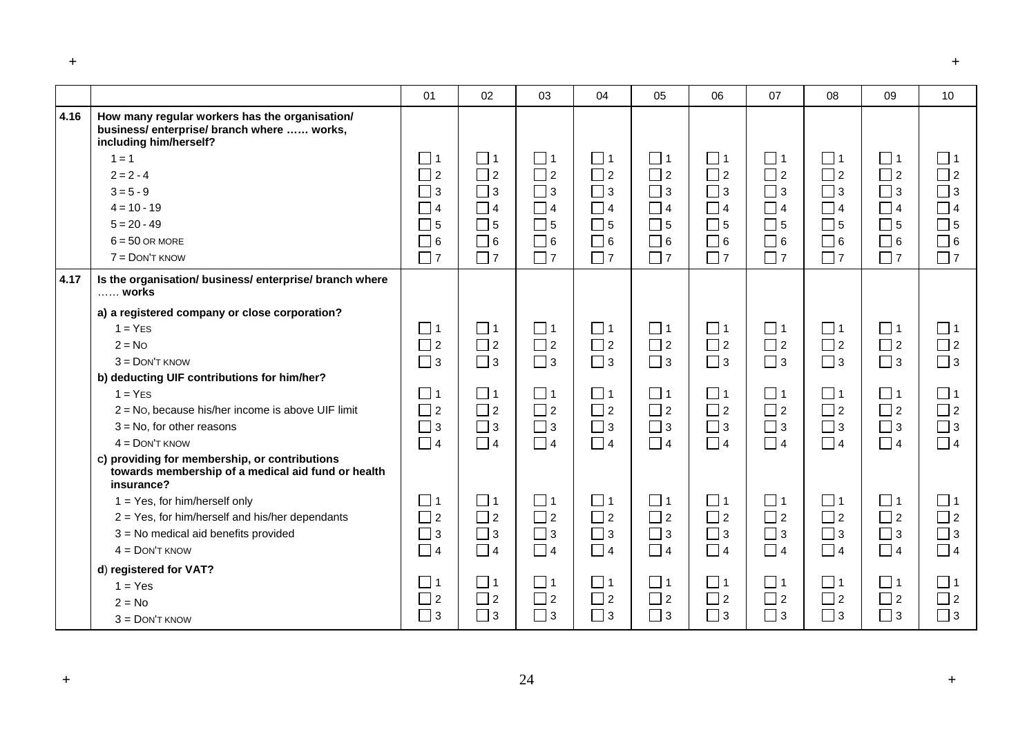|      |                                                                                                                      | 01       | 02       | 03       | 04       | 05       | 06       | 07       | 08          | 09       | 10             |
|------|----------------------------------------------------------------------------------------------------------------------|----------|----------|----------|----------|----------|----------|----------|-------------|----------|----------------|
| 4.16 | How many regular workers has the organisation/<br>business/enterprise/branch where  works,<br>including him/herself? |          |          |          |          |          |          |          |             |          |                |
|      | $1 = 1$                                                                                                              | $\Box$ 1 | $\Box$ 1 | $\Box$ 1 | $\Box$ 1 | $\Box$ 1 | $\Box$ 1 | $\Box$ 1 | $\square$ 1 | $\Box$ 1 | $\Box$ 1       |
|      | $2 = 2 - 4$                                                                                                          | $\Box$ 2 | $\Box$ 2 | $\Box$ 2 | $\Box$ 2 | $\Box$ 2 | $\Box$ 2 | $\Box$ 2 | $\Box$ 2    | $\Box$ 2 | $\overline{1}$ |
|      | $3 = 5 - 9$                                                                                                          | $\Box$ 3 | $\Box$ 3 | $\Box$ 3 | $\Box$ 3 | $\Box$ 3 | $\Box$ 3 | $\Box$ 3 | $\Box$ 3    | $\Box$ 3 | $\sqsupset$ 3  |
|      | $4 = 10 - 19$                                                                                                        | $\Box$ 4 | $\Box$ 4 | $\Box$ 4 | $\Box$ 4 | $\Box$ 4 | $\Box$ 4 | $\Box$ 4 | $\Box$ 4    | $\Box$ 4 | $\Box$ 4       |
|      | $5 = 20 - 49$                                                                                                        | $\Box$ 5 | $\Box$ 5 | $\Box$ 5 | $\Box$ 5 | $\Box$ 5 | $\Box$ 5 | $\Box$ 5 | $\Box$ 5    | $\Box$ 5 | $\Box$ 5       |
|      | $6 = 50$ OR MORE                                                                                                     | $\Box$ 6 | $\Box$ 6 | $\Box$ 6 | $\Box$ 6 | $\Box$ 6 | $\Box$ 6 | $\Box$ 6 | $\Box$ 6    | $\Box$ 6 | $\Box$ 6       |
|      | $7 =$ DON'T KNOW                                                                                                     | $\Box$ 7 | $\Box$ 7 | $\Box$ 7 | $\Box$ 7 | $\Box$ 7 | $\Box$ 7 | $\Box$ 7 | $\Box$ 7    | $\Box$ 7 | $\Box$ 7       |
| 4.17 | Is the organisation/ business/ enterprise/ branch where<br>works                                                     |          |          |          |          |          |          |          |             |          |                |
|      | a) a registered company or close corporation?                                                                        |          |          |          |          |          |          |          |             |          |                |
|      | $1 = YES$                                                                                                            | $\Box$ 1 | $\Box$ 1 | $\Box$ 1 | $\Box$ 1 | $\Box$ 1 | $\Box$ 1 | $\Box$ 1 | $\Box$ 1    | $\Box$ 1 | $\Box$ 1       |
|      | $2 = No$                                                                                                             | $\Box$ 2 | $\Box$ 2 | $\Box$ 2 | $\Box$ 2 | $\Box$ 2 | $\Box$ 2 | $\Box$ 2 | $\Box$ 2    | $\Box$ 2 | $\Box$ 2       |
|      | $3 =$ DON'T KNOW                                                                                                     | $\Box$ 3 | $\Box$ 3 | $\Box$ 3 | $\Box$ 3 | $\Box$ 3 | $\Box$ 3 | $\Box$ 3 | $\Box$ 3    | $\Box$ 3 | $\Box$ 3       |
|      | b) deducting UIF contributions for him/her?                                                                          |          |          |          |          |          |          |          |             |          |                |
|      | $1 = YES$                                                                                                            | $\Box$ 1 | $\Box$ 1 | $\Box$ 1 | $\Box$ 1 | $\Box$ 1 | $\Box$ 1 | $\Box$ 1 | $\Box$ 1    | $\Box$ 1 | $\Box$ 1       |
|      | 2 = No, because his/her income is above UIF limit                                                                    | $\Box$ 2 | $\Box$ 2 | $\Box$ 2 | $\Box$ 2 | $\Box$ 2 | $\Box$ 2 | $\Box$ 2 | $\Box$ 2    | $\Box$ 2 | $\Box$ 2       |
|      | $3 = No$ , for other reasons                                                                                         | $\Box$ 3 | $\Box$ 3 | $\Box$ 3 | $\Box$ 3 | $\Box$ 3 | $\Box$ 3 | $\Box$ 3 | $\Box$ 3    | $\Box$ 3 | $\Box$ 3       |
|      | $4 =$ DON'T KNOW                                                                                                     | $\Box$ 4 | $\Box$ 4 | $\Box$ 4 | $\Box$ 4 | $\Box$ 4 | $\Box$ 4 | $\Box$ 4 | $\Box$ 4    | $\Box$ 4 | $\Box$ 4       |
|      | c) providing for membership, or contributions<br>towards membership of a medical aid fund or health<br>insurance?    |          |          |          |          |          |          |          |             |          |                |
|      | $1 = Yes$ , for him/herself only                                                                                     | $\Box$ 1 | $\Box$ 1 | $\Box$ 1 | $\Box$ 1 | $\Box$ 1 | $\Box$ 1 | $\Box$ 1 | $\Box$ 1    | $\Box$ 1 | $\Box$ 1       |
|      | 2 = Yes, for him/herself and his/her dependants                                                                      | $\Box$ 2 | $\Box$ 2 | $\Box$ 2 | $\Box$ 2 | $\Box$ 2 | $\Box$ 2 | $\Box$ 2 | $\Box$ 2    | $\Box$ 2 | $\Box$ 2       |
|      | 3 = No medical aid benefits provided                                                                                 | $\Box$ 3 | $\Box$ 3 | $\Box$ 3 | $\Box$ 3 | $\Box$ 3 | $\Box$ 3 | $\Box$ 3 | $\Box$ 3    | $\Box$ 3 | $\Box$ 3       |
|      | $4 =$ DON'T KNOW                                                                                                     | $\Box$ 4 | $\Box$ 4 | $\Box$ 4 | $\Box$ 4 | $\Box$ 4 | $\Box$ 4 | $\Box$ 4 | $\Box$ 4    | $\Box$ 4 | $\Box$ 4       |
|      | d) registered for VAT?                                                                                               |          |          |          |          |          |          |          |             |          |                |
|      | $1 = Yes$                                                                                                            | $\Box$ 1 | $\Box$ 1 | $\Box$ 1 | $\Box$ 1 | $\Box$ 1 | $\Box$ 1 | $\Box$ 1 | $\Box$ 1    | $\Box$ 1 | $\sqsupset$ 1  |
|      | $2 = No$                                                                                                             | $\Box$ 2 | $\Box$ 2 | $\Box$ 2 | $\Box$ 2 | $\Box$ 2 | $\Box$ 2 | $\Box$ 2 | $\Box$ 2    | $\Box$ 2 | $\Box$ 2       |
|      | $3 =$ DON'T KNOW                                                                                                     | $\Box$ 3 | $\Box$ 3 | $\Box$ 3 | $\Box$ 3 | $\Box$ 3 | $\Box$ 3 | $\Box$ 3 | $\Box$ 3    | $\Box$ 3 | $\Box$ 3       |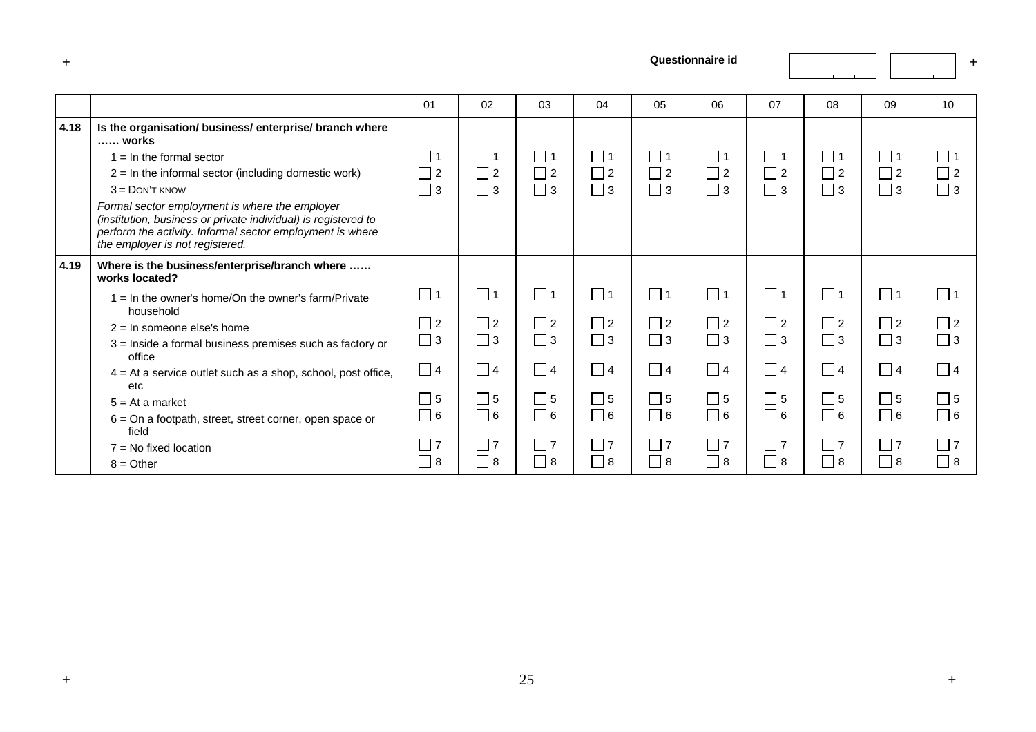|      |                                                                                                                                                                                                                  | 01       | 02       | 03        | 04       | 05       | 06         | 07            | 08          | 09       | 10                         |
|------|------------------------------------------------------------------------------------------------------------------------------------------------------------------------------------------------------------------|----------|----------|-----------|----------|----------|------------|---------------|-------------|----------|----------------------------|
| 4.18 | Is the organisation/ business/ enterprise/ branch where<br>works                                                                                                                                                 |          |          |           |          |          |            |               |             |          |                            |
|      | $1 = \ln \text{ the formal sector}$                                                                                                                                                                              | $\Box$ 1 | $\Box$ 1 | $\vert$ 1 | □ 1      | l 11     | $\sqcup$ 1 | □ 1           | 1           | ∐ 1      | $\Box$                     |
|      | $2 = \ln$ the informal sector (including domestic work)                                                                                                                                                          | $\Box$ 2 | $\Box$ 2 | $\Box$ 2  | $\Box$ 2 | $\Box$ 2 | $\Box$ 2   | $\Box$ 2      | $\Box$ 2    | $\Box$ 2 | $\Box$ 2                   |
|      | $3 =$ DON'T KNOW                                                                                                                                                                                                 | $\Box$ 3 | $\Box$ 3 | $\Box$ 3  | $\Box$ 3 | $\Box$ 3 | $\Box$ 3   | $\Box$ 3      | $\Box$ 3    | $\Box$ 3 | $\Box$ 3                   |
|      | Formal sector employment is where the employer<br>(institution, business or private individual) is registered to<br>perform the activity. Informal sector employment is where<br>the employer is not registered. |          |          |           |          |          |            |               |             |          |                            |
| 4.19 | Where is the business/enterprise/branch where<br>works located?                                                                                                                                                  |          |          |           |          |          |            |               |             |          |                            |
|      | $1 = \ln$ the owner's home/On the owner's farm/Private<br>household                                                                                                                                              | $\Box$ 1 | $\Box$ 1 | $\Box$ 1  | $\Box$ 1 | $\Box$ 1 | $\Box$ 1   | $\Box$ 1      | $\Box$ 1    | $\Box$ 1 | ╶╿                         |
|      | $2 = \ln$ someone else's home                                                                                                                                                                                    | $\Box$ 2 | $\Box$ 2 | $\Box$ 2  | $\Box$ 2 | $\Box$ 2 | $\Box$ 2   | $\sqsupset$ 2 | $\Box$ 2    | $\Box$ 2 | $\Box$ 2                   |
|      | $3$ = Inside a formal business premises such as factory or<br>office                                                                                                                                             | $\Box$ 3 | $\Box$ 3 | $\Box$ 3  | $\Box$ 3 | $\Box$ 3 | $\Box$ 3   | $\Box$ 3      | $\Box$ 3    | $\Box$ 3 | $\sqsupset$ 3              |
|      | $4 = At a$ service outlet such as a shop, school, post office,<br>etc                                                                                                                                            | $\Box$ 4 | $\Box$ 4 | $\Box$ 4  | $\Box$ 4 | $\Box$ 4 | $\Box$ 4   | $\Box$ 4      | $\Box$ 4    | $\Box$ 4 | ▔   4                      |
|      | $5 = At a market$                                                                                                                                                                                                | $\Box$ 5 | $\Box$ 5 | $\Box$ 5  | $\Box$ 5 | $\Box$ 5 | $\Box$ 5   | $\Box$ 5      | $\Box$ 5    | $\Box$ 5 | $\overline{\phantom{0}}$ 5 |
|      | $6$ = On a footpath, street, street corner, open space or<br>field                                                                                                                                               | $\Box$ 6 | $\Box$ 6 | $\Box$ 6  | $\Box$ 6 | $\Box$ 6 | $\Box$ 6   | $\Box$ 6      | $\Box$ 6    | $\Box$ 6 | ヿ 6                        |
|      | $7 = No$ fixed location                                                                                                                                                                                          | $\Box$ 7 | $\Box$ 7 | $\Box$ 7  | $\Box$ 7 | $\Box$ 7 | $\Box$ 7   | $\Box$ 7      | $\Box$ 7    | $\Box$ 7 | $\vert$ 7                  |
|      | $8 =$ Other                                                                                                                                                                                                      | $\Box$ 8 | $\Box$ 8 | $\Box$ 8  | $\Box$ 8 | $\Box$ 8 | $\Box$ 8   | $\Box$ 8      | $\square$ 8 | $\Box$ 8 | $\Box$ 8                   |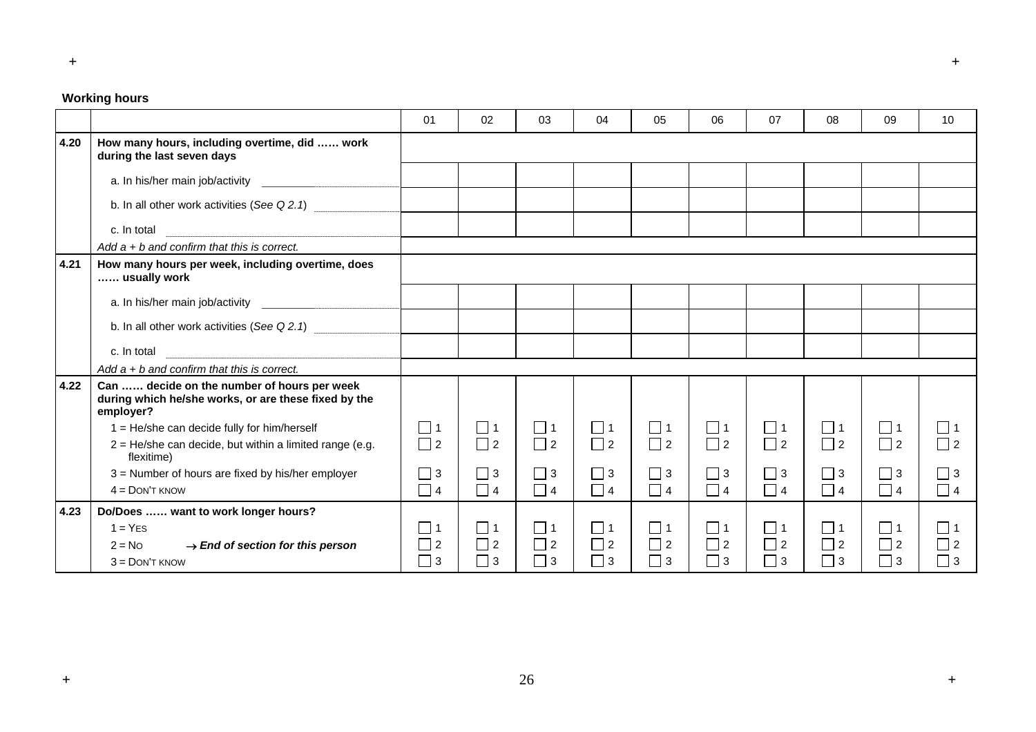## **Working hours**

|      |                                                                                                                  | 01       | 02       | 03          | 04       | 05       | 06       | 07       | 08          | 09       | 10       |
|------|------------------------------------------------------------------------------------------------------------------|----------|----------|-------------|----------|----------|----------|----------|-------------|----------|----------|
| 4.20 | How many hours, including overtime, did  work<br>during the last seven days                                      |          |          |             |          |          |          |          |             |          |          |
|      | a. In his/her main job/activity                                                                                  |          |          |             |          |          |          |          |             |          |          |
|      | b. In all other work activities (See Q 2.1)                                                                      |          |          |             |          |          |          |          |             |          |          |
|      | c. In total                                                                                                      |          |          |             |          |          |          |          |             |          |          |
|      | Add $a + b$ and confirm that this is correct.                                                                    |          |          |             |          |          |          |          |             |          |          |
| 4.21 | How many hours per week, including overtime, does<br>usually work                                                |          |          |             |          |          |          |          |             |          |          |
|      | a. In his/her main job/activity                                                                                  |          |          |             |          |          |          |          |             |          |          |
|      | b. In all other work activities (See Q 2.1)                                                                      |          |          |             |          |          |          |          |             |          |          |
|      | c. In total                                                                                                      |          |          |             |          |          |          |          |             |          |          |
|      | Add $a + b$ and confirm that this is correct.                                                                    |          |          |             |          |          |          |          |             |          |          |
| 4.22 | Can  decide on the number of hours per week<br>during which he/she works, or are these fixed by the<br>employer? |          |          |             |          |          |          |          |             |          |          |
|      | $1 = He/she can decide fully for him/herself$                                                                    | $\Box$ 1 | $\Box$ 1 | $\vert$   1 | $\Box$ 1 | $\Box$ 1 | $\Box$ 1 | $\Box$ 1 | $\Box$ 1    | $\Box$ 1 | l 11     |
|      | $2 = He/she can decide, but within a limited range (e.g.,\n$<br>flexitime)                                       | $\Box$ 2 | $\Box$ 2 | $\Box$ 2    | $\Box$ 2 | $\Box$ 2 | $\Box$ 2 | $\Box$ 2 | $\Box$ 2    | $\Box$ 2 | $\Box$ 2 |
|      | 3 = Number of hours are fixed by his/her employer                                                                | $\Box$ 3 | $\Box$ 3 | $\Box$ 3    | $\Box$ 3 | $\Box$ 3 | $\Box$ 3 | $\Box$ 3 | $\square$ 3 | $\Box$ 3 | $\Box$ 3 |
|      | $4 =$ DON'T KNOW                                                                                                 | $\Box$ 4 | $\Box$ 4 | $\Box$ 4    | $\Box$ 4 | $\Box$ 4 | $\Box$ 4 | $\Box$ 4 | $\Box$ 4    | $\Box$ 4 | $\Box$ 4 |
| 4.23 | Do/Does  want to work longer hours?                                                                              |          |          |             |          |          |          |          |             |          |          |
|      | $1 = YES$                                                                                                        | $\Box$ 1 | $\Box$ 1 | $\Box$ 1    | $\Box$ 1 | $\Box$ 1 | $\Box$ 1 | $\Box$ 1 | $\Box$ 1    | $\Box$ 1 | $\Box$ 1 |
|      | $\rightarrow$ End of section for this person<br>$2 = No$                                                         | $\Box$ 2 | $\Box$ 2 | $\Box$ 2    | $\Box$ 2 | $\Box$ 2 | $\Box$ 2 | $\Box$ 2 | $\Box$ 2    | $\Box$ 2 | $\Box$ 2 |
|      | $3 =$ DON'T KNOW                                                                                                 | $\Box$ 3 | $\Box$ 3 | $\Box$ 3    | $\Box$ 3 | $\Box$ 3 | $\Box$ 3 | $\Box$ 3 | $\Box$ 3    | $\Box$ 3 | $\Box$ 3 |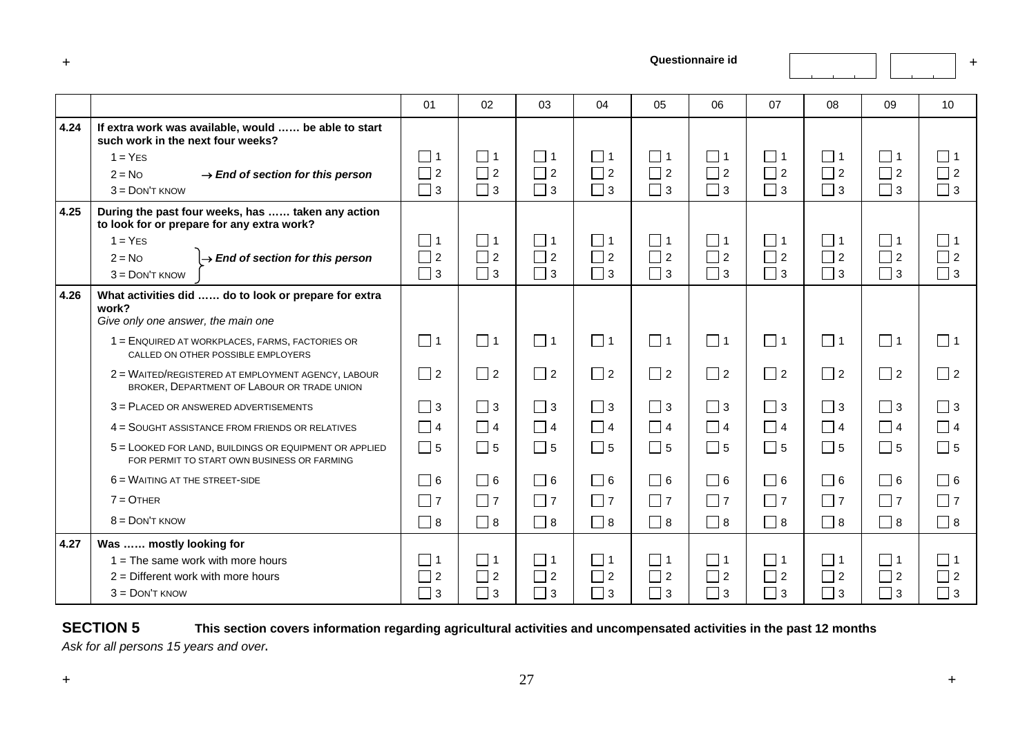|      |                                                                                                       | 01          | 02       | 03       | 04       | 0 <sub>5</sub> | 06          | 07          | 08       | 09       | 10       |
|------|-------------------------------------------------------------------------------------------------------|-------------|----------|----------|----------|----------------|-------------|-------------|----------|----------|----------|
| 4.24 | If extra work was available, would  be able to start<br>such work in the next four weeks?             |             |          |          |          |                |             |             |          |          |          |
|      | $1 = YFS$                                                                                             | $\Box$ 1    | $\Box$ 1 | $\Box$ 1 | $\Box$ 1 | $\Box$ 1       | $\square$ 1 | $\square$ 1 | $\Box$ 1 | $\Box$ 1 | $\Box$ 1 |
|      | $2 = No$<br>$\rightarrow$ End of section for this person                                              | $\Box$ 2    | $\Box$ 2 | $\Box$ 2 | $\Box$ 2 | $\Box$ 2       | $\Box$ 2    | $\Box$ 2    | $\Box$ 2 | $\Box$ 2 | $\Box$ 2 |
|      | $3 =$ DON'T KNOW                                                                                      | $\Box$ 3    | $\Box$ 3 | $\Box$ 3 | $\Box$ 3 | $\Box$ 3       | $\Box$ 3    | $\Box$ 3    | $\Box$ 3 | $\Box$ 3 | $\Box$ 3 |
| 4.25 | During the past four weeks, has  taken any action<br>to look for or prepare for any extra work?       |             |          |          |          |                |             |             |          |          |          |
|      | $1 = YES$                                                                                             | $\Box$ 1    | $\Box$ 1 | $\Box$ 1 | $\Box$ 1 | $\Box$ 1       | $\Box$ 1    | $\Box$ 1    | $\Box$ 1 | $\Box$ 1 | $\Box$ 1 |
|      | $\rightarrow$ End of section for this person<br>$2 = No$                                              | $\Box$ 2    | $\Box$ 2 | $\Box$ 2 | $\Box$ 2 | $\Box$ 2       | $\Box$ 2    | $\Box$ 2    | $\Box$ 2 | $\Box$ 2 | $\Box$ 2 |
|      | $3 =$ DON'T KNOW                                                                                      | $\Box$ 3    | $\Box$ 3 | $\Box$ 3 | $\Box$ 3 | $\Box$ 3       | $\Box$ 3    | $\Box$ 3    | $\Box$ 3 | $\Box$ 3 | $\Box$ 3 |
| 4.26 | What activities did  do to look or prepare for extra<br>work?                                         |             |          |          |          |                |             |             |          |          |          |
|      | Give only one answer, the main one                                                                    |             |          |          |          |                |             |             |          |          |          |
|      | 1 = ENQUIRED AT WORKPLACES, FARMS, FACTORIES OR<br>CALLED ON OTHER POSSIBLE EMPLOYERS                 | $\Box$ 1    | $\Box$ 1 | $\Box$ 1 | $\Box$ 1 | $\Box$ 1       | $\Box$ 1    | $\Box$ 1    | $\Box$ 1 | $\Box$ 1 | $\Box$ 1 |
|      | 2 = WAITED/REGISTERED AT EMPLOYMENT AGENCY, LABOUR<br>BROKER, DEPARTMENT OF LABOUR OR TRADE UNION     | $\Box$ 2    | $\Box$ 2 | $\Box$ 2 | $\Box$ 2 | $\Box$ 2       | $\Box$ 2    | $\Box$ 2    | $\Box$ 2 | $\Box$ 2 | $\Box$ 2 |
|      | $3$ = PLACED OR ANSWERED ADVERTISEMENTS                                                               | $\Box$ 3    | $\Box$ 3 | $\Box$ 3 | $\Box$ 3 | $\Box$ 3       | $\Box$ 3    | $\Box$ 3    | $\Box$ 3 | $\Box$ 3 | $\Box$ 3 |
|      | 4 = SOUGHT ASSISTANCE FROM FRIENDS OR RELATIVES                                                       | $\Box$ 4    | $\Box$ 4 | $\Box$ 4 | $\Box$ 4 | $\Box$ 4       | $\Box$ 4    | $\Box$ 4    | $\Box$ 4 | $\Box$ 4 | $\Box$ 4 |
|      | 5 = LOOKED FOR LAND, BUILDINGS OR EQUIPMENT OR APPLIED<br>FOR PERMIT TO START OWN BUSINESS OR FARMING | $\Box$ 5    | $\Box$ 5 | $\Box$ 5 | $\Box$ 5 | $\Box$ 5       | $\Box$ 5    | $\Box$ 5    | $\Box$ 5 | $\Box$ 5 | $\Box$ 5 |
|      | $6 =$ WAITING AT THE STREET-SIDE                                                                      | $\Box$ 6    | $\Box$ 6 | $\Box$ 6 | $\Box$ 6 | $\Box$ 6       | $\Box$ 6    | $\Box$ 6    | $\Box$ 6 | $\Box$ 6 | $\Box$ 6 |
|      | $7 = 0$ THER                                                                                          | $\Box$ 7    | $\Box$ 7 | $\Box$ 7 | $\Box$ 7 | $\Box$ 7       | $\Box$ 7    | $\Box$ 7    | $\Box$ 7 | $\Box$ 7 | $\Box$ 7 |
|      | $8 =$ DON'T KNOW                                                                                      | $\square$ 8 | $\Box$ 8 | $\Box$ 8 | $\Box$ 8 | $\Box$ 8       | $\Box$ 8    | $\Box$ 8    | $\Box$ 8 | $\Box$ 8 | $\Box$ 8 |
| 4.27 | Was  mostly looking for                                                                               |             |          |          |          |                |             |             |          |          |          |
|      | $1 =$ The same work with more hours                                                                   | $\Box$ 1    | $\Box$ 1 | $\Box$ 1 | $\Box$ 1 | $\Box$ 1       | $\Box$ 1    | $\Box$ 1    | $\Box$ 1 | $\Box$ 1 | $\Box$ 1 |
|      | $2 =$ Different work with more hours                                                                  | $\Box$ 2    | $\Box$ 2 | $\Box$ 2 | $\Box$ 2 | $\Box$ 2       | $\Box$ 2    | $\Box$ 2    | $\Box$ 2 | $\Box$ 2 | $\Box$ 2 |
|      | $3 =$ DON'T KNOW                                                                                      | $\Box$ 3    | $\Box$ 3 | $\Box$ 3 | $\Box$ 3 | $\Box$ 3       | $\Box$ 3    | $\Box$ 3    | $\Box$ 3 | $\Box$ 3 | $\Box$ 3 |

# **SECTION 5** This section covers information regarding agricultural activities and uncompensated activities in the past 12 months

*Ask for all persons 15 years and over***.**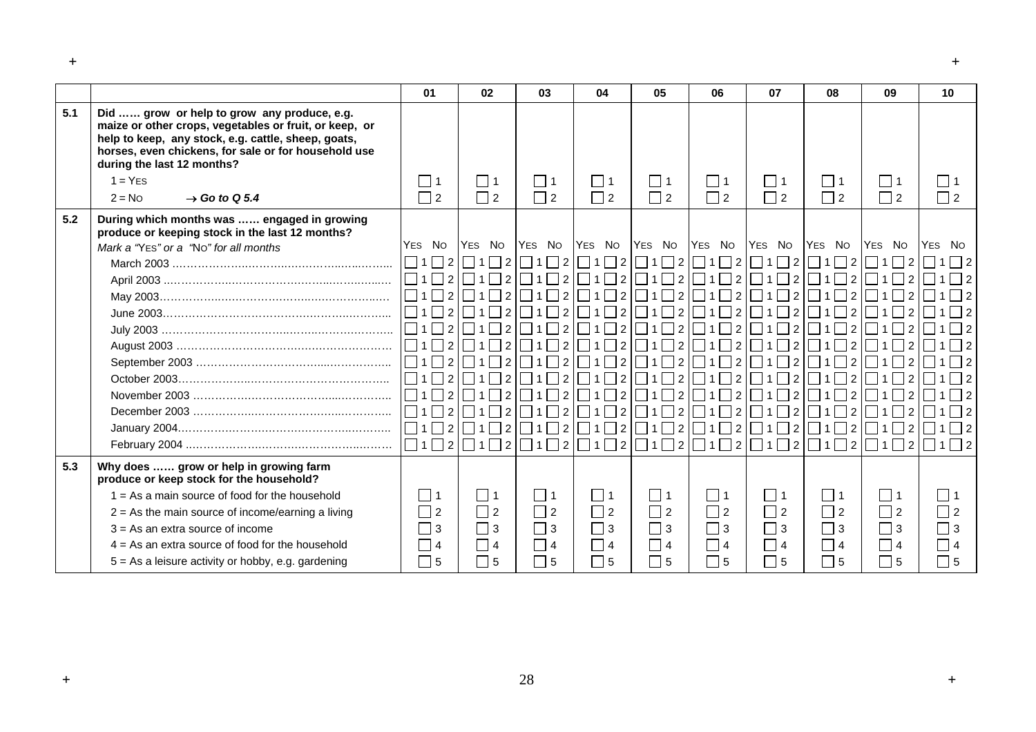$\blacksquare$ 

|     |                                                                                                                                                                                                                                                    | 01                                          | 02                                         | 03                       | 04                       | 05                      | 06            | 07                                          | 08        | 09                                                                                                                                                   | 10            |
|-----|----------------------------------------------------------------------------------------------------------------------------------------------------------------------------------------------------------------------------------------------------|---------------------------------------------|--------------------------------------------|--------------------------|--------------------------|-------------------------|---------------|---------------------------------------------|-----------|------------------------------------------------------------------------------------------------------------------------------------------------------|---------------|
| 5.1 | Did  grow or help to grow any produce, e.g.<br>maize or other crops, vegetables or fruit, or keep, or<br>help to keep, any stock, e.g. cattle, sheep, goats,<br>horses, even chickens, for sale or for household use<br>during the last 12 months? |                                             |                                            |                          |                          |                         |               |                                             |           |                                                                                                                                                      |               |
|     | $1 = YES$                                                                                                                                                                                                                                          | $\Box$ 1                                    | $\Box$ 1                                   | $\Box$ 1                 | $\Box$ 1                 | l 11                    | $\Box$ 1      | $\Box$ 1                                    | $\Box$ 1  | $\vert$   1                                                                                                                                          | $\vert$ 1     |
|     | $2 = No$<br>$\rightarrow$ Go to Q 5.4                                                                                                                                                                                                              | $\Box$ 2                                    | $\Box$ 2                                   | $\Box$ 2                 | $\Box$ 2                 | $\Box$ 2                | $\Box$ 2      | $\Box$ 2                                    | $\Box$ 2  | $\Box$ 2                                                                                                                                             | $\Box$ 2      |
| 5.2 | During which months was  engaged in growing<br>produce or keeping stock in the last 12 months?                                                                                                                                                     |                                             |                                            |                          |                          |                         |               |                                             |           |                                                                                                                                                      |               |
|     | Mark a "YES" or a "No" for all months                                                                                                                                                                                                              | YES NO                                      | YES NO                                     | YES NO                   | YES NO                   | YES NO                  | YES NO YES NO |                                             | YES NO    | YES NO                                                                                                                                               | <b>YES NO</b> |
|     |                                                                                                                                                                                                                                                    |                                             | $\Box$ 1 $\Box$ 2 $\Box$ 1 $\Box$ 2 $\Box$ |                          |                          |                         |               |                                             |           | $\Box$ 1\Box2\Box1\ $\Box$ 2\ $\Box$ 1\ $\Box$ 2\ $\Box$ 1\ $\Box$ 2\ $\Box$ 1\ $\Box$ 2\ $\Box$ 1\ $\Box$ 2\ $\Box$ 1\ $\Box$ 2\ $\Box$ 1\ $\Box$ 2 |               |
|     |                                                                                                                                                                                                                                                    | $\Box$ 1<br> 2                              | $ $   2                                    | $\Box$ 1 $\Box$ 2 $\Box$ | $\Box$ 1 $\Box$ 2 $\Box$ |                         |               |                                             |           | $\Box$ 1\Box2\Box1 $\Box$ 2 $\Box$ 1 $\Box$ 2 $\Box$ 1 $\Box$ 2 $\Box$ 1 $\Box$ 2 $\Box$                                                             |               |
|     |                                                                                                                                                                                                                                                    | $\Box$ 1<br>2                               | $\vert$ $\vert$ 2                          | $\Box$ 1 $\Box$ 2        | $\Box$ 1 $\Box$ 2 $\Box$ | $1 \square 2$<br>$\Box$ |               |                                             |           |                                                                                                                                                      |               |
|     |                                                                                                                                                                                                                                                    | $\Box$ 1<br>$\vert$ 2                       | $\blacksquare$<br>$\vert$   2              | $\Box$ 1 $\Box$ 2 $\Box$ | $\Box$ 1 $\Box$ 2        |                         |               |                                             |           | $\Box$ 1\Box2\Box1 $\Box$ 2 $\Box$ 1 $\Box$ 2 $\Box$ 1 $\Box$ 2 $\Box$ 1 $\Box$ 2 $\Box$                                                             |               |
|     |                                                                                                                                                                                                                                                    | $\Box$ 1<br>$\vert$ 2                       | $1 \mid 2$                                 | $\Box$ 1 $\Box$ 2 $\Box$ | $\Box$ 1 $\Box$ 2 $\Box$ | $\Box$ 1 $\Box$ 2       |               |                                             |           | $\Box$ 1 $\Box$ 2 $\Box$ 1 $\Box$ 2 $\Box$ 1 $\Box$ 2 $\Box$ 1 $\Box$ 2 $\Box$                                                                       |               |
|     |                                                                                                                                                                                                                                                    | $\Box$ 1<br> 2                              | 1     2                                    |                          |                          |                         |               |                                             |           | $\Box$ 1 $\Box$ 2 $\Box$ 1 $\Box$ 2 $\Box$ 1 $\Box$ 2 $\Box$ 1 $\Box$ 2 $\Box$ 1 $\Box$ 2 $\Box$ 1 $\Box$ 2 $\Box$                                   |               |
|     |                                                                                                                                                                                                                                                    | $\Box$ 1<br>$\vert$ 2                       | $\Box$ 2                                   | $\Box$ 1 $\Box$ 2        | $\Box$ 1 $\Box$ 2        | $\Box$ 1 $\Box$ 2       |               |                                             |           |                                                                                                                                                      |               |
|     |                                                                                                                                                                                                                                                    | $\Box$ 1<br> 2                              | 1     2                                    |                          |                          |                         |               |                                             |           | $\Box$ 1 $\Box$ 2 $\Box$ 1 $\Box$ 2 $\Box$ 1 $\Box$ 2 $\Box$ 1 $\Box$ 2 $\Box$ 1 $\Box$ 2 $\Box$ 1 $\Box$ 2 $\Box$                                   |               |
|     |                                                                                                                                                                                                                                                    | $\Box$ 1 [                                  | $\Box$ 2 $\Box$ 1 $\Box$ 2                 | $\Box$ 1 $\Box$ 2        |                          |                         |               |                                             |           | $\Box$ 1 $\Box$ 2 $\Box$ 1 $\Box$ 2 $\Box$ 1 $\Box$ 1 $\Box$ 2 $\Box$ 1 $\Box$ 2 $\Box$ 1 $\Box$ 2 $\Box$                                            |               |
|     |                                                                                                                                                                                                                                                    | $\Box$ 1<br>$\vert$ 2                       | $ $   2                                    | $\Box$ 1 $\Box$ 2        | $\Box$ 1 $\Box$ 2        |                         |               |                                             |           | $\Box$ 1 \Box  $\Box$ 1 $\Box$ 1 $\Box$ 1 $\Box$ 1 $\Box$ 1 $\Box$ 1 $\Box$ 1 $\Box$ 1 $\Box$ 2 $\Box$                                               |               |
|     |                                                                                                                                                                                                                                                    | $\Box$ 1<br>$\Box$ 2                        | $\Box$ 2                                   | $\Box$ 1 $\Box$ 2        | $\Box$ 1 $\Box$ 2        | $\Box$ 1 $\Box$ 2       |               |                                             |           |                                                                                                                                                      |               |
|     |                                                                                                                                                                                                                                                    |                                             |                                            |                          |                          |                         |               |                                             |           |                                                                                                                                                      |               |
| 5.3 | Why does  grow or help in growing farm<br>produce or keep stock for the household?                                                                                                                                                                 |                                             |                                            |                          |                          |                         |               |                                             |           |                                                                                                                                                      |               |
|     | $1 = As a main source of food for the household$                                                                                                                                                                                                   | $\Box$ 1                                    | $\vert$   1                                | $\Box$ 1                 | $\Box$ 1                 | l 11                    | $\Box$ 1      | $\Box$ 1                                    | $\Box$ 1  | $\vert$ 1                                                                                                                                            | $\vert$ 1     |
|     | $2 = As$ the main source of income/earning a living                                                                                                                                                                                                | $\Box$ 2                                    | $\Box$ 2                                   | $\Box$ 2                 | $\Box$ 2                 | $\Box$ 2                | $\Box$ 2      | $\Box$ 2                                    | $\Box$ 2  | $\Box$ 2                                                                                                                                             | $\Box$ 2      |
|     | $3 = As$ an extra source of income                                                                                                                                                                                                                 | $\Box$ 3                                    | $\Box$ 3                                   | $\Box$ 3                 | $\Box$ 3                 | $\Box$ 3                | $\Box$ 3      | $\Box$ 3                                    | $\Box$ 3  | $\Box$ 3                                                                                                                                             | $\Box$ 3      |
|     | $4 = As$ an extra source of food for the household                                                                                                                                                                                                 | $\begin{array}{ c c c } \hline \end{array}$ | $\vert$ 4                                  | $\Box$ 4                 | $\Box$ 4                 | $ $   4                 | $\Box$ 4      | $\begin{array}{ c c c } \hline \end{array}$ | $ $   4   | $\Box$ 4                                                                                                                                             | $ $   4       |
|     | $5 = As$ a leisure activity or hobby, e.g. gardening                                                                                                                                                                                               | $\Box$ 5                                    | $\Box$ 5                                   | $\Box$ 5                 | $\Box$ 5                 | $\Box$ 5                | 5             | $\vert$ 5                                   | $\vert$ 5 | $-5$                                                                                                                                                 | $\Box$ 5      |

**+ +**  $+$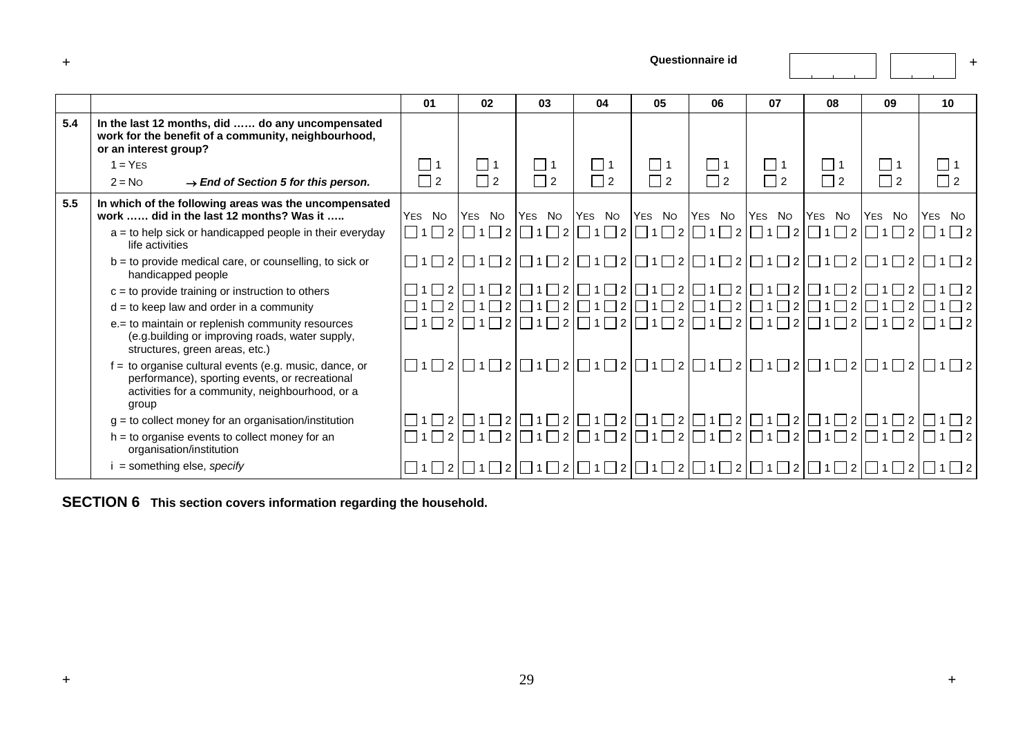|     |                                                                                                                                                                      | 01            | 02       | 03                                                                                                                                                                                                                                                                                                                                                                                                                                                                                                                                                                      | 04                                               | 05       | 06       | 07       | 08       | 09       | 10 <sup>1</sup> |
|-----|----------------------------------------------------------------------------------------------------------------------------------------------------------------------|---------------|----------|-------------------------------------------------------------------------------------------------------------------------------------------------------------------------------------------------------------------------------------------------------------------------------------------------------------------------------------------------------------------------------------------------------------------------------------------------------------------------------------------------------------------------------------------------------------------------|--------------------------------------------------|----------|----------|----------|----------|----------|-----------------|
| 5.4 | In the last 12 months, did  do any uncompensated<br>work for the benefit of a community, neighbourhood,<br>or an interest group?                                     |               |          |                                                                                                                                                                                                                                                                                                                                                                                                                                                                                                                                                                         |                                                  |          |          |          |          |          |                 |
|     | $1 = YES$                                                                                                                                                            | $\Box$ 1      | $\Box$ 1 | $\Box$ 1                                                                                                                                                                                                                                                                                                                                                                                                                                                                                                                                                                | $\Box$ 1                                         | $\Box$ 1 | $\Box$ 1 | $\Box$ 1 | $\Box$ 1 | $\Box$ 1 | $\Box$ 1        |
|     | $2 = No$<br>$\rightarrow$ End of Section 5 for this person.                                                                                                          | $\Box$ 2      | $\Box$ 2 | $\Box$ 2                                                                                                                                                                                                                                                                                                                                                                                                                                                                                                                                                                | $\Box$ 2                                         | $\Box$ 2 | $\Box$ 2 | $\Box$ 2 | $\Box$ 2 | $\Box$ 2 | $\Box$ 2        |
| 5.5 | In which of the following areas was the uncompensated<br>work  did in the last 12 months? Was it                                                                     | YES NO YES NO |          | YES NO                                                                                                                                                                                                                                                                                                                                                                                                                                                                                                                                                                  | YES NO YES NO YES NO YES NO YES NO YES NO YES NO |          |          |          |          |          | YES NO          |
|     | $a =$ to help sick or handicapped people in their everyday<br>life activities                                                                                        |               |          |                                                                                                                                                                                                                                                                                                                                                                                                                                                                                                                                                                         |                                                  |          |          |          |          |          |                 |
|     | $b =$ to provide medical care, or counselling, to sick or<br>handicapped people                                                                                      |               |          |                                                                                                                                                                                                                                                                                                                                                                                                                                                                                                                                                                         |                                                  |          |          |          |          |          |                 |
|     | $c =$ to provide training or instruction to others                                                                                                                   |               |          |                                                                                                                                                                                                                                                                                                                                                                                                                                                                                                                                                                         |                                                  |          |          |          |          |          |                 |
|     | $d =$ to keep law and order in a community                                                                                                                           |               |          | $\boxed{ \square 1 \square 2 \square 1 \square 2 \square 1 \square 2 \square 1 \square 2 \square 1 \square 2 \square 1 \square 2 \square 1 \square 2 \square 1 \square 2 \square 1 \square 2 \square 1 \square 2 \square 1 \square 2 \square 1 \square 2 \square 1 \square 2 \square 1 \square 2 \square 1 \square 2 \square 1 \square 2 \square 1 \square 2 \square 1 \square 2 \square 1 \square 2 \square 1 \square 2 \square 1 \square 2 \square 1 \square 2 \square 1 \square 2 \square 1 \square 2 \square 1 \square 2 \square 1 \square 2 \square 1 \square 2 \$ |                                                  |          |          |          |          |          |                 |
|     | e.= to maintain or replenish community resources<br>(e.g.building or improving roads, water supply,<br>structures, green areas, etc.)                                |               |          |                                                                                                                                                                                                                                                                                                                                                                                                                                                                                                                                                                         |                                                  |          |          |          |          |          |                 |
|     | f = to organise cultural events (e.g. music, dance, or<br>performance), sporting events, or recreational<br>activities for a community, neighbourhood, or a<br>group |               |          |                                                                                                                                                                                                                                                                                                                                                                                                                                                                                                                                                                         |                                                  |          |          |          |          |          |                 |
|     | $g =$ to collect money for an organisation/institution                                                                                                               |               |          |                                                                                                                                                                                                                                                                                                                                                                                                                                                                                                                                                                         |                                                  |          |          |          |          |          |                 |
|     | h = to organise events to collect money for an<br>organisation/institution                                                                                           |               |          |                                                                                                                                                                                                                                                                                                                                                                                                                                                                                                                                                                         |                                                  |          |          |          |          |          |                 |
|     | = something else, specify                                                                                                                                            |               |          |                                                                                                                                                                                                                                                                                                                                                                                                                                                                                                                                                                         |                                                  |          |          |          |          |          |                 |

**SECTION 6 This section covers information regarding the household.**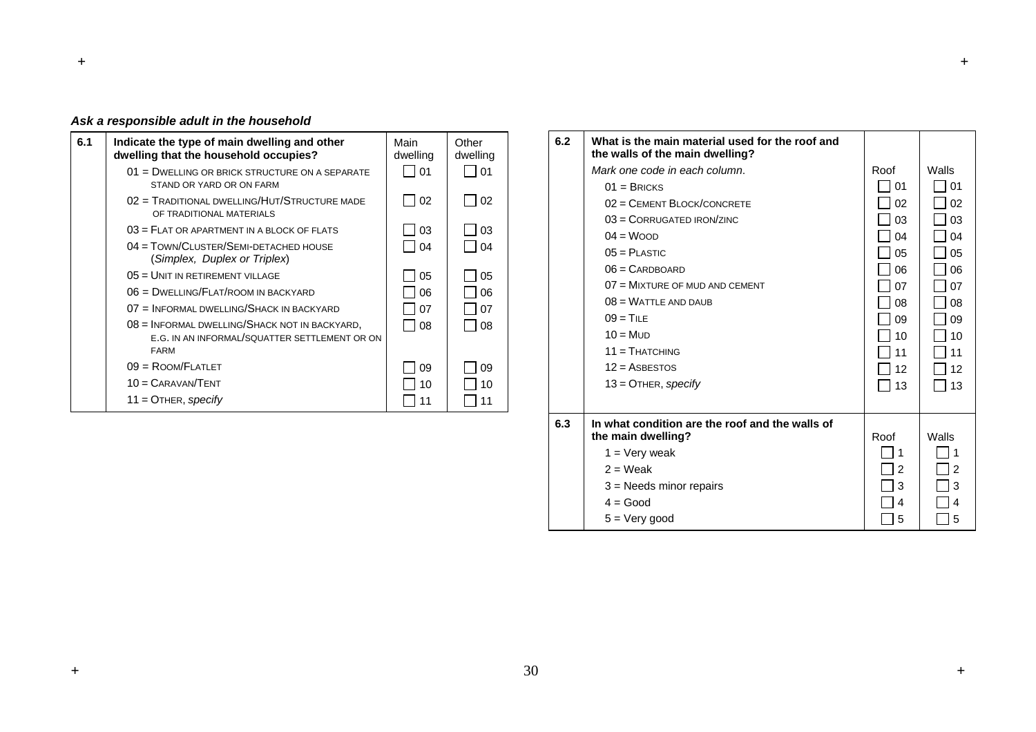### *Ask a responsible adult in the household*

| 6.1 | Indicate the type of main dwelling and other<br>dwelling that the household occupies?                           | Main<br>dwelling | Other<br>dwelling |
|-----|-----------------------------------------------------------------------------------------------------------------|------------------|-------------------|
|     | $01 =$ DWELLING OR BRICK STRUCTURE ON A SEPARATE<br>STAND OR YARD OR ON FARM                                    | 01               | 01                |
|     | $02$ = TRADITIONAL DWELLING/HUT/STRUCTURE MADE<br>OF TRADITIONAL MATERIALS                                      | 02               | 102               |
|     | $03$ = FLAT OR APARTMENT IN A BLOCK OF FLATS                                                                    | 03               | 03                |
|     | 04 = TOWN/CLUSTER/SEMI-DETACHED HOUSE<br>(Simplex, Duplex or Triplex)                                           | 04               | 04                |
|     | $05 =$ UNIT IN RETIREMENT VILLAGE                                                                               | 05               | 05                |
|     | $06 =$ DWELLING/FLAT/ROOM IN BACKYARD                                                                           | 06               | 06                |
|     | $07$ = INFORMAL DWELLING/SHACK IN BACKYARD                                                                      | 07               | 07                |
|     | $08$ = INFORMAL DWELLING/SHACK NOT IN BACKYARD,<br>E.G. IN AN INFORMAL/SQUATTER SETTLEMENT OR ON<br><b>FARM</b> | 08               | 08                |
|     | $09 =$ ROOM/FLATLET                                                                                             | 09               | 09                |
|     | $10 = CARAVAN/TENT$                                                                                             | 10               | 10                |
|     | $11 =$ OTHER, specify                                                                                           | 11               |                   |

| 6.2 | What is the main material used for the roof and<br>the walls of the main dwelling? |               |               |
|-----|------------------------------------------------------------------------------------|---------------|---------------|
|     | Mark one code in each column.                                                      | Roof          | Walls         |
|     | $01 = BRICKS$                                                                      | 01            | 01            |
|     | $02 =$ CEMENT BLOCK/CONCRETE                                                       | 02            | 02            |
|     | $03 = \text{CORRUGATED IRON/ZINC}$                                                 | 03            | 03            |
|     | $04 = W$ OOD                                                                       | 04            | 04            |
|     | $05 =$ PLASTIC                                                                     | 05            | 05            |
|     | $06 =$ CARDBOARD                                                                   | 06            | 06            |
|     | 07 = MIXTURE OF MUD AND CEMENT                                                     | 07            | 07            |
|     | $08 = \text{WATE}$ and DAUB                                                        | 08            | 08            |
|     | $09 =$ TILE                                                                        | 09            | 09            |
|     | $10 = MUD$                                                                         | 10            | 10            |
|     | $11 = ThATCHING$                                                                   | 11            | 11            |
|     | $12 =$ ASBESTOS                                                                    | 12            | 12            |
|     | $13 =$ OTHER, specify                                                              | 13            | 13            |
|     |                                                                                    |               |               |
| 6.3 | In what condition are the roof and the walls of                                    |               |               |
|     | the main dwelling?                                                                 | Roof          | Walls         |
|     | $1 = \text{Very weak}$                                                             | 1             |               |
|     | $2 =$ Weak                                                                         | $\mathcal{P}$ | $\mathcal{P}$ |
|     | $3$ = Needs minor repairs                                                          | 3             |               |
|     | $4 = Good$                                                                         | 4             |               |
|     | $5 = Very good$                                                                    | 5             | 5             |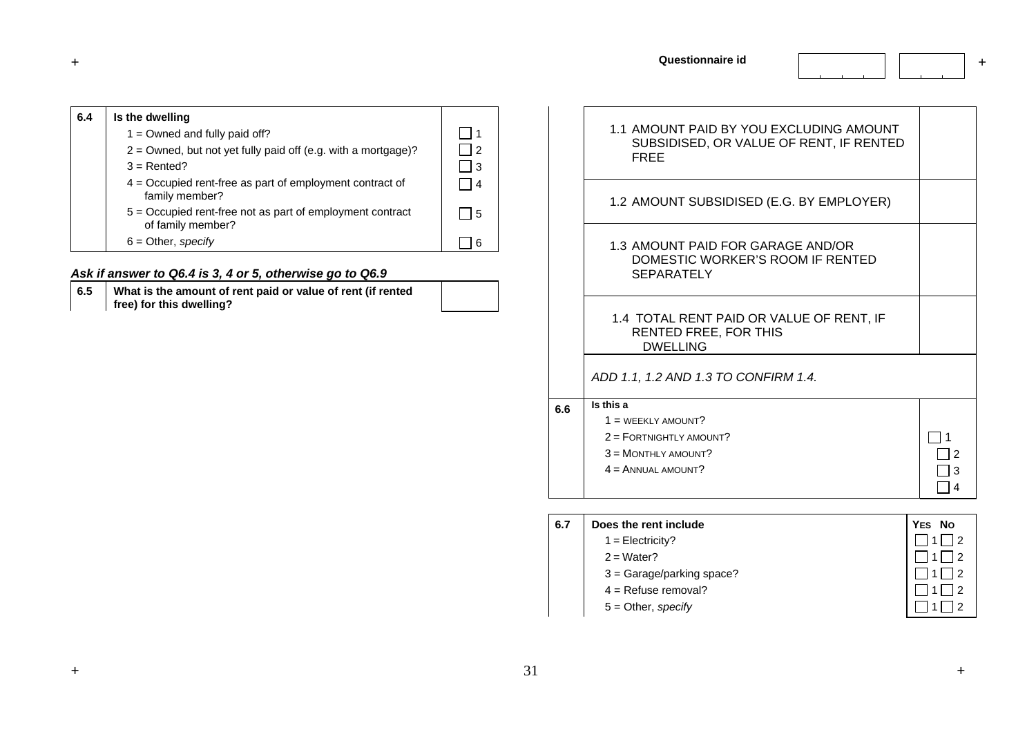1 <sup>=</sup> Electricity? 2 <sup>=</sup> Water?

3 = Garage/parking space?

 4 = Refuse removal? 5 = Other, *specify*

| 6.4 | Is the dwelling                                                                  |     |
|-----|----------------------------------------------------------------------------------|-----|
|     | $1 =$ Owned and fully paid off?                                                  |     |
|     | $2 =$ Owned, but not yet fully paid off (e.g. with a mortgage)?                  | 12  |
|     | $3 =$ Rented?                                                                    | l 3 |
|     | $4 =$ Occupied rent-free as part of employment contract of<br>family member?     | l 4 |
|     | $5 =$ Occupied rent-free not as part of employment contract<br>of family member? | ۱5  |
|     | $6 =$ Other, specify                                                             |     |

## *Ask if answer to Q6.4 is 3, 4 or 5, otherwise go to Q6.9*

**+**

| 6.5 | What is the amount of rent paid or value of rent (if rented |
|-----|-------------------------------------------------------------|
|     | free) for this dwelling?                                    |

| 6.7 | Does the rent include                                                                             | YES No |
|-----|---------------------------------------------------------------------------------------------------|--------|
|     |                                                                                                   |        |
|     | $4 =$ ANNUAL AMOUNT?                                                                              |        |
|     | $3 =$ MONTHLY AMOUNT?                                                                             |        |
|     | $2 =$ FORTNIGHTLY AMOUNT?                                                                         | 1      |
| 6.6 | $1 = WEEKLY AMOUNT?$                                                                              |        |
|     | ADD 1.1, 1.2 AND 1.3 TO CONFIRM 1.4.<br>Is this a                                                 |        |
|     | 1.4 TOTAL RENT PAID OR VALUE OF RENT, IF<br><b>RENTED FREE, FOR THIS</b><br><b>DWELLING</b>       |        |
|     | 1.3 AMOUNT PAID FOR GARAGE AND/OR<br>DOMESTIC WORKER'S ROOM IF RENTED<br><b>SEPARATELY</b>        |        |
|     | 1.2 AMOUNT SUBSIDISED (E.G. BY EMPLOYER)                                                          |        |
|     | 1.1 AMOUNT PAID BY YOU EXCLUDING AMOUNT<br>SUBSIDISED, OR VALUE OF RENT, IF RENTED<br><b>FREE</b> |        |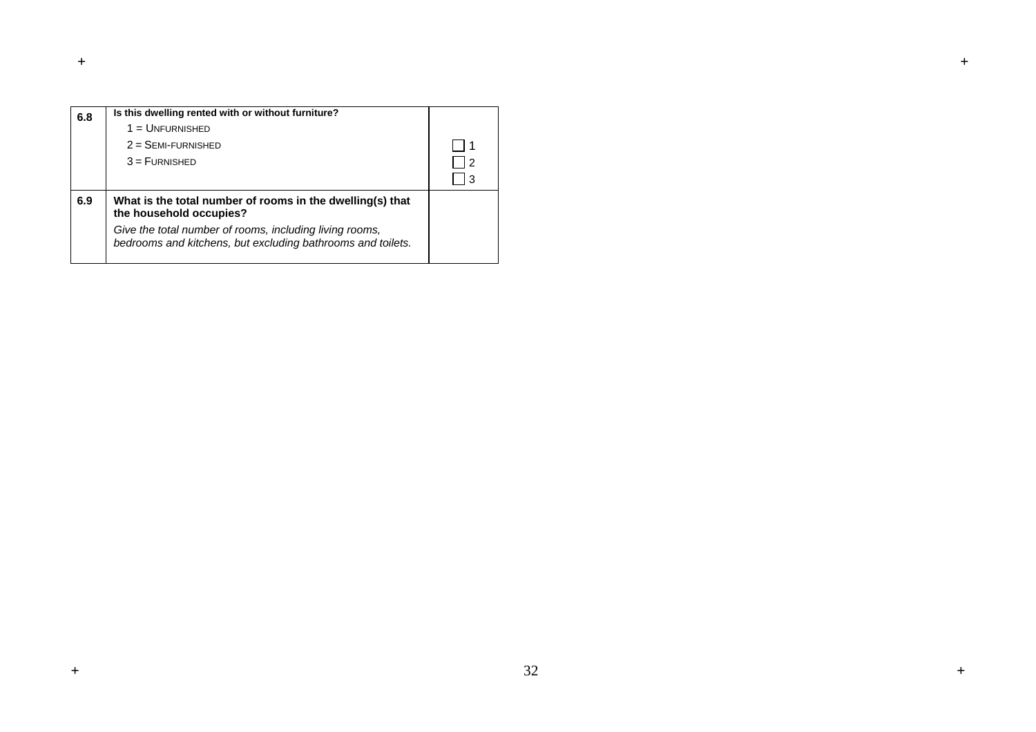| 6.8 | Is this dwelling rented with or without furniture?<br>$1 =$ UNFURNISHED<br>$2 =$ SEMI-FURNISHED<br>$3 =$ FURNISHED     |  |
|-----|------------------------------------------------------------------------------------------------------------------------|--|
|     |                                                                                                                        |  |
| 6.9 | What is the total number of rooms in the dwelling(s) that<br>the household occupies?                                   |  |
|     | Give the total number of rooms, including living rooms,<br>bedrooms and kitchens, but excluding bathrooms and toilets. |  |

 $\boldsymbol{+}$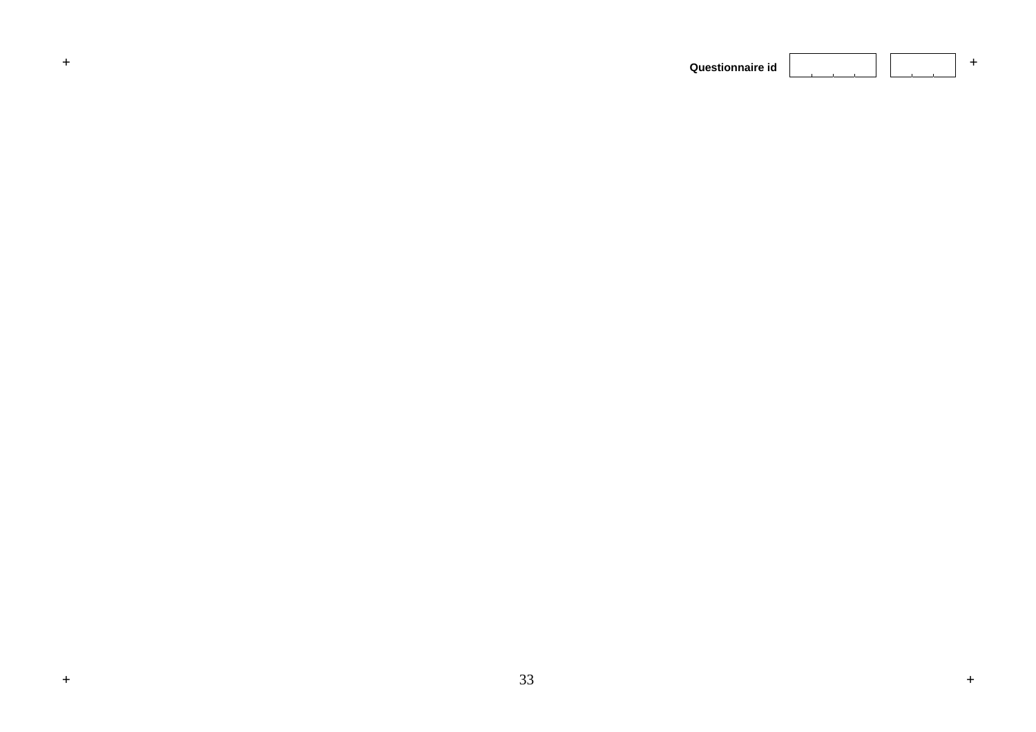| Questionnaire id |  |  |
|------------------|--|--|
|------------------|--|--|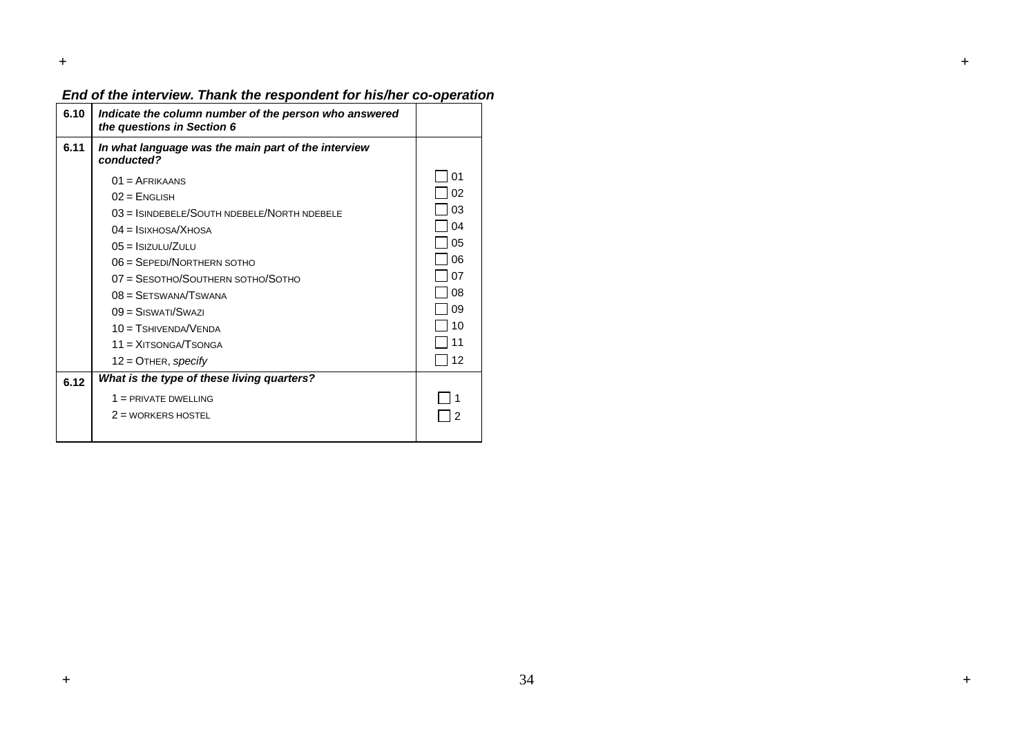### *End of the interview. Thank the respondent for his/her co-operation*

| 6.10 | Indicate the column number of the person who answered<br>the questions in Section 6 |    |
|------|-------------------------------------------------------------------------------------|----|
| 6.11 | In what language was the main part of the interview<br>conducted?                   |    |
|      | $01 = AFRIKAANS$                                                                    | 01 |
|      | $02$ = ENGLISH                                                                      | 02 |
|      | $03 =$ ISINDEBELE/SOUTH NDEBELE/NORTH NDEBELE                                       | 03 |
|      | $04 =$ ISIXHOSA/XHOSA                                                               | 04 |
|      | $05 =$ Isizulu/Zulu                                                                 | 05 |
|      | $06 =$ SEPEDI/NORTHERN SOTHO                                                        | 06 |
|      | 07 = SESOTHO/SOUTHERN SOTHO/SOTHO                                                   | 07 |
|      | $08 =$ SETSWANA/TSWANA                                                              | 08 |
|      | $09 =$ SISWATI/SWAZI                                                                | 09 |
|      | $10 =$ TSHIVENDA/VENDA                                                              | 10 |
|      | $11 = XITSONGA/TSONGA$                                                              |    |
|      | $12 =$ OTHER, specify                                                               | 12 |
| 6.12 | What is the type of these living quarters?                                          |    |
|      | $1 = PRIVATE DWELLING$                                                              |    |
|      | $2 = \text{WORKERS HOSTEL}$                                                         |    |
|      |                                                                                     |    |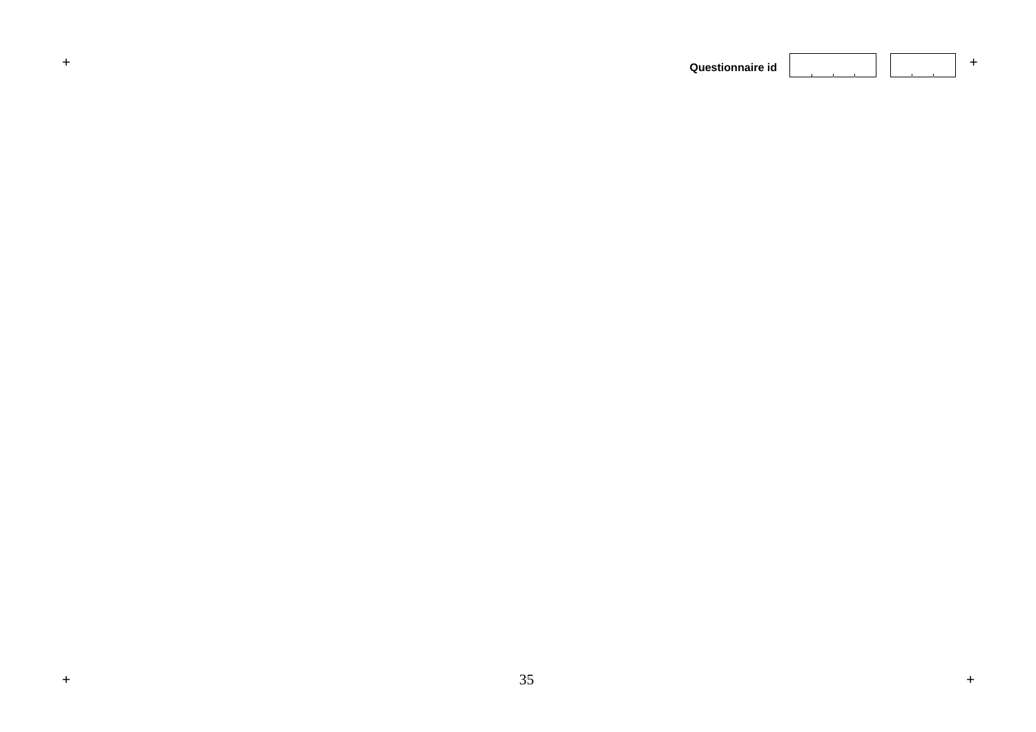| Questionnaire id |  |  |
|------------------|--|--|
|------------------|--|--|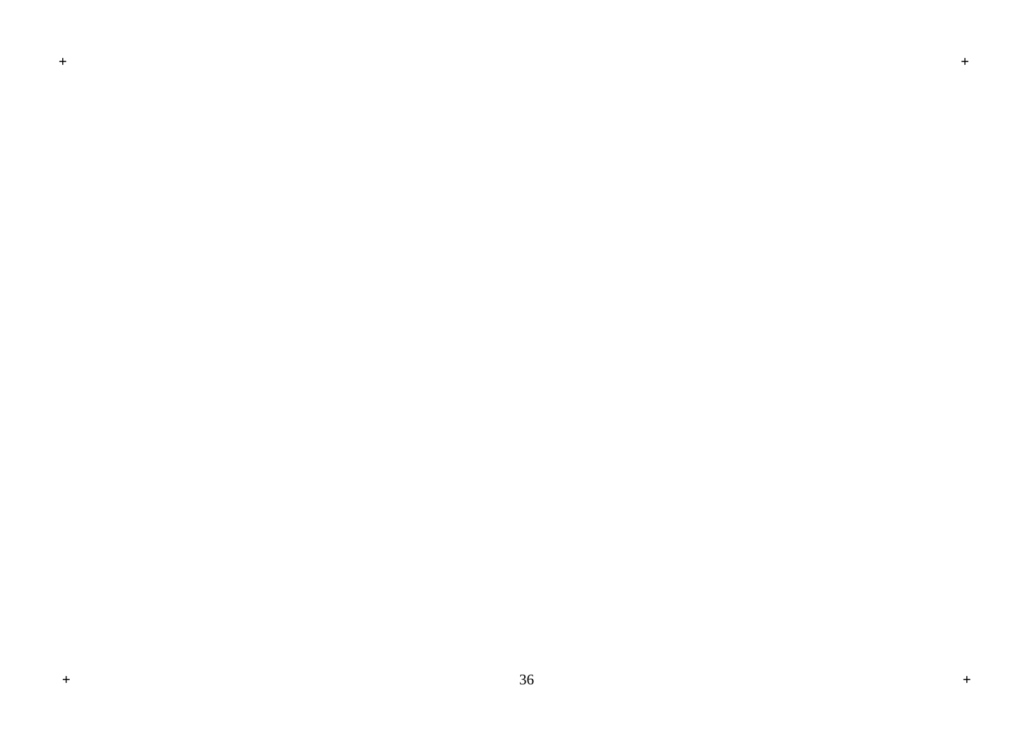$\pm$